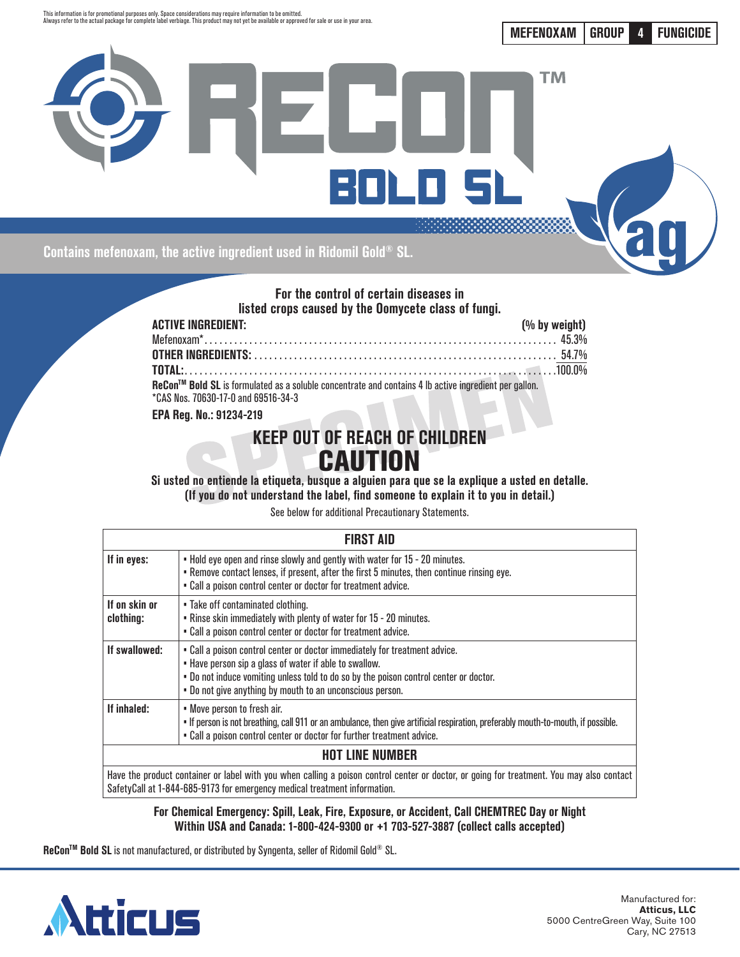

**MEFENOXAM GROUP 4 FUNGICIDE**



### **For the control of certain diseases in listed crops caused by the Oomycete class of fungi.**

| <b>ACTIVE INGREDIENT:</b>                                                                             | (% by weight) |
|-------------------------------------------------------------------------------------------------------|---------------|
|                                                                                                       |               |
|                                                                                                       |               |
|                                                                                                       |               |
| ReCon™ Bold SL is formulated as a soluble concentrate and contains 4 lb active ingredient per gallon. |               |
| *CAS Nos. 70630-17-0 and 69516-34-3                                                                   |               |

**EPA Reg. No.: 91234-219**

# **KEEP OUT OF REACH OF CHILDREN CAUTION**

**Si usted no entiende la etiqueta, busque a alguien para que se la explique a usted en detalle. (If you do not understand the label, find someone to explain it to you in detail.)**

See below for additional Precautionary Statements.

|                            | <b>FIRST AID</b>                                                                                                                                                                                                                                                                           |  |  |  |  |
|----------------------------|--------------------------------------------------------------------------------------------------------------------------------------------------------------------------------------------------------------------------------------------------------------------------------------------|--|--|--|--|
| If in eyes:                | . Hold eye open and rinse slowly and gently with water for 15 - 20 minutes.<br>. Remove contact lenses, if present, after the first 5 minutes, then continue rinsing eye.<br>. Call a poison control center or doctor for treatment advice.                                                |  |  |  |  |
| If on skin or<br>clothing: | • Take off contaminated clothing.<br>. Rinse skin immediately with plenty of water for 15 - 20 minutes.<br>. Call a poison control center or doctor for treatment advice.                                                                                                                  |  |  |  |  |
| If swallowed:              | . Call a poison control center or doctor immediately for treatment advice.<br>. Have person sip a glass of water if able to swallow.<br>. Do not induce vomiting unless told to do so by the poison control center or doctor.<br>. Do not give anything by mouth to an unconscious person. |  |  |  |  |
| If inhaled:                | • Move person to fresh air.<br>• If person is not breathing, call 911 or an ambulance, then give artificial respiration, preferably mouth-to-mouth, if possible.<br>. Call a poison control center or doctor for further treatment advice.                                                 |  |  |  |  |
| <b>HOT LINE NUMBER</b>     |                                                                                                                                                                                                                                                                                            |  |  |  |  |
|                            | Have the product container or label with you when calling a poison control center or doctor, or going for treatment. You may also contact<br>SafetyCall at 1-844-685-9173 for emergency medical treatment information.                                                                     |  |  |  |  |

**For Chemical Emergency: Spill, Leak, Fire, Exposure, or Accident, Call CHEMTREC Day or Night Within USA and Canada: 1-800-424-9300 or +1 703-527-3887 (collect calls accepted)**

**ReCon™ Bold SL** is not manufactured, or distributed by Syngenta, seller of Ridomil Gold® SL.

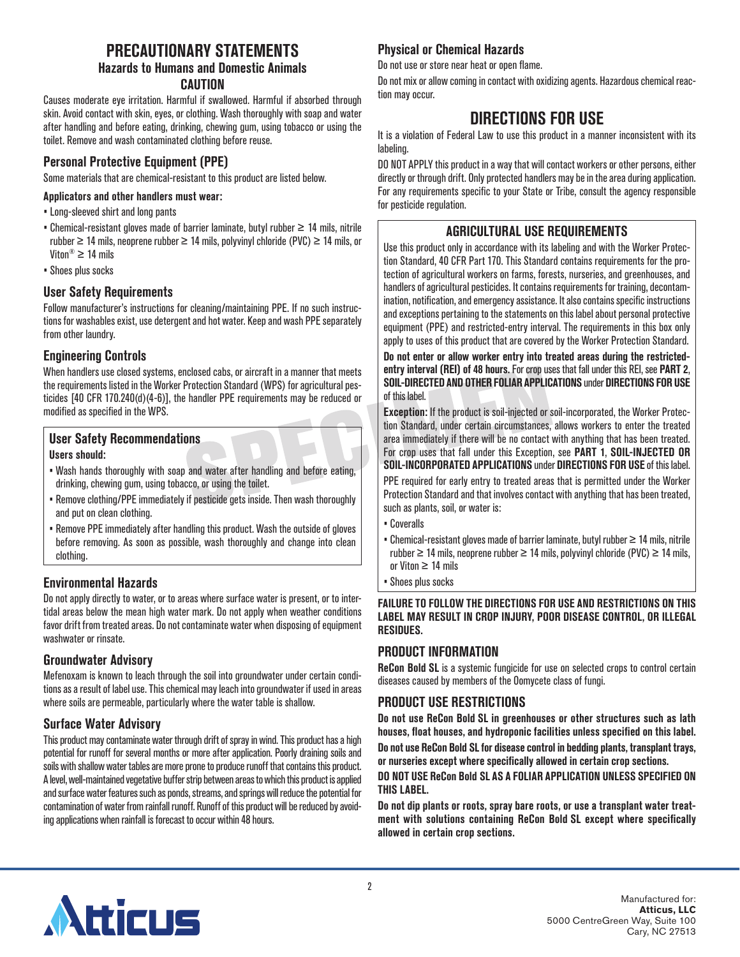## **PRECAUTIONARY STATEMENTS Hazards to Humans and Domestic Animals CAUTION**

Causes moderate eye irritation. Harmful if swallowed. Harmful if absorbed through skin. Avoid contact with skin, eyes, or clothing. Wash thoroughly with soap and water after handling and before eating, drinking, chewing gum, using tobacco or using the toilet. Remove and wash contaminated clothing before reuse.

## **Personal Protective Equipment (PPE)**

Some materials that are chemical-resistant to this product are listed below.

### **Applicators and other handlers must wear:**

- Long-sleeved shirt and long pants
- Chemical-resistant gloves made of barrier laminate, butyl rubber ≥ 14 mils, nitrile rubber  $\geq$  14 mils, neoprene rubber  $\geq$  14 mils, polyvinyl chloride (PVC)  $\geq$  14 mils, or Viton®  $\geq 14$  mils
- Shoes plus socks

## **User Safety Requirements**

Follow manufacturer's instructions for cleaning/maintaining PPE. If no such instructions for washables exist, use detergent and hot water. Keep and wash PPE separately from other laundry.

## **Engineering Controls**

When handlers use closed systems, enclosed cabs, or aircraft in a manner that meets the requirements listed in the Worker Protection Standard (WPS) for agricultural pesticides [40 CFR 170.240(d)(4-6)], the handler PPE requirements may be reduced or modified as specified in the WPS.

#### **User Safety Recommendations Users should:**

- Wash hands thoroughly with soap and water after handling and before eating, drinking, chewing gum, using tobacco, or using the toilet.
- Remove clothing/PPE immediately if pesticide gets inside. Then wash thoroughly and put on clean clothing.
- Remove PPE immediately after handling this product. Wash the outside of gloves before removing. As soon as possible, wash thoroughly and change into clean clothing.

## **Environmental Hazards**

Do not apply directly to water, or to areas where surface water is present, or to intertidal areas below the mean high water mark. Do not apply when weather conditions favor drift from treated areas. Do not contaminate water when disposing of equipment washwater or rinsate.

## **Groundwater Advisory**

Mefenoxam is known to leach through the soil into groundwater under certain conditions as a result of label use. This chemical may leach into groundwater if used in areas where soils are permeable, particularly where the water table is shallow.

## **Surface Water Advisory**

This product may contaminate water through drift of spray in wind. This product has a high potential for runoff for several months or more after application. Poorly draining soils and soils with shallow water tables are more prone to produce runoff that contains this product. A level, well-maintained vegetative buffer strip between areas to which this product is applied and surface water features such as ponds, streams, and springs will reduce the potential for contamination of water from rainfall runoff. Runoff of this product will be reduced by avoiding applications when rainfall is forecast to occur within 48 hours.

## **Physical or Chemical Hazards**

Do not use or store near heat or open flame.

Do not mix or allow coming in contact with oxidizing agents. Hazardous chemical reaction may occur.

## **DIRECTIONS FOR USE**

It is a violation of Federal Law to use this product in a manner inconsistent with its labeling.

DO NOT APPLY this product in a way that will contact workers or other persons, either directly or through drift. Only protected handlers may be in the area during application. For any requirements specific to your State or Tribe, consult the agency responsible for pesticide regulation.

## **AGRICULTURAL USE REQUIREMENTS**

Use this product only in accordance with its labeling and with the Worker Protection Standard, 40 CFR Part 170. This Standard contains requirements for the protection of agricultural workers on farms, forests, nurseries, and greenhouses, and handlers of agricultural pesticides. It contains requirements for training, decontamination, notification, and emergency assistance. It also contains specific instructions and exceptions pertaining to the statements on this label about personal protective equipment (PPE) and restricted-entry interval. The requirements in this box only apply to uses of this product that are covered by the Worker Protection Standard.

**Do not enter or allow worker entry into treated areas during the restrictedentry interval (REI) of 48 hours.** For crop uses that fall under this REI, see **PART 2**, **SOIL-DIRECTED AND OTHER FOLIAR APPLICATIONS** under **DIRECTIONS FOR USE** of this label.

**Exception:** If the product is soil-injected or soil-incorporated, the Worker Protection Standard, under certain circumstances, allows workers to enter the treated area immediately if there will be no contact with anything that has been treated. For crop uses that fall under this Exception, see **PART 1**, **SOIL-INJECTED OR SOIL-INCORPORATED APPLICATIONS** under **DIRECTIONS FOR USE** of this label.

PPE required for early entry to treated areas that is permitted under the Worker Protection Standard and that involves contact with anything that has been treated, such as plants, soil, or water is:

- Coveralls
- Chemical-resistant gloves made of barrier laminate, butyl rubber ≥ 14 mils, nitrile rubber  $\geq 14$  mils, neoprene rubber  $\geq 14$  mils, polyvinyl chloride (PVC)  $\geq 14$  mils, or Viton ≥ 14 mils
- Shoes plus socks

#### **FAILURE TO FOLLOW THE DIRECTIONS FOR USE AND RESTRICTIONS ON THIS LABEL MAY RESULT IN CROP INJURY, POOR DISEASE CONTROL, OR ILLEGAL RESIDUES.**

## **PRODUCT INFORMATION**

**ReCon Bold SL** is a systemic fungicide for use on selected crops to control certain diseases caused by members of the Oomycete class of fungi.

## **PRODUCT USE RESTRICTIONS**

**Do not use ReCon Bold SL in greenhouses or other structures such as lath houses, float houses, and hydroponic facilities unless specified on this label. Do not use ReCon Bold SL for disease control in bedding plants, transplant trays, or nurseries except where specifically allowed in certain crop sections.**

### **DO NOT USE ReCon Bold SL AS A FOLIAR APPLICATION UNLESS SPECIFIED ON THIS LABEL.**

**Do not dip plants or roots, spray bare roots, or use a transplant water treatment with solutions containing ReCon Bold SL except where specifically allowed in certain crop sections.**

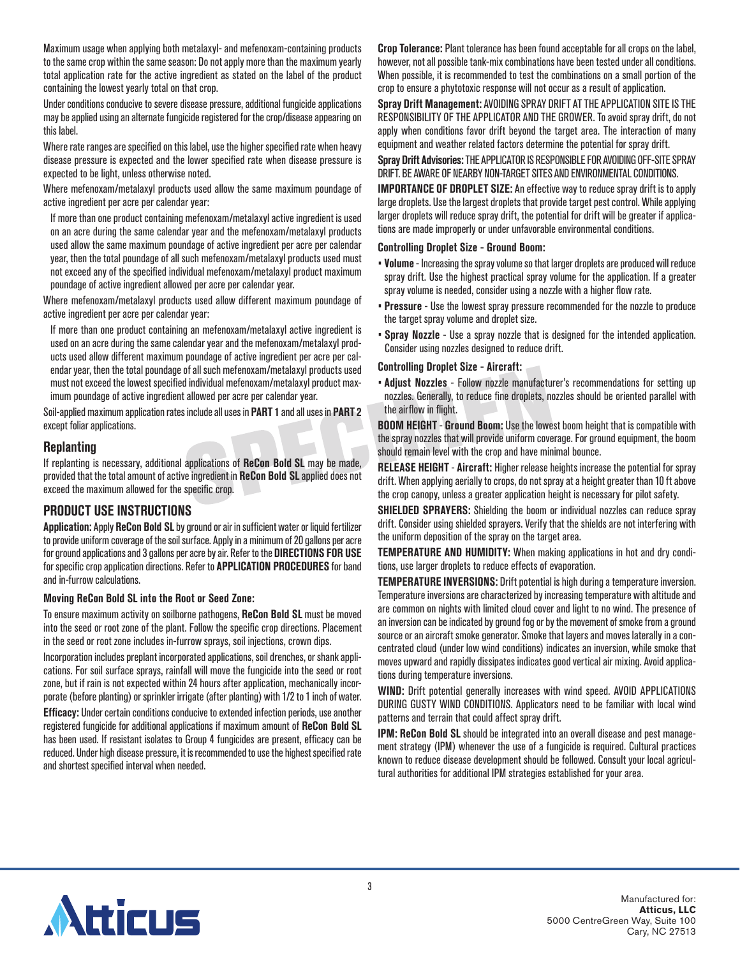Maximum usage when applying both metalaxyl- and mefenoxam-containing products to the same crop within the same season: Do not apply more than the maximum yearly total application rate for the active ingredient as stated on the label of the product containing the lowest yearly total on that crop.

Under conditions conducive to severe disease pressure, additional fungicide applications may be applied using an alternate fungicide registered for the crop/disease appearing on this label.

Where rate ranges are specified on this label, use the higher specified rate when heavy disease pressure is expected and the lower specified rate when disease pressure is expected to be light, unless otherwise noted.

Where mefenoxam/metalaxyl products used allow the same maximum poundage of active ingredient per acre per calendar year:

If more than one product containing mefenoxam/metalaxyl active ingredient is used on an acre during the same calendar year and the mefenoxam/metalaxyl products used allow the same maximum poundage of active ingredient per acre per calendar year, then the total poundage of all such mefenoxam/metalaxyl products used must not exceed any of the specified individual mefenoxam/metalaxyl product maximum poundage of active ingredient allowed per acre per calendar year.

Where mefenoxam/metalaxyl products used allow different maximum poundage of active ingredient per acre per calendar year:

If more than one product containing an mefenoxam/metalaxyl active ingredient is used on an acre during the same calendar year and the mefenoxam/metalaxyl products used allow different maximum poundage of active ingredient per acre per calendar year, then the total poundage of all such mefenoxam/metalaxyl products used must not exceed the lowest specified individual mefenoxam/metalaxyl product maximum poundage of active ingredient allowed per acre per calendar year.

Soil-applied maximum application rates include all uses in **PART 1** and all uses in **PART 2** except foliar applications.

### **Replanting**

If replanting is necessary, additional applications of **ReCon Bold SL** may be made, provided that the total amount of active ingredient in **ReCon Bold SL** applied does not exceed the maximum allowed for the specific crop.

### **PRODUCT USE INSTRUCTIONS**

**Application:** Apply **ReCon Bold SL** by ground or air in sufficient water or liquid fertilizer to provide uniform coverage of the soil surface. Apply in a minimum of 20 gallons per acre for ground applications and 3 gallons per acre by air. Refer to the **DIRECTIONS FOR USE** for specific crop application directions. Refer to **APPLICATION PROCEDURES** for band and in-furrow calculations.

#### **Moving ReCon Bold SL into the Root or Seed Zone:**

To ensure maximum activity on soilborne pathogens, **ReCon Bold SL** must be moved into the seed or root zone of the plant. Follow the specific crop directions. Placement in the seed or root zone includes in-furrow sprays, soil injections, crown dips.

Incorporation includes preplant incorporated applications, soil drenches, or shank applications. For soil surface sprays, rainfall will move the fungicide into the seed or root zone, but if rain is not expected within 24 hours after application, mechanically incorporate (before planting) or sprinkler irrigate (after planting) with 1/2 to 1 inch of water.

**Efficacy:** Under certain conditions conducive to extended infection periods, use another registered fungicide for additional applications if maximum amount of **ReCon Bold SL** has been used. If resistant isolates to Group 4 fungicides are present, efficacy can be reduced. Under high disease pressure, it is recommended to use the highest specified rate and shortest specified interval when needed.

**Crop Tolerance:** Plant tolerance has been found acceptable for all crops on the label, however, not all possible tank-mix combinations have been tested under all conditions. When possible, it is recommended to test the combinations on a small portion of the crop to ensure a phytotoxic response will not occur as a result of application.

**Spray Drift Management:** AVOIDING SPRAY DRIFT AT THE APPLICATION SITE IS THE RESPONSIBILITY OF THE APPLICATOR AND THE GROWER. To avoid spray drift, do not apply when conditions favor drift beyond the target area. The interaction of many equipment and weather related factors determine the potential for spray drift.

**Spray Drift Advisories:** THE APPLICATOR IS RESPONSIBLE FOR AVOIDING OFF-SITE SPRAY DRIFT. BE AWARE OF NEARBY NON-TARGET SITES AND ENVIRONMENTAL CONDITIONS.

**IMPORTANCE OF DROPLET SIZE:** An effective way to reduce spray drift is to apply large droplets. Use the largest droplets that provide target pest control. While applying larger droplets will reduce spray drift, the potential for drift will be greater if applications are made improperly or under unfavorable environmental conditions.

#### **Controlling Droplet Size - Ground Boom:**

- **Volume** Increasing the spray volume so that larger droplets are produced will reduce spray drift. Use the highest practical spray volume for the application. If a greater spray volume is needed, consider using a nozzle with a higher flow rate.
- **Pressure** Use the lowest spray pressure recommended for the nozzle to produce the target spray volume and droplet size.
- **Spray Nozzle** Use a spray nozzle that is designed for the intended application. Consider using nozzles designed to reduce drift.

#### **Controlling Droplet Size - Aircraft:**

• **Adjust Nozzles** - Follow nozzle manufacturer's recommendations for setting up nozzles. Generally, to reduce fine droplets, nozzles should be oriented parallel with the airflow in flight.

**BOOM HEIGHT** - **Ground Boom:** Use the lowest boom height that is compatible with the spray nozzles that will provide uniform coverage. For ground equipment, the boom should remain level with the crop and have minimal bounce.

**RELEASE HEIGHT** - **Aircraft:** Higher release heights increase the potential for spray drift. When applying aerially to crops, do not spray at a height greater than 10 ft above the crop canopy, unless a greater application height is necessary for pilot safety.

**SHIELDED SPRAYERS:** Shielding the boom or individual nozzles can reduce spray drift. Consider using shielded sprayers. Verify that the shields are not interfering with the uniform deposition of the spray on the target area.

**TEMPERATURE AND HUMIDITY:** When making applications in hot and dry conditions, use larger droplets to reduce effects of evaporation.

**TEMPERATURE INVERSIONS:** Drift potential is high during a temperature inversion. Temperature inversions are characterized by increasing temperature with altitude and are common on nights with limited cloud cover and light to no wind. The presence of an inversion can be indicated by ground fog or by the movement of smoke from a ground source or an aircraft smoke generator. Smoke that layers and moves laterally in a concentrated cloud (under low wind conditions) indicates an inversion, while smoke that moves upward and rapidly dissipates indicates good vertical air mixing. Avoid applications during temperature inversions.

**WIND:** Drift potential generally increases with wind speed. AVOID APPLICATIONS DURING GUSTY WIND CONDITIONS. Applicators need to be familiar with local wind patterns and terrain that could affect spray drift.

**IPM: ReCon Bold SL** should be integrated into an overall disease and pest management strategy (IPM) whenever the use of a fungicide is required. Cultural practices known to reduce disease development should be followed. Consult your local agricultural authorities for additional IPM strategies established for your area.

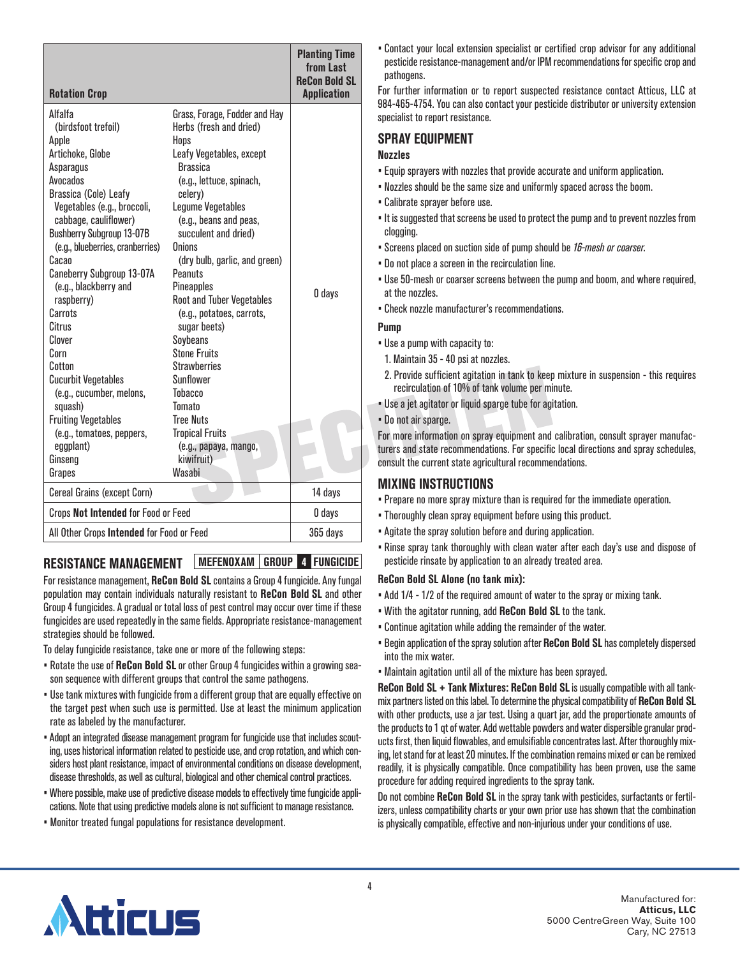| <b>Rotation Crop</b>                                                                                                                                                                                                                                                                                                                                                                                                                                                                                                     |                                                                                                                                                                                                                                                                                                                                                                                                                                                                                                                                                                            | <b>Planting Time</b><br>from Last<br><b>ReCon Bold SL</b><br><b>Application</b> |
|--------------------------------------------------------------------------------------------------------------------------------------------------------------------------------------------------------------------------------------------------------------------------------------------------------------------------------------------------------------------------------------------------------------------------------------------------------------------------------------------------------------------------|----------------------------------------------------------------------------------------------------------------------------------------------------------------------------------------------------------------------------------------------------------------------------------------------------------------------------------------------------------------------------------------------------------------------------------------------------------------------------------------------------------------------------------------------------------------------------|---------------------------------------------------------------------------------|
| Alfalfa<br>(birdsfoot trefoil)<br>Apple<br>Artichoke, Globe<br>Asparagus<br>Avocados<br>Brassica (Cole) Leafy<br>Vegetables (e.g., broccoli,<br>cabbage, cauliflower)<br><b>Bushberry Subgroup 13-07B</b><br>(e.g., blueberries, cranberries)<br>Cacao<br>Caneberry Subgroup 13-07A<br>(e.g., blackberry and<br>raspberry)<br>Carrots<br>Citrus<br>Clover<br>Corn<br>Cotton<br><b>Cucurbit Vegetables</b><br>(e.g., cucumber, melons,<br>squash)<br><b>Fruiting Vegetables</b><br>(e.g., tomatoes, peppers,<br>eggplant) | Grass, Forage, Fodder and Hay<br>Herbs (fresh and dried)<br>Hops<br>Leafy Vegetables, except<br><b>Brassica</b><br>(e.g., lettuce, spinach,<br>celery)<br>Legume Vegetables<br>(e.g., beans and peas,<br>succulent and dried)<br>Onions<br>(dry bulb, garlic, and green)<br>Peanuts<br><b>Pineapples</b><br><b>Root and Tuber Vegetables</b><br>(e.g., potatoes, carrots,<br>sugar beets)<br>Soybeans<br><b>Stone Fruits</b><br><b>Strawherries</b><br>Sunflower<br><b>Tobacco</b><br><b>Tomato</b><br><b>Tree Nuts</b><br><b>Tropical Fruits</b><br>(e.g., papaya, mango, | 0 days                                                                          |
| Ginseng<br>Grapes                                                                                                                                                                                                                                                                                                                                                                                                                                                                                                        | kiwifruit)<br>Wasabi                                                                                                                                                                                                                                                                                                                                                                                                                                                                                                                                                       |                                                                                 |
| <b>Cereal Grains (except Corn)</b>                                                                                                                                                                                                                                                                                                                                                                                                                                                                                       | 14 days                                                                                                                                                                                                                                                                                                                                                                                                                                                                                                                                                                    |                                                                                 |
| Crops Not Intended for Food or Feed                                                                                                                                                                                                                                                                                                                                                                                                                                                                                      |                                                                                                                                                                                                                                                                                                                                                                                                                                                                                                                                                                            | 0 days                                                                          |
| All Other Crops Intended for Food or Feed                                                                                                                                                                                                                                                                                                                                                                                                                                                                                |                                                                                                                                                                                                                                                                                                                                                                                                                                                                                                                                                                            | 365 days                                                                        |

## **RESISTANCE MANAGEMENT MEFENOXAM GROUP 4 FUNGICIDE**

For resistance management, **ReCon Bold SL** contains a Group 4 fungicide. Any fungal population may contain individuals naturally resistant to **ReCon Bold SL** and other Group 4 fungicides. A gradual or total loss of pest control may occur over time if these fungicides are used repeatedly in the same fields. Appropriate resistance-management strategies should be followed.

To delay fungicide resistance, take one or more of the following steps:

- Rotate the use of **ReCon Bold SL** or other Group 4 fungicides within a growing season sequence with different groups that control the same pathogens.
- Use tank mixtures with fungicide from a different group that are equally effective on the target pest when such use is permitted. Use at least the minimum application rate as labeled by the manufacturer.
- Adopt an integrated disease management program for fungicide use that includes scouting, uses historical information related to pesticide use, and crop rotation, and which considers host plant resistance, impact of environmental conditions on disease development, disease thresholds, as well as cultural, biological and other chemical control practices.
- Where possible, make use of predictive disease models to effectively time fungicide applications. Note that using predictive models alone is not sufficient to manage resistance.
- Monitor treated fungal populations for resistance development.

• Contact your local extension specialist or certified crop advisor for any additional pesticide resistance-management and/or IPM recommendations for specific crop and pathogens.

For further information or to report suspected resistance contact Atticus, LLC at 984-465-4754. You can also contact your pesticide distributor or university extension specialist to report resistance.

## **SPRAY EQUIPMENT**

#### **Nozzles**

- Equip sprayers with nozzles that provide accurate and uniform application.
- Nozzles should be the same size and uniformly spaced across the boom.
- Calibrate sprayer before use.
- It is suggested that screens be used to protect the pump and to prevent nozzles from clogging.
- Screens placed on suction side of pump should be *16-mesh or coarser*.
- Do not place a screen in the recirculation line.
- Use 50-mesh or coarser screens between the pump and boom, and where required, at the nozzles.
- Check nozzle manufacturer's recommendations.

#### **Pump**

- Use a pump with capacity to:
- 1. Maintain 35 40 psi at nozzles.
- 2. Provide sufficient agitation in tank to keep mixture in suspension this requires recirculation of 10% of tank volume per minute.
- Use a jet agitator or liquid sparge tube for agitation.
- Do not air sparge.

For more information on spray equipment and calibration, consult sprayer manufacturers and state recommendations. For specific local directions and spray schedules, consult the current state agricultural recommendations.

## **MIXING INSTRUCTIONS**

- Prepare no more spray mixture than is required for the immediate operation.
- Thoroughly clean spray equipment before using this product.
- Agitate the spray solution before and during application.
- Rinse spray tank thoroughly with clean water after each day's use and dispose of pesticide rinsate by application to an already treated area.

### **ReCon Bold SL Alone (no tank mix):**

- Add 1/4 1/2 of the required amount of water to the spray or mixing tank.
- With the agitator running, add **ReCon Bold SL** to the tank.
- Continue agitation while adding the remainder of the water.
- Begin application of the spray solution after **ReCon Bold SL** has completely dispersed into the mix water.
- Maintain agitation until all of the mixture has been sprayed.

**ReCon Bold SL + Tank Mixtures: ReCon Bold SL** is usually compatible with all tankmix partners listed on this label. To determine the physical compatibility of **ReCon Bold SL** with other products, use a jar test. Using a quart jar, add the proportionate amounts of the products to 1 qt of water. Add wettable powders and water dispersible granular products first, then liquid flowables, and emulsifiable concentrates last. After thoroughly mixing, let stand for at least 20 minutes. If the combination remains mixed or can be remixed readily, it is physically compatible. Once compatibility has been proven, use the same procedure for adding required ingredients to the spray tank.

Do not combine **ReCon Bold SL** in the spray tank with pesticides, surfactants or fertilizers, unless compatibility charts or your own prior use has shown that the combination is physically compatible, effective and non-injurious under your conditions of use.

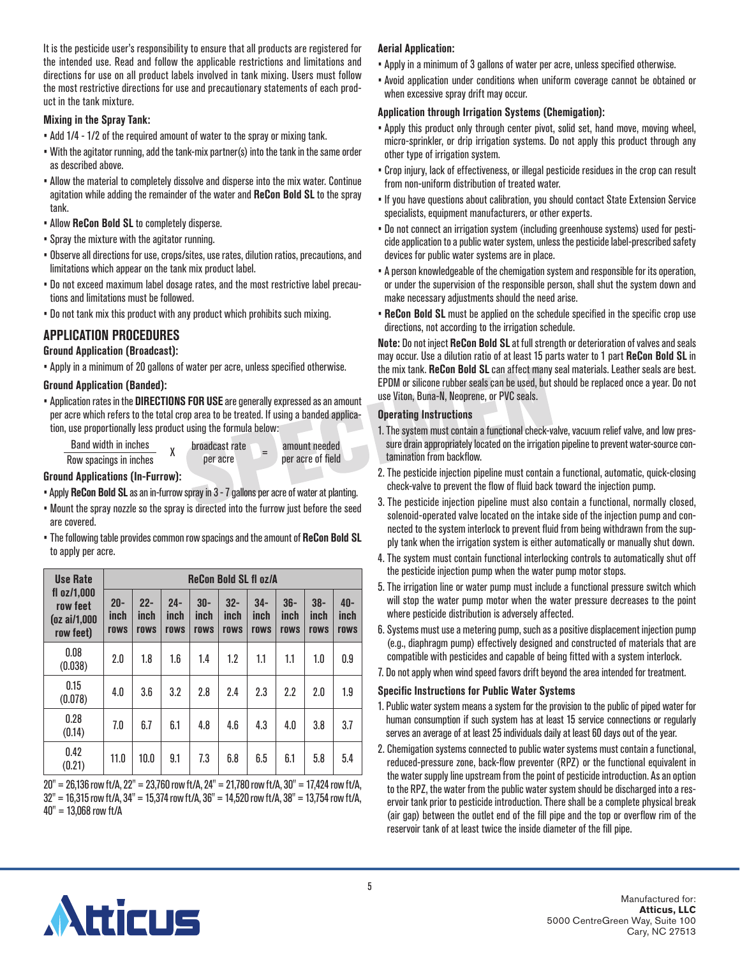It is the pesticide user's responsibility to ensure that all products are registered for the intended use. Read and follow the applicable restrictions and limitations and directions for use on all product labels involved in tank mixing. Users must follow the most restrictive directions for use and precautionary statements of each product in the tank mixture.

#### **Mixing in the Spray Tank:**

- Add 1/4 1/2 of the required amount of water to the spray or mixing tank.
- With the agitator running, add the tank-mix partner(s) into the tank in the same order as described above.
- Allow the material to completely dissolve and disperse into the mix water. Continue agitation while adding the remainder of the water and **ReCon Bold SL** to the spray tank.
- Allow **ReCon Bold SL** to completely disperse.
- Spray the mixture with the agitator running.
- Observe all directions for use, crops/sites, use rates, dilution ratios, precautions, and limitations which appear on the tank mix product label.
- Do not exceed maximum label dosage rates, and the most restrictive label precautions and limitations must be followed.
- Do not tank mix this product with any product which prohibits such mixing.

## **APPLICATION PROCEDURES**

### **Ground Application (Broadcast):**

• Apply in a minimum of 20 gallons of water per acre, unless specified otherwise.

### **Ground Application (Banded):**

- Application rates in the **DIRECTIONS FOR USE** are generally expressed as an amount per acre which refers to the total crop area to be treated. If using a banded application, use proportionally less product using the formula below:
	- $\frac{\text{Band width in inches}}{\text{Now spacinas in inches}}$  X broadcast rate Row spacings in inches
		- amount needed<br>per acre of field

**Ground Applications (In-Furrow):**

- Apply **ReCon Bold SL** as an in-furrow spray in 3 7 gallons per acre of water at planting.
- Mount the spray nozzle so the spray is directed into the furrow just before the seed are covered.
- The following table provides common row spacings and the amount of **ReCon Bold SL** to apply per acre.

| <b>Use Rate</b>                                           | <b>ReCon Bold SL fl oz/A</b> |                        |                        |                       |                        |                              |                       |                        |                     |
|-----------------------------------------------------------|------------------------------|------------------------|------------------------|-----------------------|------------------------|------------------------------|-----------------------|------------------------|---------------------|
| $fl$ oz/1.000<br>row feet<br>$(oz\ ai/1,000$<br>row feet) | $20-$<br>inch<br>rows        | $22 -$<br>inch<br>rows | $24 -$<br>inch<br>rows | $30-$<br>inch<br>rows | $32 -$<br>inch<br>rows | $34-$<br>inch<br><b>rows</b> | $36-$<br>inch<br>rows | $38 -$<br>inch<br>rows | 40-<br>inch<br>rows |
| 0.08<br>(0.038)                                           | 2.0                          | 1.8                    | 1.6                    | 1.4                   | 1.2                    | 1.1                          | 1.1                   | 1.0                    | 0.9                 |
| 0.15<br>(0.078)                                           | 4.0                          | 3.6                    | 3.2                    | 2.8                   | 2.4                    | 2.3                          | 2.2                   | 2.0                    | 1.9                 |
| 0.28<br>(0.14)                                            | 7.0                          | 6.7                    | 6.1                    | 4.8                   | 4.6                    | 4.3                          | 4.0                   | 3.8                    | 3.7                 |
| 0.42<br>(0.21)                                            | 11.0                         | 10.0                   | 9.1                    | 7.3                   | 6.8                    | 6.5                          | 6.1                   | 5.8                    | 5.4                 |

20" = 26,136 row ft/A, 22" = 23,760 row ft/A, 24" = 21,780 row ft/A, 30" = 17,424 row ft/A,  $32" = 16,315$  row ft/A,  $34" = 15,374$  row ft/A,  $36" = 14,520$  row ft/A,  $38" = 13,754$  row ft/A, 40" = 13,068 row ft/A

### **Aerial Application:**

- Apply in a minimum of 3 gallons of water per acre, unless specified otherwise.
- Avoid application under conditions when uniform coverage cannot be obtained or when excessive spray drift may occur.

### **Application through Irrigation Systems (Chemigation):**

- Apply this product only through center pivot, solid set, hand move, moving wheel, micro-sprinkler, or drip irrigation systems. Do not apply this product through any other type of irrigation system.
- Crop injury, lack of effectiveness, or illegal pesticide residues in the crop can result from non-uniform distribution of treated water.
- If you have questions about calibration, you should contact State Extension Service specialists, equipment manufacturers, or other experts.
- Do not connect an irrigation system (including greenhouse systems) used for pesticide application to a public water system, unless the pesticide label-prescribed safety devices for public water systems are in place.
- A person knowledgeable of the chemigation system and responsible for its operation, or under the supervision of the responsible person, shall shut the system down and make necessary adjustments should the need arise.
- **ReCon Bold SL** must be applied on the schedule specified in the specific crop use directions, not according to the irrigation schedule.

**Note:** Do not inject **ReCon Bold SL** at full strength or deterioration of valves and seals may occur. Use a dilution ratio of at least 15 parts water to 1 part **ReCon Bold SL** in the mix tank. **ReCon Bold SL** can affect many seal materials. Leather seals are best. EPDM or silicone rubber seals can be used, but should be replaced once a year. Do not use Viton, Buna-N, Neoprene, or PVC seals.

### **Operating Instructions**

- 1. The system must contain a functional check-valve, vacuum relief valve, and low pressure drain appropriately located on the irrigation pipeline to prevent water-source contamination from backflow.
- 2. The pesticide injection pipeline must contain a functional, automatic, quick-closing check-valve to prevent the flow of fluid back toward the injection pump.
- 3. The pesticide injection pipeline must also contain a functional, normally closed, solenoid-operated valve located on the intake side of the injection pump and connected to the system interlock to prevent fluid from being withdrawn from the supply tank when the irrigation system is either automatically or manually shut down.
- 4. The system must contain functional interlocking controls to automatically shut off the pesticide injection pump when the water pump motor stops.
- 5. The irrigation line or water pump must include a functional pressure switch which will stop the water pump motor when the water pressure decreases to the point where pesticide distribution is adversely affected.
- 6. Systems must use a metering pump, such as a positive displacement injection pump (e.g., diaphragm pump) effectively designed and constructed of materials that are compatible with pesticides and capable of being fitted with a system interlock.
- 7. Do not apply when wind speed favors drift beyond the area intended for treatment.

## **Specific Instructions for Public Water Systems**

- 1. Public water system means a system for the provision to the public of piped water for human consumption if such system has at least 15 service connections or regularly serves an average of at least 25 individuals daily at least 60 days out of the year.
- 2. Chemigation systems connected to public water systems must contain a functional, reduced-pressure zone, back-flow preventer (RPZ) or the functional equivalent in the water supply line upstream from the point of pesticide introduction. As an option to the RPZ, the water from the public water system should be discharged into a reservoir tank prior to pesticide introduction. There shall be a complete physical break (air gap) between the outlet end of the fill pipe and the top or overflow rim of the reservoir tank of at least twice the inside diameter of the fill pipe.

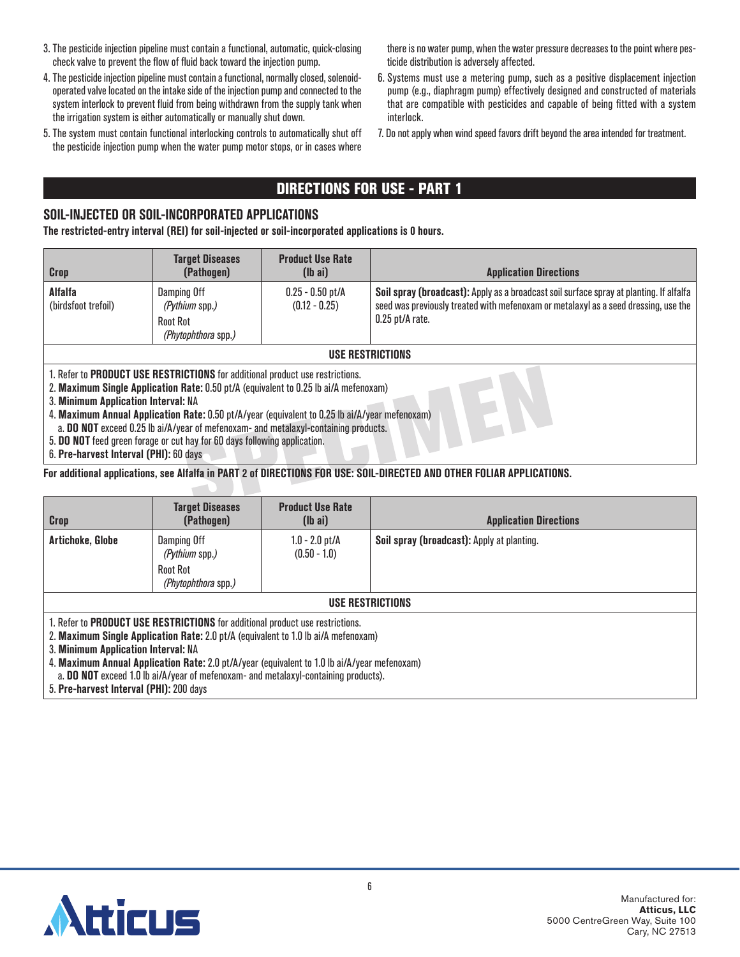- 3. The pesticide injection pipeline must contain a functional, automatic, quick-closing check valve to prevent the flow of fluid back toward the injection pump.
- 4. The pesticide injection pipeline must contain a functional, normally closed, solenoidoperated valve located on the intake side of the injection pump and connected to the system interlock to prevent fluid from being withdrawn from the supply tank when the irrigation system is either automatically or manually shut down.
- 5. The system must contain functional interlocking controls to automatically shut off the pesticide injection pump when the water pump motor stops, or in cases where

there is no water pump, when the water pressure decreases to the point where pesticide distribution is adversely affected.

- 6. Systems must use a metering pump, such as a positive displacement injection pump (e.g., diaphragm pump) effectively designed and constructed of materials that are compatible with pesticides and capable of being fitted with a system interlock.
- 7. Do not apply when wind speed favors drift beyond the area intended for treatment.

## DIRECTIONS FOR USE - PART 1

## **SOIL-INJECTED OR SOIL-INCORPORATED APPLICATIONS**

**The restricted-entry interval (REI) for soil-injected or soil-incorporated applications is 0 hours.**

| <b>Crop</b>                                                                                                                                                                                                                                                                                                                                                                                           | <b>Target Diseases</b><br>(Pathogen)                                    | <b>Product Use Rate</b><br>$(lb\text{ ai})$ | <b>Application Directions</b>                                                                                                                                                                       |  |  |  |
|-------------------------------------------------------------------------------------------------------------------------------------------------------------------------------------------------------------------------------------------------------------------------------------------------------------------------------------------------------------------------------------------------------|-------------------------------------------------------------------------|---------------------------------------------|-----------------------------------------------------------------------------------------------------------------------------------------------------------------------------------------------------|--|--|--|
| <b>Alfalfa</b><br>(birdsfoot trefoil)                                                                                                                                                                                                                                                                                                                                                                 | Damping Off<br>(Pythium spp.)<br><b>Root Rot</b><br>(Phytophthora spp.) | $0.25 - 0.50$ pt/A<br>$(0.12 - 0.25)$       | Soil spray (broadcast): Apply as a broadcast soil surface spray at planting. If alfalfa<br>seed was previously treated with mefenoxam or metalaxyl as a seed dressing, use the<br>$0.25$ pt/A rate. |  |  |  |
|                                                                                                                                                                                                                                                                                                                                                                                                       | USE RESTRICTIONS                                                        |                                             |                                                                                                                                                                                                     |  |  |  |
| 1. Refer to PRODUCT USE RESTRICTIONS for additional product use restrictions.<br>2. Maximum Single Application Rate: 0.50 pt/A (equivalent to 0.25 lb ai/A mefenoxam)<br>3. Minimum Application Interval: NA<br>4. Maximum Annual Application Rate: 0.50 pt/A/year (equivalent to 0.25 lb ai/A/year mefenoxam)<br>a. DO NOT exceed 0.25 lb ai/A/year of mefenoxam- and metalaxyl-containing products. |                                                                         |                                             |                                                                                                                                                                                                     |  |  |  |
| 5. DO NOT feed green forage or cut hay for 60 days following application.                                                                                                                                                                                                                                                                                                                             |                                                                         |                                             |                                                                                                                                                                                                     |  |  |  |

6. **Pre-harvest Interval (PHI):** 60 days

**For additional applications, see Alfalfa in PART 2 of DIRECTIONS FOR USE: SOIL-DIRECTED AND OTHER FOLIAR APPLICATIONS.**

| <b>Crop</b>                                                                                                                                                                                                                                                                                                | <b>Target Diseases</b><br>(Pathogen)                                           | <b>Product Use Rate</b><br>$(lb\text{ ai})$ | <b>Application Directions</b>              |  |  |
|------------------------------------------------------------------------------------------------------------------------------------------------------------------------------------------------------------------------------------------------------------------------------------------------------------|--------------------------------------------------------------------------------|---------------------------------------------|--------------------------------------------|--|--|
| Artichoke, Globe                                                                                                                                                                                                                                                                                           | Damping Off<br><i>(Pythium spp.)</i><br><b>Root Rot</b><br>(Phytophthora spp.) | $1.0 - 2.0$ pt/A<br>$(0.50 - 1.0)$          | Soil spray (broadcast): Apply at planting. |  |  |
| USE RESTRICTIONS                                                                                                                                                                                                                                                                                           |                                                                                |                                             |                                            |  |  |
| 1. Refer to PRODUCT USE RESTRICTIONS for additional product use restrictions.<br>2. Maximum Single Application Rate: 2.0 pt/A (equivalent to 1.0 lb ai/A mefenoxam)<br>3. Minimum Application Interval: NA<br>A. Maximum Annual Annlication Rate: 2 0 nt/A/year (equivalent to 1 0 lb ai/A/year metenovam) |                                                                                |                                             |                                            |  |  |

4. **Maximum Annual Application Rate:** 2.0 pt/A/year (equivalent to 1.0 lb ai/A/year mefenoxam)

a. **DO NOT** exceed 1.0 lb ai/A/year of mefenoxam- and metalaxyl-containing products).

5. **Pre-harvest Interval (PHI):** 200 days

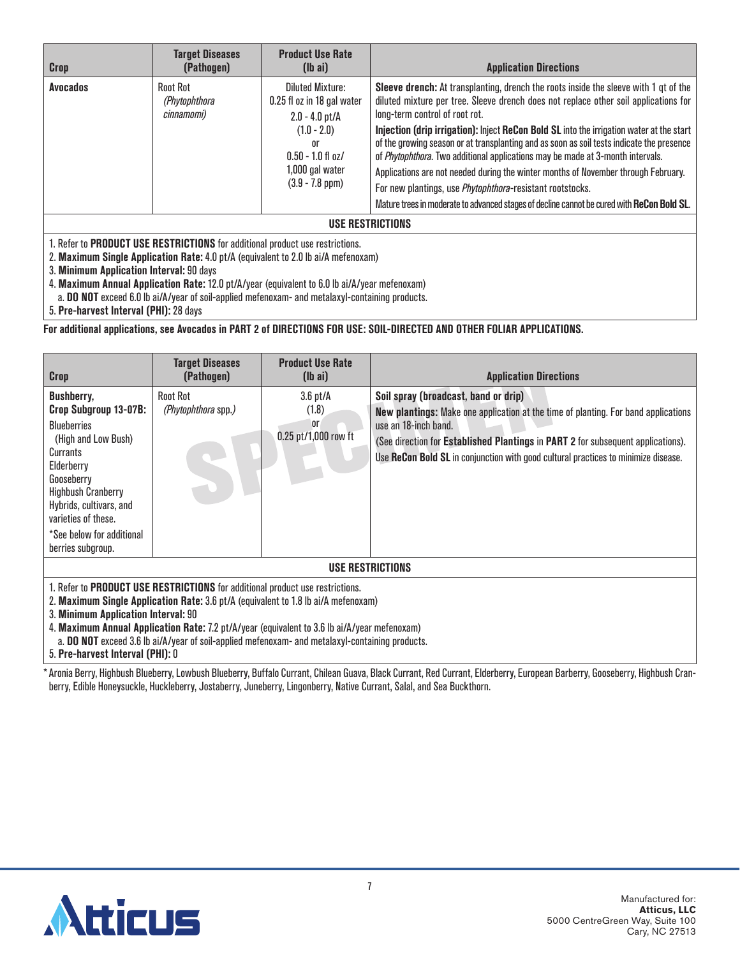| <b>Crop</b>      | <b>Target Diseases</b><br>(Pathogen)           | <b>Product Use Rate</b><br>$(lb\text{ ai})$                                                                                                                             | <b>Application Directions</b>                                                                                                                                                                                                                                                                                                                                                                                                                                                                                                                                                                                                                                                                                                                             |  |
|------------------|------------------------------------------------|-------------------------------------------------------------------------------------------------------------------------------------------------------------------------|-----------------------------------------------------------------------------------------------------------------------------------------------------------------------------------------------------------------------------------------------------------------------------------------------------------------------------------------------------------------------------------------------------------------------------------------------------------------------------------------------------------------------------------------------------------------------------------------------------------------------------------------------------------------------------------------------------------------------------------------------------------|--|
| <b>Avocados</b>  | <b>Root Rot</b><br>(Phytophthora<br>cinnamomi) | <b>Diluted Mixture:</b><br>0.25 fl oz in 18 gal water<br>$2.0 - 4.0$ pt/A<br>$(1.0 - 2.0)$<br>0r<br>$0.50 - 1.0$ fl oz/<br>1,000 gal water<br>$(3.9 - 7.8 \text{ ppm})$ | <b>Sleeve drench:</b> At transplanting, drench the roots inside the sleeve with 1 qt of the<br>diluted mixture per tree. Sleeve drench does not replace other soil applications for<br>long-term control of root rot.<br>Injection (drip irrigation): Inject ReCon Bold SL into the irrigation water at the start<br>of the growing season or at transplanting and as soon as soil tests indicate the presence<br>of Phytophthora. Two additional applications may be made at 3-month intervals.<br>Applications are not needed during the winter months of November through February.<br>For new plantings, use <i>Phytophthora</i> -resistant rootstocks.<br>Mature trees in moderate to advanced stages of decline cannot be cured with ReCon Bold SL. |  |
| USE RESTRICTIONS |                                                |                                                                                                                                                                         |                                                                                                                                                                                                                                                                                                                                                                                                                                                                                                                                                                                                                                                                                                                                                           |  |

2. **Maximum Single Application Rate:** 4.0 pt/A (equivalent to 2.0 lb ai/A mefenoxam)

3. **Minimum Application Interval:** 90 days

4. **Maximum Annual Application Rate:** 12.0 pt/A/year (equivalent to 6.0 lb ai/A/year mefenoxam)

a. **DO NOT** exceed 6.0 lb ai/A/year of soil-applied mefenoxam- and metalaxyl-containing products.

5. **Pre-harvest Interval (PHI):** 28 days

**For additional applications, see Avocados in PART 2 of DIRECTIONS FOR USE: SOIL-DIRECTED AND OTHER FOLIAR APPLICATIONS.**

| <b>Crop</b>                                                                                                                                                                                                                                                                                                                                                                                                                                              | <b>Target Diseases</b><br>(Pathogen)   | <b>Product Use Rate</b><br>$(lb\ a)$              | <b>Application Directions</b>                                                                                                                                                                                                                                                                                                |
|----------------------------------------------------------------------------------------------------------------------------------------------------------------------------------------------------------------------------------------------------------------------------------------------------------------------------------------------------------------------------------------------------------------------------------------------------------|----------------------------------------|---------------------------------------------------|------------------------------------------------------------------------------------------------------------------------------------------------------------------------------------------------------------------------------------------------------------------------------------------------------------------------------|
| <b>Bushberry,</b><br>Crop Subgroup 13-07B:<br><b>Blueberries</b><br>(High and Low Bush)<br>Currants<br>Elderberry<br>Gooseberry<br><b>Highbush Cranberry</b><br>Hybrids, cultivars, and<br>varieties of these.<br>*See below for additional<br>berries subgroup.                                                                                                                                                                                         | <b>Root Rot</b><br>(Phytophthora spp.) | $3.6$ pt/A<br>(1.8)<br>0r<br>0.25 pt/1,000 row ft | Soil spray (broadcast, band or drip)<br>New plantings: Make one application at the time of planting. For band applications<br>use an 18-inch band.<br>(See direction for Established Plantings in PART 2 for subsequent applications).<br>Use ReCon Bold SL in conjunction with good cultural practices to minimize disease. |
|                                                                                                                                                                                                                                                                                                                                                                                                                                                          |                                        |                                                   | USE RESTRICTIONS                                                                                                                                                                                                                                                                                                             |
| 1. Refer to <b>PRODUCT USE RESTRICTIONS</b> for additional product use restrictions.<br>2. Maximum Single Application Rate: 3.6 pt/A (equivalent to 1.8 lb ai/A mefenoxam)<br>3. Minimum Application Interval: 90<br>4. Maximum Annual Application Rate: 7.2 pt/A/year (equivalent to 3.6 lb ai/A/year mefenoxam)<br>a. DO NOT exceed 3.6 lb ai/A/year of soil-applied mefenoxam- and metalaxyl-containing products.<br>5. Pre-harvest Interval (PHI): 0 |                                        |                                                   |                                                                                                                                                                                                                                                                                                                              |

\*Aronia Berry, Highbush Blueberry, Lowbush Blueberry, Buffalo Currant, Chilean Guava, Black Currant, Red Currant, Elderberry, European Barberry, Gooseberry, Highbush Cranberry, Edible Honeysuckle, Huckleberry, Jostaberry, Juneberry, Lingonberry, Native Currant, Salal, and Sea Buckthorn.

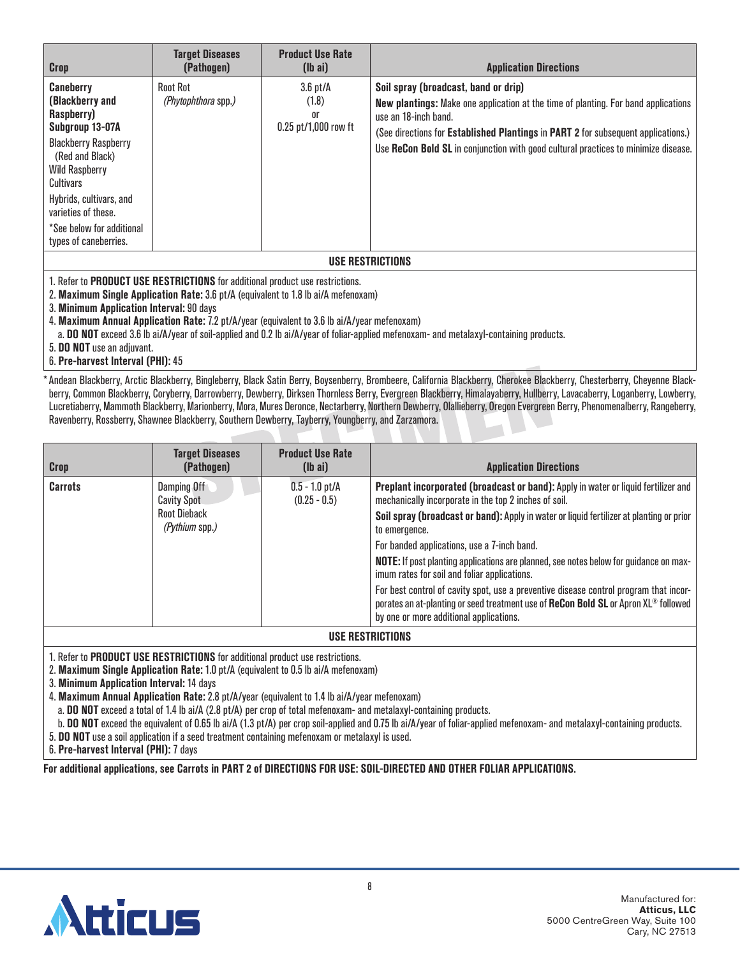| Crop                                                                                                                                                                                                                                                                                                                                                                                                                                                      | <b>Target Diseases</b><br>(Pathogen)          | <b>Product Use Rate</b><br>$(lb\text{ ai})$            | <b>Application Directions</b>                                                                                                                                                                                                                                                                                                        |  |  |
|-----------------------------------------------------------------------------------------------------------------------------------------------------------------------------------------------------------------------------------------------------------------------------------------------------------------------------------------------------------------------------------------------------------------------------------------------------------|-----------------------------------------------|--------------------------------------------------------|--------------------------------------------------------------------------------------------------------------------------------------------------------------------------------------------------------------------------------------------------------------------------------------------------------------------------------------|--|--|
| Caneberry<br>(Blackberry and<br>Raspberry)<br>Subgroup 13-07A<br><b>Blackberry Raspberry</b><br>(Red and Black)<br><b>Wild Raspberry</b><br>Cultivars<br>Hybrids, cultivars, and<br>varieties of these.<br>*See below for additional<br>types of caneberries.                                                                                                                                                                                             | <b>Root Rot</b><br><i>(Phytophthora spp.)</i> | $3.6$ pt/ $A$<br>(1.8)<br>or<br>$0.25$ pt/1,000 row ft | Soil spray (broadcast, band or drip)<br><b>New plantings:</b> Make one application at the time of planting. For band applications<br>use an 18-inch band.<br>(See directions for Established Plantings in PART 2 for subsequent applications.)<br>Use ReCon Bold SL in conjunction with good cultural practices to minimize disease. |  |  |
| <b>USE RESTRICTIONS</b>                                                                                                                                                                                                                                                                                                                                                                                                                                   |                                               |                                                        |                                                                                                                                                                                                                                                                                                                                      |  |  |
| 1. Refer to PRODUCT USE RESTRICTIONS for additional product use restrictions.<br>2. Maximum Single Application Rate: 3.6 pt/A (equivalent to 1.8 lb ai/A mefenoxam)<br>3. Minimum Application Interval: 90 days<br>4. Maximum Annual Application Rate: 7.2 pt/A/year (equivalent to 3.6 lb ai/A/year mefenoxam)<br>a. DO NOT exceed 3.6 lb ai/A/year of soil-applied and 0.2 lb ai/A/year of foliar-applied mefenoxam- and metalaxyl-containing products. |                                               |                                                        |                                                                                                                                                                                                                                                                                                                                      |  |  |

5. **DO NOT** use an adjuvant.

#### 6. **Pre-harvest Interval (PHI):** 45

\*Andean Blackberry, Arctic Blackberry, Bingleberry, Black Satin Berry, Boysenberry, Brombeere, California Blackberry, Cherokee Blackberry, Chesterberry, Cheyenne Blackberry, Common Blackberry, Coryberry, Darrowberry, Dewberry, Dirksen Thornless Berry, Evergreen Blackberry, Himalayaberry, Hullberry, Lavacaberry, Loganberry, Lowberry, Lucretiaberry, Mammoth Blackberry, Marionberry, Mora, Mures Deronce, Nectarberry, Northern Dewberry, Olallieberry, Oregon Evergreen Berry, Phenomenalberry, Rangeberry, Ravenberry, Rossberry, Shawnee Blackberry, Southern Dewberry, Tayberry, Youngberry, and Zarzamora.

| <b>Crop</b>      | <b>Target Diseases</b><br>(Pathogen)                                       | <b>Product Use Rate</b><br>$(lb\text{ ai})$ | <b>Application Directions</b>                                                                                                                                                                                                                                                                                                                                                                                                                                                                                                                                                                                                                                               |  |
|------------------|----------------------------------------------------------------------------|---------------------------------------------|-----------------------------------------------------------------------------------------------------------------------------------------------------------------------------------------------------------------------------------------------------------------------------------------------------------------------------------------------------------------------------------------------------------------------------------------------------------------------------------------------------------------------------------------------------------------------------------------------------------------------------------------------------------------------------|--|
| <b>Carrots</b>   | Damping Off<br><b>Cavity Spot</b><br><b>Root Dieback</b><br>(Pythium spp.) | $0.5 - 1.0$ pt/A<br>$(0.25 - 0.5)$          | Preplant incorporated (broadcast or band): Apply in water or liquid fertilizer and<br>mechanically incorporate in the top 2 inches of soil.<br>Soil spray (broadcast or band): Apply in water or liquid fertilizer at planting or prior<br>to emergence.<br>For banded applications, use a 7-inch band.<br>NOTE: If post planting applications are planned, see notes below for guidance on max-<br>imum rates for soil and foliar applications.<br>For best control of cavity spot, use a preventive disease control program that incor-<br>porates an at-planting or seed treatment use of ReCon Bold SL or Apron XL® followed<br>by one or more additional applications. |  |
| USE RESTRICTIONS |                                                                            |                                             |                                                                                                                                                                                                                                                                                                                                                                                                                                                                                                                                                                                                                                                                             |  |

1. Refer to **PRODUCT USE RESTRICTIONS** for additional product use restrictions.

2. **Maximum Single Application Rate:** 1.0 pt/A (equivalent to 0.5 lb ai/A mefenoxam)

3. **Minimum Application Interval:** 14 days

4. **Maximum Annual Application Rate:** 2.8 pt/A/year (equivalent to 1.4 lb ai/A/year mefenoxam)

a. **DO NOT** exceed a total of 1.4 lb ai/A (2.8 pt/A) per crop of total mefenoxam- and metalaxyl-containing products.

b. **DO NOT** exceed the equivalent of 0.65 lb ai/A (1.3 pt/A) per crop soil-applied and 0.75 lb ai/A/year of foliar-applied mefenoxam- and metalaxyl-containing products.

5. **DO NOT** use a soil application if a seed treatment containing mefenoxam or metalaxyl is used.

6. **Pre-harvest Interval (PHI):** 7 days

**For additional applications, see Carrots in PART 2 of DIRECTIONS FOR USE: SOIL-DIRECTED AND OTHER FOLIAR APPLICATIONS.**

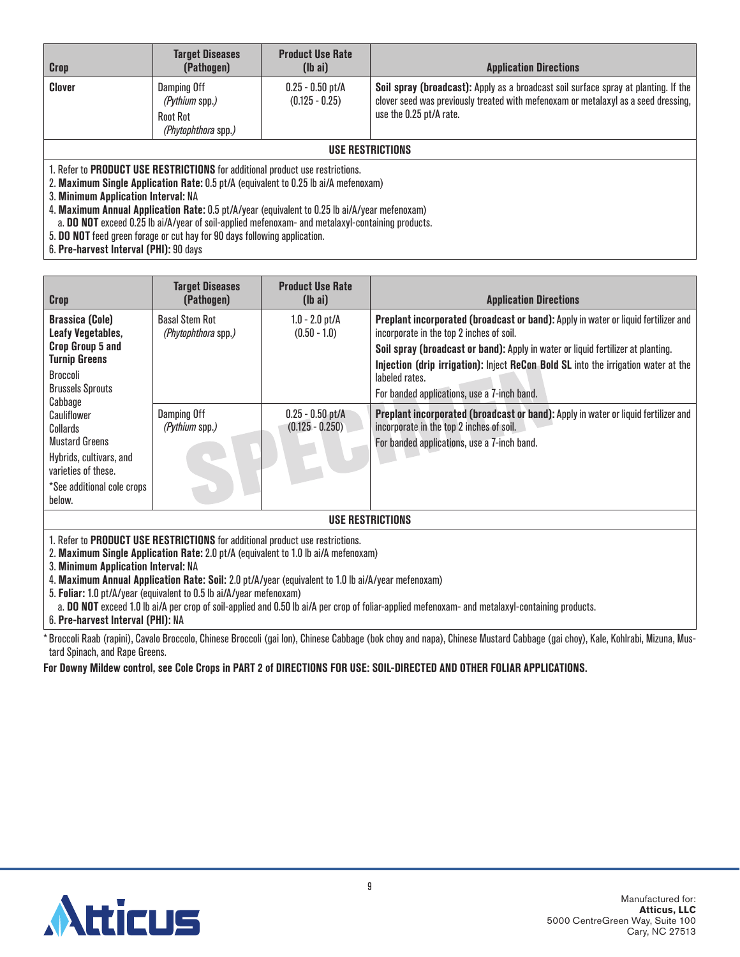| Crop                                                                                                                                                                                                                                                                                                                | <b>Target Diseases</b><br>(Pathogen)                             | <b>Product Use Rate</b><br>$(lb\text{ ai})$ | <b>Application Directions</b>                                                                                                                                                                        |  |  |  |
|---------------------------------------------------------------------------------------------------------------------------------------------------------------------------------------------------------------------------------------------------------------------------------------------------------------------|------------------------------------------------------------------|---------------------------------------------|------------------------------------------------------------------------------------------------------------------------------------------------------------------------------------------------------|--|--|--|
| Clover                                                                                                                                                                                                                                                                                                              | Damping Off<br>(Pythium spp.)<br>Root Rot<br>(Phytophthora spp.) | $0.25 - 0.50$ pt/A<br>$(0.125 - 0.25)$      | Soil spray (broadcast): Apply as a broadcast soil surface spray at planting. If the<br>clover seed was previously treated with mefenoxam or metalaxyl as a seed dressing,<br>use the 0.25 pt/A rate. |  |  |  |
|                                                                                                                                                                                                                                                                                                                     | USE RESTRICTIONS                                                 |                                             |                                                                                                                                                                                                      |  |  |  |
| 1. Refer to <b>PRODUCT USE RESTRICTIONS</b> for additional product use restrictions.<br>2. Maximum Single Application Rate: 0.5 pt/A (equivalent to 0.25 lb ai/A mefenoxam)<br>3. Minimum Application Interval: NA<br>4. Maximum Annual Application Rate: 0.5 pt/A/year (equivalent to 0.25 lb ai/A/year mefenoxam) |                                                                  |                                             |                                                                                                                                                                                                      |  |  |  |
| a. DO NOT exceed 0.25 lb ai/A/year of soil-applied mefenoxam- and metalaxyl-containing products.<br>5. DO NOT feed green forage or cut hay for 90 days following application.                                                                                                                                       |                                                                  |                                             |                                                                                                                                                                                                      |  |  |  |

6. **Pre-harvest Interval (PHI):** 90 days

| <b>Crop</b>                                                                                                                                                                | <b>Target Diseases</b><br>(Pathogen)         | <b>Product Use Rate</b><br>$(\mathsf{lb} \; \mathsf{ai})$ | <b>Application Directions</b>                                                                                                                                                                                                                                                                                                                                             |  |
|----------------------------------------------------------------------------------------------------------------------------------------------------------------------------|----------------------------------------------|-----------------------------------------------------------|---------------------------------------------------------------------------------------------------------------------------------------------------------------------------------------------------------------------------------------------------------------------------------------------------------------------------------------------------------------------------|--|
| <b>Brassica (Cole)</b><br>Leafy Vegetables,<br>Crop Group 5 and<br><b>Turnip Greens</b><br>Broccoli<br><b>Brussels Sprouts</b>                                             | <b>Basal Stem Rot</b><br>(Phytophthora spp.) | $1.0 - 2.0$ pt/A<br>$(0.50 - 1.0)$                        | Preplant incorporated (broadcast or band): Apply in water or liquid fertilizer and<br>incorporate in the top 2 inches of soil.<br>Soil spray (broadcast or band): Apply in water or liquid fertilizer at planting.<br>Injection (drip irrigation): Inject ReCon Bold SL into the irrigation water at the<br>labeled rates.<br>For banded applications, use a 7-inch band. |  |
| Cabbage<br>Cauliflower<br>Collards<br><b>Mustard Greens</b><br>Hybrids, cultivars, and<br>varieties of these.<br>*See additional cole crops<br>below.                      | Damping Off<br>(Pythium spp.)                | $0.25 - 0.50$ pt/A<br>$(0.125 - 0.250)$                   | Preplant incorporated (broadcast or band): Apply in water or liquid fertilizer and<br>incorporate in the top 2 inches of soil.<br>For banded applications, use a 7-inch band.                                                                                                                                                                                             |  |
| <b>USE RESTRICTIONS</b>                                                                                                                                                    |                                              |                                                           |                                                                                                                                                                                                                                                                                                                                                                           |  |
| 1. Refer to <b>PRODUCT USE RESTRICTIONS</b> for additional product use restrictions.<br>2. Maximum Single Application Rate: 2.0 pt/A (equivalent to 1.0 lb ai/A mefenoxam) |                                              |                                                           |                                                                                                                                                                                                                                                                                                                                                                           |  |

3. **Minimum Application Interval:** NA

4. **Maximum Annual Application Rate: Soil:** 2.0 pt/A/year (equivalent to 1.0 lb ai/A/year mefenoxam)

5. **Foliar:** 1.0 pt/A/year (equivalent to 0.5 lb ai/A/year mefenoxam)

a. **DO NOT** exceed 1.0 lb ai/A per crop of soil-applied and 0.50 lb ai/A per crop of foliar-applied mefenoxam- and metalaxyl-containing products.

6. **Pre-harvest Interval (PHI):** NA

\* Broccoli Raab (rapini), Cavalo Broccolo, Chinese Broccoli (gai Ion), Chinese Cabbage (bok choy and napa), Chinese Mustard Cabbage (gai choy), Kale, Kohlrabi, Mizuna, Mustard Spinach, and Rape Greens.

**For Downy Mildew control, see Cole Crops in PART 2 of DIRECTIONS FOR USE: SOIL-DIRECTED AND OTHER FOLIAR APPLICATIONS.**

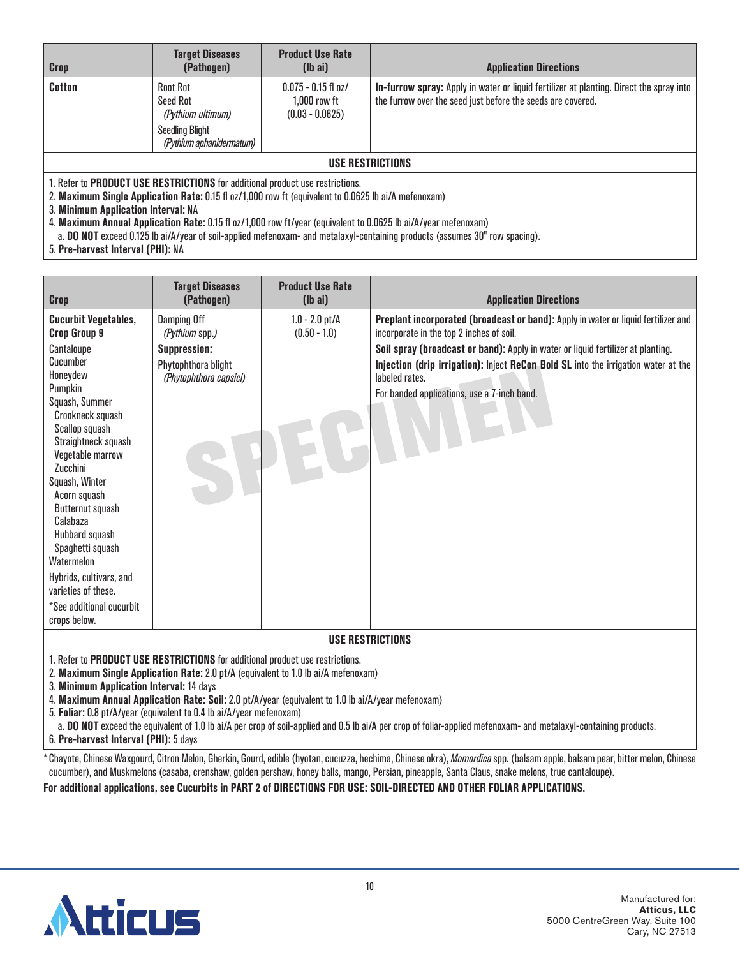| <b>Crop</b>                         | <b>Target Diseases</b><br>(Pathogen)                                                                                                                                                  | <b>Product Use Rate</b><br>$(lb\text{ ai})$                | <b>Application Directions</b>                                                                                                                          |  |  |
|-------------------------------------|---------------------------------------------------------------------------------------------------------------------------------------------------------------------------------------|------------------------------------------------------------|--------------------------------------------------------------------------------------------------------------------------------------------------------|--|--|
| <b>Cotton</b>                       | <b>Root Rot</b><br>Seed Rot<br>(Pythium ultimum)<br><b>Seedling Blight</b><br>(Pythium aphanidermatum)                                                                                | $0.075 - 0.15$ fl oz/<br>1.000 row ft<br>$(0.03 - 0.0625)$ | In-furrow spray: Apply in water or liquid fertilizer at planting. Direct the spray into<br>the furrow over the seed just before the seeds are covered. |  |  |
| USE RESTRICTIONS                    |                                                                                                                                                                                       |                                                            |                                                                                                                                                        |  |  |
| 3. Minimum Application Interval: NA | 1. Refer to PRODUCT USE RESTRICTIONS for additional product use restrictions.<br>2. Maximum Single Application Rate: 0.15 fl oz/1,000 row ft (equivalent to 0.0625 lb ai/A mefenoxam) |                                                            | Movimum Annual Annliaetian Peta: 0.15 fl.oz/1,000 row ft wear (equivalent to 0.0625 lb oilA wear metanevam)                                            |  |  |

4. **Maximum Annual Application Rate:** 0.15 fl oz/1,000 row ft/year (equivalent to 0.0625 lb ai/A/year mefenoxam)

a. **DO NOT** exceed 0.125 lb ai/A/year of soil-applied mefenoxam- and metalaxyl-containing products (assumes 30" row spacing).

5. **Pre-harvest Interval (PHI):** NA

| <b>Crop</b>                                                                                                                                                                                                                                                                                                                                                                                                                            | <b>Target Diseases</b><br>(Pathogen)                                                                  | <b>Product Use Rate</b><br>$(lb\ a)$ | <b>Application Directions</b>                                                                                                                                                                                                                                                                                                                                             |
|----------------------------------------------------------------------------------------------------------------------------------------------------------------------------------------------------------------------------------------------------------------------------------------------------------------------------------------------------------------------------------------------------------------------------------------|-------------------------------------------------------------------------------------------------------|--------------------------------------|---------------------------------------------------------------------------------------------------------------------------------------------------------------------------------------------------------------------------------------------------------------------------------------------------------------------------------------------------------------------------|
| <b>Cucurbit Vegetables,</b><br>Crop Group 9<br>Cantaloupe<br>Cucumber<br>Honevdew<br>Pumpkin<br>Squash, Summer<br>Crookneck squash<br>Scallop squash<br>Straightneck squash<br>Vegetable marrow<br>Zucchini<br>Squash, Winter<br>Acorn squash<br><b>Butternut squash</b><br>Calabaza<br>Hubbard squash<br>Spaghetti squash<br>Watermelon<br>Hybrids, cultivars, and<br>varieties of these.<br>*See additional cucurbit<br>crops below. | Damping Off<br>(Pythium spp.)<br><b>Suppression:</b><br>Phytophthora blight<br>(Phytophthora capsici) | $1.0 - 2.0$ pt/A<br>$(0.50 - 1.0)$   | Preplant incorporated (broadcast or band): Apply in water or liquid fertilizer and<br>incorporate in the top 2 inches of soil.<br>Soil spray (broadcast or band): Apply in water or liquid fertilizer at planting.<br>Injection (drip irrigation): Inject ReCon Bold SL into the irrigation water at the<br>labeled rates.<br>For banded applications, use a 7-inch band. |
| <b>USE RESTRICTIONS</b><br>1. Refer to PRODUCT USE RESTRICTIONS for additional product use restrictions.                                                                                                                                                                                                                                                                                                                               |                                                                                                       |                                      |                                                                                                                                                                                                                                                                                                                                                                           |

2. **Maximum Single Application Rate:** 2.0 pt/A (equivalent to 1.0 lb ai/A mefenoxam)

3. **Minimum Application Interval:** 14 days

4. **Maximum Annual Application Rate: Soil:** 2.0 pt/A/year (equivalent to 1.0 lb ai/A/year mefenoxam)

5. **Foliar:** 0.8 pt/A/year (equivalent to 0.4 lb ai/A/year mefenoxam)

a. **DO NOT** exceed the equivalent of 1.0 lb ai/A per crop of soil-applied and 0.5 lb ai/A per crop of foliar-applied mefenoxam- and metalaxyl-containing products.

6. **Pre-harvest Interval (PHI):** 5 days

\* Chayote, Chinese Waxgourd, Citron Melon, Gherkin, Gourd, edible (hyotan, cucuzza, hechima, Chinese okra), *Momordica* spp. (balsam apple, balsam pear, bitter melon, Chinese cucumber), and Muskmelons (casaba, crenshaw, golden pershaw, honey balls, mango, Persian, pineapple, Santa Claus, snake melons, true cantaloupe).

**For additional applications, see Cucurbits in PART 2 of DIRECTIONS FOR USE: SOIL-DIRECTED AND OTHER FOLIAR APPLICATIONS.**

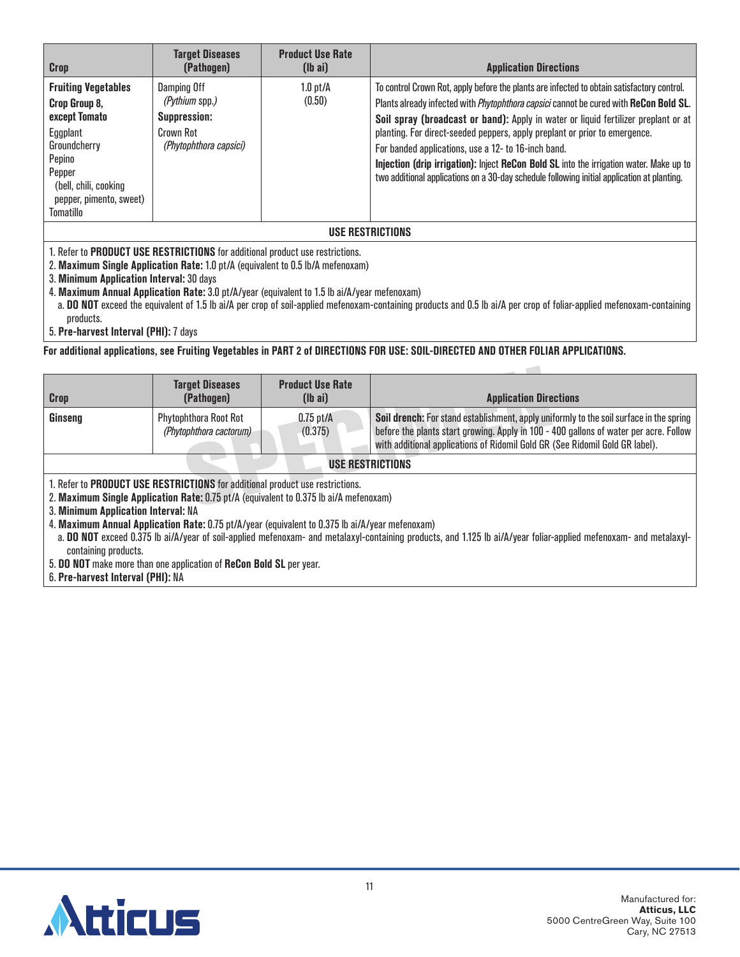| <b>Crop</b>                                                                                                                                                                          | <b>Target Diseases</b><br>(Pathogen)                                                 | <b>Product Use Rate</b><br>$(lb\text{ ai})$ | <b>Application Directions</b>                                                                                                                                                                                                                                                                                                                                                                                                                                                                                                                                                                                   |  |  |
|--------------------------------------------------------------------------------------------------------------------------------------------------------------------------------------|--------------------------------------------------------------------------------------|---------------------------------------------|-----------------------------------------------------------------------------------------------------------------------------------------------------------------------------------------------------------------------------------------------------------------------------------------------------------------------------------------------------------------------------------------------------------------------------------------------------------------------------------------------------------------------------------------------------------------------------------------------------------------|--|--|
| <b>Fruiting Vegetables</b><br>Crop Group 8,<br>except Tomato<br>Eggplant<br>Groundcherry<br>Pepino<br>Pepper<br>(bell, chili, cooking<br>pepper, pimento, sweet)<br><b>Tomatillo</b> | Damping Off<br>(Pythium spp.)<br>Suppression:<br>Crown Rot<br>(Phytophthora capsici) | $1.0$ pt/ $\AA$<br>(0.50)                   | To control Crown Rot, apply before the plants are infected to obtain satisfactory control.<br>Plants already infected with <i>Phytophthora capsici</i> cannot be cured with ReCon Bold SL.<br>Soil spray (broadcast or band): Apply in water or liquid fertilizer preplant or at<br>planting. For direct-seeded peppers, apply preplant or prior to emergence.<br>For banded applications, use a 12- to 16-inch band.<br>Injection (drip irrigation): Inject ReCon Bold SL into the irrigation water. Make up to<br>two additional applications on a 30-day schedule following initial application at planting. |  |  |
| USE RESTRICTIONS                                                                                                                                                                     |                                                                                      |                                             |                                                                                                                                                                                                                                                                                                                                                                                                                                                                                                                                                                                                                 |  |  |
| 1. Refer to <b>PRODUCT USE RESTRICTIONS</b> for additional product use restrictions.<br>2. Maximum Single Application Rate: 1.0 pt/A (equivalent to 0.5 lb/A mefenoxam)              |                                                                                      |                                             |                                                                                                                                                                                                                                                                                                                                                                                                                                                                                                                                                                                                                 |  |  |

3. **Minimum Application Interval:** 30 days

4. **Maximum Annual Application Rate:** 3.0 pt/A/year (equivalent to 1.5 lb ai/A/year mefenoxam)

a. **DO NOT** exceed the equivalent of 1.5 lb ai/A per crop of soil-applied mefenoxam-containing products and 0.5 lb ai/A per crop of foliar-applied mefenoxam-containing products.

 $\sim$ 

5. **Pre-harvest Interval (PHI):** 7 days

**For additional applications, see Fruiting Vegetables in PART 2 of DIRECTIONS FOR USE: SOIL-DIRECTED AND OTHER FOLIAR APPLICATIONS.**

| Crop                                                                                                                                                                                                                                                                                         | <b>Target Diseases</b><br>(Pathogen)                    | <b>Product Use Rate</b><br>$(lb\text{ ai})$ | <b>Application Directions</b>                                                                                                                                                                                                                                    |  |
|----------------------------------------------------------------------------------------------------------------------------------------------------------------------------------------------------------------------------------------------------------------------------------------------|---------------------------------------------------------|---------------------------------------------|------------------------------------------------------------------------------------------------------------------------------------------------------------------------------------------------------------------------------------------------------------------|--|
| Ginseng                                                                                                                                                                                                                                                                                      | <b>Phytophthora Root Rot</b><br>(Phytophthora cactorum) | $0.75$ pt/A<br>(0.375)                      | Soil drench: For stand establishment, apply uniformly to the soil surface in the spring<br>before the plants start growing. Apply in 100 - 400 gallons of water per acre. Follow<br>with additional applications of Ridomil Gold GR (See Ridomil Gold GR label). |  |
| USE RESTRICTIONS                                                                                                                                                                                                                                                                             |                                                         |                                             |                                                                                                                                                                                                                                                                  |  |
| 1. Refer to PRODUCT USE RESTRICTIONS for additional product use restrictions.<br>2. Maximum Single Application Rate: 0.75 pt/A (equivalent to 0.375 lb ai/A mefenoxam)<br>3. Minimum Application Interval: NA                                                                                |                                                         |                                             |                                                                                                                                                                                                                                                                  |  |
| 4. Maximum Annual Application Rate: 0.75 pt/A/year (equivalent to 0.375 lb ai/A/year mefenoxam)<br>a. DO NOT exceed 0.375 lb ai/A/year of soil-applied mefenoxam- and metalaxyl-containing products, and 1.125 lb ai/A/year foliar-applied mefenoxam- and metalaxyl-<br>containing products. |                                                         |                                             |                                                                                                                                                                                                                                                                  |  |
| 5. DO NOT make more than one application of ReCon Bold SL per year.<br>6. Pre-harvest Interval (PHI): NA                                                                                                                                                                                     |                                                         |                                             |                                                                                                                                                                                                                                                                  |  |

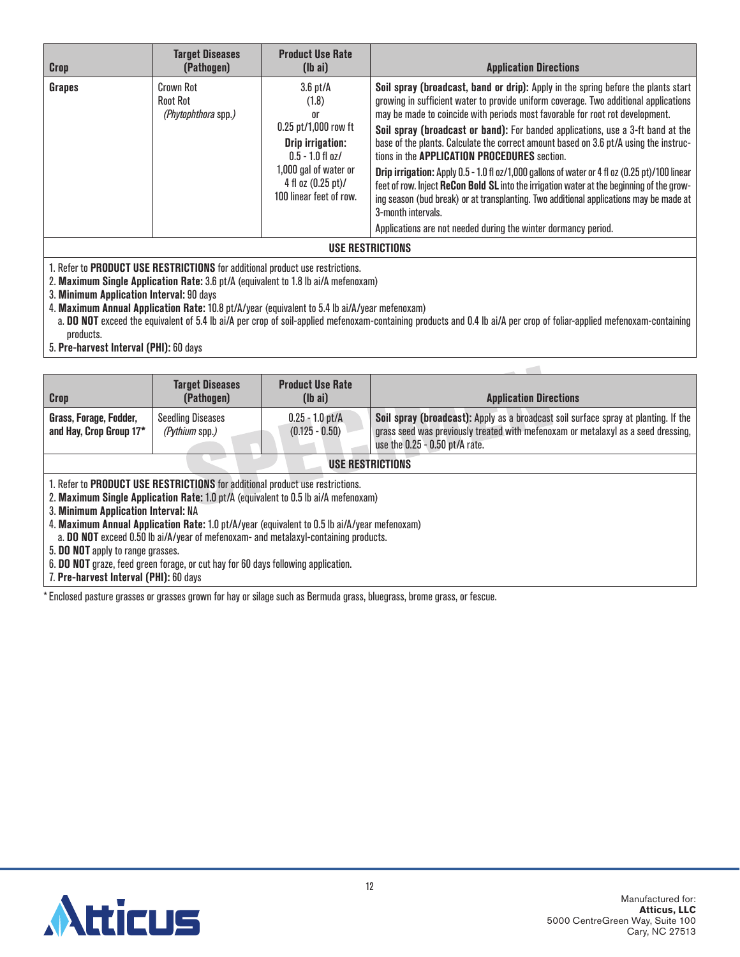| <b>Crop</b>             | <b>Target Diseases</b><br>(Pathogen)                       | <b>Product Use Rate</b><br>$(lb\ a\ i)$                                                                                                                                                       | <b>Application Directions</b>                                                                                                                                                                                                                                                                                                                                                                                                                                                                                                                                                                                                                                                                                                                                                                                                                                                 |  |
|-------------------------|------------------------------------------------------------|-----------------------------------------------------------------------------------------------------------------------------------------------------------------------------------------------|-------------------------------------------------------------------------------------------------------------------------------------------------------------------------------------------------------------------------------------------------------------------------------------------------------------------------------------------------------------------------------------------------------------------------------------------------------------------------------------------------------------------------------------------------------------------------------------------------------------------------------------------------------------------------------------------------------------------------------------------------------------------------------------------------------------------------------------------------------------------------------|--|
| Grapes                  | Crown Rot<br><b>Root Rot</b><br><i>(Phytophthora spp.)</i> | $3.6$ pt/ $\AA$<br>(1.8)<br>or<br>$0.25$ pt/1,000 row ft<br><b>Drip irrigation:</b><br>$0.5 - 1.0$ fl oz/<br>1,000 gal of water or<br>4 fl oz $(0.25 \text{ pt})/$<br>100 linear feet of row. | Soil spray (broadcast, band or drip): Apply in the spring before the plants start<br>growing in sufficient water to provide uniform coverage. Two additional applications<br>may be made to coincide with periods most favorable for root rot development.<br>Soil spray (broadcast or band): For banded applications, use a 3-ft band at the<br>base of the plants. Calculate the correct amount based on 3.6 pt/A using the instruc-<br>tions in the <b>APPLICATION PROCEDURES</b> section.<br>Drip irrigation: Apply 0.5 - 1.0 fl oz/1,000 gallons of water or 4 fl oz (0.25 pt)/100 linear<br>feet of row. Inject ReCon Bold SL into the irrigation water at the beginning of the grow-<br>ing season (bud break) or at transplanting. Two additional applications may be made at<br>3-month intervals.<br>Applications are not needed during the winter dormancy period. |  |
| <b>USE RESTRICTIONS</b> |                                                            |                                                                                                                                                                                               |                                                                                                                                                                                                                                                                                                                                                                                                                                                                                                                                                                                                                                                                                                                                                                                                                                                                               |  |

2. **Maximum Single Application Rate:** 3.6 pt/A (equivalent to 1.8 lb ai/A mefenoxam)

3. **Minimum Application Interval:** 90 days

4. **Maximum Annual Application Rate:** 10.8 pt/A/year (equivalent to 5.4 lb ai/A/year mefenoxam)

a. **DO NOT** exceed the equivalent of 5.4 lb ai/A per crop of soil-applied mefenoxam-containing products and 0.4 lb ai/A per crop of foliar-applied mefenoxam-containing products.

 $\sim$  10  $\,$ 

5. **Pre-harvest Interval (PHI):** 60 days

| <b>Crop</b>                                                                         | <b>Target Diseases</b><br>(Pathogen)                                                         | <b>Product Use Rate</b><br>$(lb\ a\ i)$ | <b>Application Directions</b>                                                       |  |
|-------------------------------------------------------------------------------------|----------------------------------------------------------------------------------------------|-----------------------------------------|-------------------------------------------------------------------------------------|--|
|                                                                                     |                                                                                              |                                         |                                                                                     |  |
| Grass, Forage, Fodder,                                                              | <b>Seedling Diseases</b>                                                                     | $0.25 - 1.0$ pt/A                       | Soil spray (broadcast): Apply as a broadcast soil surface spray at planting. If the |  |
| and Hay, Crop Group 17*                                                             | (Pythium spp.)                                                                               | $(0.125 - 0.50)$                        | grass seed was previously treated with mefenoxam or metalaxyl as a seed dressing,   |  |
|                                                                                     |                                                                                              |                                         | use the $0.25 - 0.50$ pt/A rate.                                                    |  |
| <b>USE RESTRICTIONS</b>                                                             |                                                                                              |                                         |                                                                                     |  |
| 1. Refer to PRODUCT USE RESTRICTIONS for additional product use restrictions.       |                                                                                              |                                         |                                                                                     |  |
|                                                                                     | 2. Maximum Single Application Rate: 1.0 pt/A (equivalent to 0.5 lb ai/A mefenoxam)           |                                         |                                                                                     |  |
| 3. Minimum Application Interval: NA                                                 |                                                                                              |                                         |                                                                                     |  |
|                                                                                     | 4. Maximum Annual Application Rate: 1.0 pt/A/year (equivalent to 0.5 lb ai/A/year mefenoxam) |                                         |                                                                                     |  |
| a. DO NOT exceed 0.50 lb ai/A/year of mefenoxam- and metalaxyl-containing products. |                                                                                              |                                         |                                                                                     |  |
| 5. DO NOT apply to range grasses.                                                   |                                                                                              |                                         |                                                                                     |  |
| 6. DO NOT graze, feed green forage, or cut hay for 60 days following application.   |                                                                                              |                                         |                                                                                     |  |
| 7. Pre-harvest Interval (PHI): 60 days                                              |                                                                                              |                                         |                                                                                     |  |

\*Enclosed pasture grasses or grasses grown for hay or silage such as Bermuda grass, bluegrass, brome grass, or fescue.

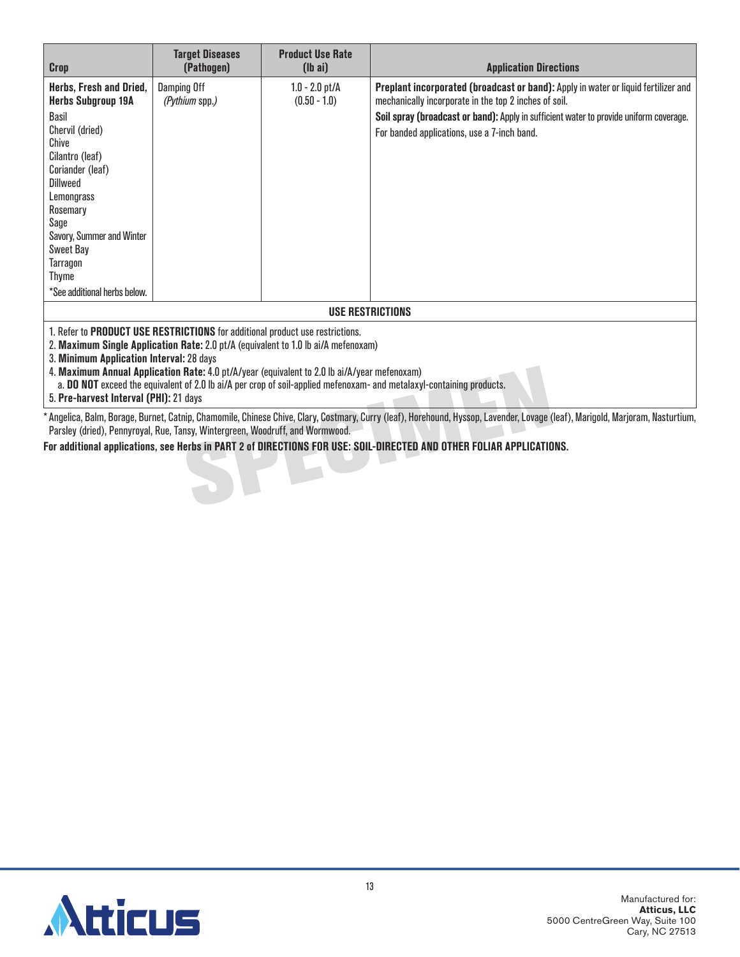| <b>Crop</b>                                                                                                                                                                                                                                                                                                                                                                                                                                     | <b>Target Diseases</b><br>(Pathogen) | <b>Product Use Rate</b><br>$(lb\text{ ai})$ | <b>Application Directions</b>                                                                                                                                                                                                                                                               |  |  |
|-------------------------------------------------------------------------------------------------------------------------------------------------------------------------------------------------------------------------------------------------------------------------------------------------------------------------------------------------------------------------------------------------------------------------------------------------|--------------------------------------|---------------------------------------------|---------------------------------------------------------------------------------------------------------------------------------------------------------------------------------------------------------------------------------------------------------------------------------------------|--|--|
| Herbs, Fresh and Dried,<br><b>Herbs Subgroup 19A</b><br>Basil<br>Chervil (dried)<br>Chive<br>Cilantro (leaf)<br>Coriander (leaf)<br>Dillweed<br>Lemongrass<br>Rosemary<br>Sage<br>Savory, Summer and Winter<br><b>Sweet Bay</b><br>Tarragon<br>Thyme<br>*See additional herbs below.                                                                                                                                                            | Damping Off<br><i>(Pythium spp.)</i> | $1.0 - 2.0$ pt/A<br>$(0.50 - 1.0)$          | <b>Preplant incorporated (broadcast or band):</b> Apply in water or liquid fertilizer and<br>mechanically incorporate in the top 2 inches of soil.<br>Soil spray (broadcast or band): Apply in sufficient water to provide uniform coverage.<br>For banded applications, use a 7-inch band. |  |  |
| <b>USE RESTRICTIONS</b>                                                                                                                                                                                                                                                                                                                                                                                                                         |                                      |                                             |                                                                                                                                                                                                                                                                                             |  |  |
| 1. Refer to PRODUCT USE RESTRICTIONS for additional product use restrictions.<br>2. Maximum Single Application Rate: 2.0 pt/A (equivalent to 1.0 lb ai/A mefenoxam)<br>3. Minimum Application Interval: 28 days<br>4. Maximum Annual Application Rate: 4.0 pt/A/year (equivalent to 2.0 lb ai/A/year mefenoxam)<br>a. <b>DO NOT</b> exceed the equivalent of 2.0 lb ai/A per crop of soil-applied mefenoxam- and metalaxyl-containing products. |                                      |                                             |                                                                                                                                                                                                                                                                                             |  |  |

5. **Pre-harvest Interval (PHI):** 21 days

\*Angelica, Balm, Borage, Burnet, Catnip, Chamomile, Chinese Chive, Clary, Costmary, Curry (leaf), Horehound, Hyssop, Lavender, Lovage (leaf), Marigold, Marjoram, Nasturtium, Parsley (dried), Pennyroyal, Rue, Tansy, Wintergreen, Woodruff, and Wormwood.

**For additional applications, see Herbs in PART 2 of DIRECTIONS FOR USE: SOIL-DIRECTED AND OTHER FOLIAR APPLICATIONS.**

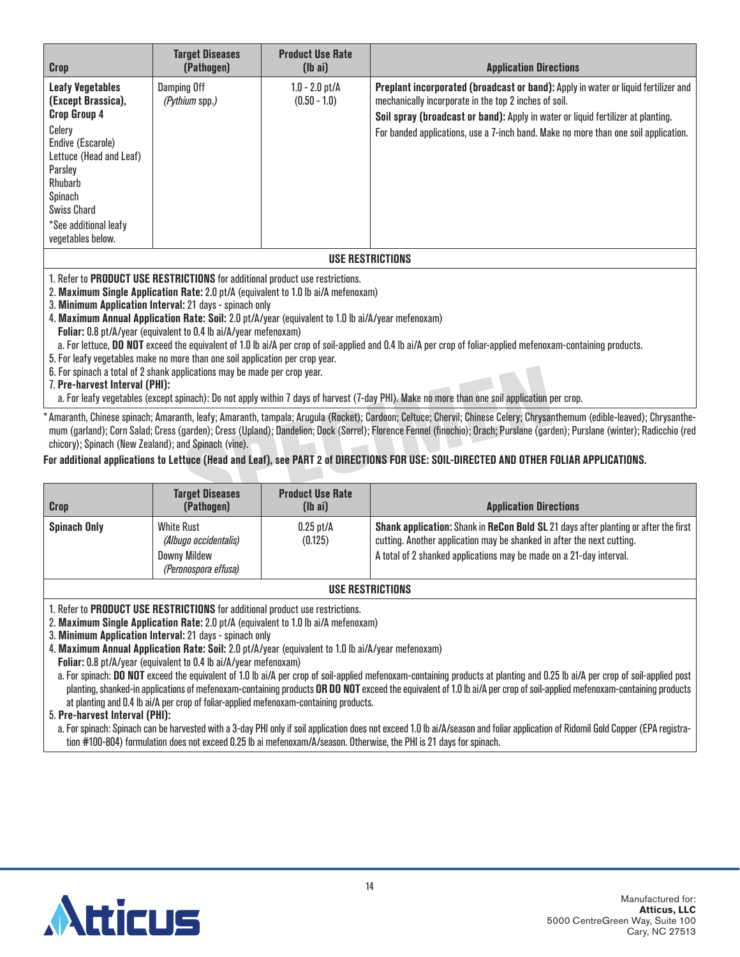| <b>Crop</b>                                                                                                                                                                                                                                                                                                                                                                                                                                                                                                                                                                                                                                                                                                                                                                                                                                                                                                                 | <b>Target Diseases</b><br>(Pathogen)        | <b>Product Use Rate</b><br>$(lb\text{ ai})$ | <b>Application Directions</b>                                                                                                                                           |  |
|-----------------------------------------------------------------------------------------------------------------------------------------------------------------------------------------------------------------------------------------------------------------------------------------------------------------------------------------------------------------------------------------------------------------------------------------------------------------------------------------------------------------------------------------------------------------------------------------------------------------------------------------------------------------------------------------------------------------------------------------------------------------------------------------------------------------------------------------------------------------------------------------------------------------------------|---------------------------------------------|---------------------------------------------|-------------------------------------------------------------------------------------------------------------------------------------------------------------------------|--|
| <b>Leafy Vegetables</b><br>(Except Brassica),                                                                                                                                                                                                                                                                                                                                                                                                                                                                                                                                                                                                                                                                                                                                                                                                                                                                               | <b>Damping Off</b><br><i>(Pythium spp.)</i> | $1.0 - 2.0$ pt/A<br>$(0.50 - 1.0)$          | Preplant incorporated (broadcast or band): Apply in water or liquid fertilizer and<br>mechanically incorporate in the top 2 inches of soil.                             |  |
| <b>Crop Group 4</b><br>Celery<br>Endive (Escarole)<br>Lettuce (Head and Leaf)<br>Parsley<br>Rhubarb<br>Spinach<br><b>Swiss Chard</b><br>*See additional leafy<br>vegetables below.                                                                                                                                                                                                                                                                                                                                                                                                                                                                                                                                                                                                                                                                                                                                          |                                             |                                             | Soil spray (broadcast or band): Apply in water or liquid fertilizer at planting.<br>For banded applications, use a 7-inch band. Make no more than one soil application. |  |
| <b>USE RESTRICTIONS</b>                                                                                                                                                                                                                                                                                                                                                                                                                                                                                                                                                                                                                                                                                                                                                                                                                                                                                                     |                                             |                                             |                                                                                                                                                                         |  |
| 1. Refer to PRODUCT USE RESTRICTIONS for additional product use restrictions.<br>2. Maximum Single Application Rate: 2.0 pt/A (equivalent to 1.0 lb ai/A mefenoxam)<br>3. Minimum Application Interval: 21 days - spinach only<br>4. Maximum Annual Application Rate: Soil: 2.0 pt/A/year (equivalent to 1.0 lb ai/A/year mefenoxam)<br>Foliar: 0.8 pt/A/year (equivalent to 0.4 lb ai/A/year mefenoxam)<br>a. For lettuce, DO NOT exceed the equivalent of 1.0 lb ai/A per crop of soil-applied and 0.4 lb ai/A per crop of foliar-applied mefenoxam-containing products.<br>5. For leafy vegetables make no more than one soil application per crop year.<br>6. For spinach a total of 2 shank applications may be made per crop year.<br>7. Pre-harvest Interval (PHI):<br>a. For leafy vegetables (except spinach): Do not apply within 7 days of harvest (7-day PHI). Make no more than one soil application per crop. |                                             |                                             |                                                                                                                                                                         |  |

mum (garland); Corn Salad; Cress (garden); Cress (Upland); Dandelion; Dock (Sorrel); Florence Fennel (finochio); Orach; Purslane (garden); Purslane (winter); Radicchio (red chicory); Spinach (New Zealand); and Spinach (vine).

### **For additional applications to Lettuce (Head and Leaf), see PART 2 of DIRECTIONS FOR USE: SOIL-DIRECTED AND OTHER FOLIAR APPLICATIONS.**

| Crop                | <b>Target Diseases</b><br>(Pathogen)                                                      | <b>Product Use Rate</b><br>$(\mathsf{I} \mathsf{b} \mathsf{a} \mathsf{i})$ | <b>Application Directions</b>                                                                                                                                                                                                                      |
|---------------------|-------------------------------------------------------------------------------------------|----------------------------------------------------------------------------|----------------------------------------------------------------------------------------------------------------------------------------------------------------------------------------------------------------------------------------------------|
| <b>Spinach Only</b> | <b>White Rust</b><br>(Albugo occidentalis)<br><b>Downy Mildew</b><br>(Peronospora effusa) | $0.25$ pt/A<br>(0.125)                                                     | <b>Shank application:</b> Shank in <b>ReCon Bold SL</b> 21 days after planting or after the first<br>cutting. Another application may be shanked in after the next cutting.<br>A total of 2 shanked applications may be made on a 21-day interval. |
| USE RESTRICTIONS    |                                                                                           |                                                                            |                                                                                                                                                                                                                                                    |

1. Refer to **PRODUCT USE RESTRICTIONS** for additional product use restrictions.

2. **Maximum Single Application Rate:** 2.0 pt/A (equivalent to 1.0 lb ai/A mefenoxam)

3. **Minimum Application Interval:** 21 days - spinach only

4. **Maximum Annual Application Rate: Soil:** 2.0 pt/A/year (equivalent to 1.0 lb ai/A/year mefenoxam)

**Foliar:** 0.8 pt/A/year (equivalent to 0.4 lb ai/A/year mefenoxam)

a. For spinach: **DO NOT** exceed the equivalent of 1.0 lb ai/A per crop of soil-applied mefenoxam-containing products at planting and 0.25 lb ai/A per crop of soil-applied post planting, shanked-in applications of mefenoxam-containing products **OR DO NOT** exceed the equivalent of 1.0 lb ai/A per crop of soil-applied mefenoxam-containing products at planting and 0.4 lb ai/A per crop of foliar-applied mefenoxam-containing products.

5. **Pre-harvest Interval (PHI):**

a. For spinach: Spinach can be harvested with a 3-day PHI only if soil application does not exceed 1.0 lb ai/A/season and foliar application of Ridomil Gold Copper (EPA registration #100-804) formulation does not exceed 0.25 lb ai mefenoxam/A/season. Otherwise, the PHI is 21 days for spinach.

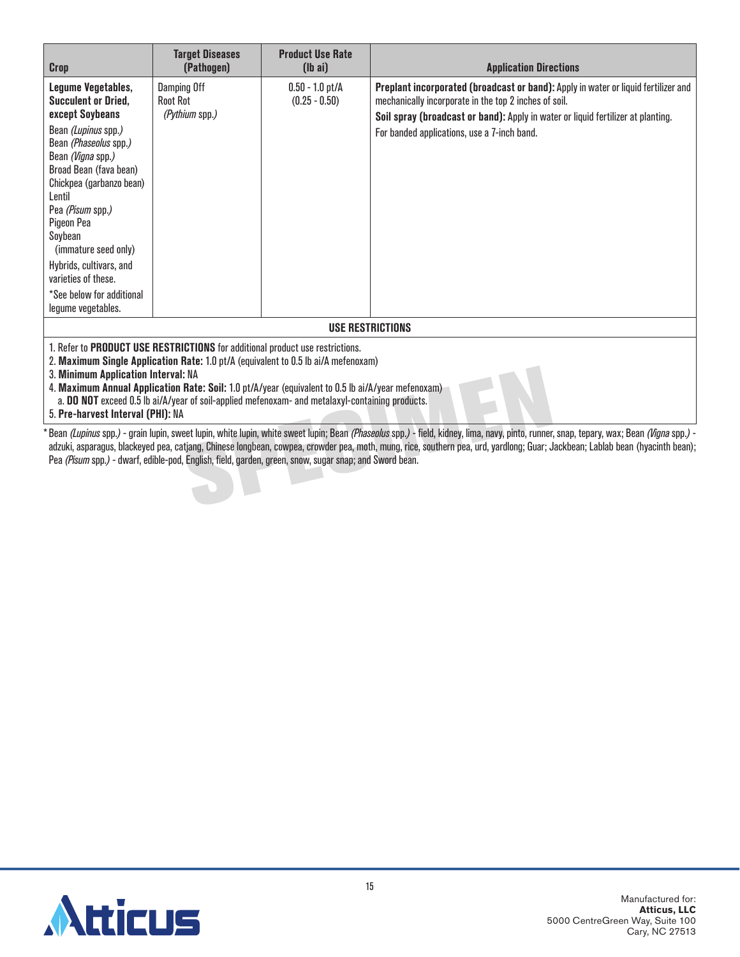| <b>Crop</b>                                                                                                                                                                                                                                                                                                                                                                                                                                                              | <b>Target Diseases</b><br>(Pathogen)                    | <b>Product Use Rate</b><br>$(lb\text{ ai})$ | <b>Application Directions</b>                                                                                                                                                                                                                                                  |  |  |
|--------------------------------------------------------------------------------------------------------------------------------------------------------------------------------------------------------------------------------------------------------------------------------------------------------------------------------------------------------------------------------------------------------------------------------------------------------------------------|---------------------------------------------------------|---------------------------------------------|--------------------------------------------------------------------------------------------------------------------------------------------------------------------------------------------------------------------------------------------------------------------------------|--|--|
| Legume Vegetables,<br><b>Succulent or Dried,</b><br>except Soybeans<br>Bean (Lupinus spp.)<br>Bean (Phaseolus spp.)<br>Bean (Vigna spp.)<br>Broad Bean (fava bean)<br>Chickpea (garbanzo bean)<br>Lentil<br>Pea (Pisum spp.)<br>Pigeon Pea<br>Soybean<br>(immature seed only)<br>Hybrids, cultivars, and<br>varieties of these.<br>*See below for additional<br>legume vegetables.                                                                                       | <b>Damping Off</b><br><b>Root Rot</b><br>(Pythium spp.) | $0.50 - 1.0$ pt/A<br>$(0.25 - 0.50)$        | Preplant incorporated (broadcast or band): Apply in water or liquid fertilizer and<br>mechanically incorporate in the top 2 inches of soil.<br>Soil spray (broadcast or band): Apply in water or liquid fertilizer at planting.<br>For banded applications, use a 7-inch band. |  |  |
| USE RESTRICTIONS                                                                                                                                                                                                                                                                                                                                                                                                                                                         |                                                         |                                             |                                                                                                                                                                                                                                                                                |  |  |
| 1. Refer to PRODUCT USE RESTRICTIONS for additional product use restrictions.<br>2. Maximum Single Application Rate: 1.0 pt/A (equivalent to 0.5 lb ai/A mefenoxam)<br>3. Minimum Application Interval: NA<br>4. Maximum Annual Application Rate: Soil: 1.0 pt/A/year (equivalent to 0.5 lb ai/A/year mefenoxam)<br>a. <b>DO NOT</b> exceed 0.5 lb ai/A/year of soil-applied mefenoxam- and metalaxyl-containing products.<br><b>E. Dea. howcook Intoniol (DUI)</b> , NA |                                                         |                                             |                                                                                                                                                                                                                                                                                |  |  |

5. **Pre-harvest Interval (PHI):** NA

\* Bean (Lupinus spp.) - grain lupin, sweet lupin, white lupin, white sweet lupin; Bean (Phaseolus spp.) - field, kidney, lima, navy, pinto, runner, snap, tepary, wax; Bean (Vigna spp.) adzuki, asparagus, blackeyed pea, catjang, Chinese longbean, cowpea, crowder pea, moth, mung, rice, southern pea, urd, yardlong; Guar; Jackbean; Lablab bean (hyacinth bean); Pea *(Pisum* spp.*)* - dwarf, edible-pod, English, field, garden, green, snow, sugar snap; and Sword bean.

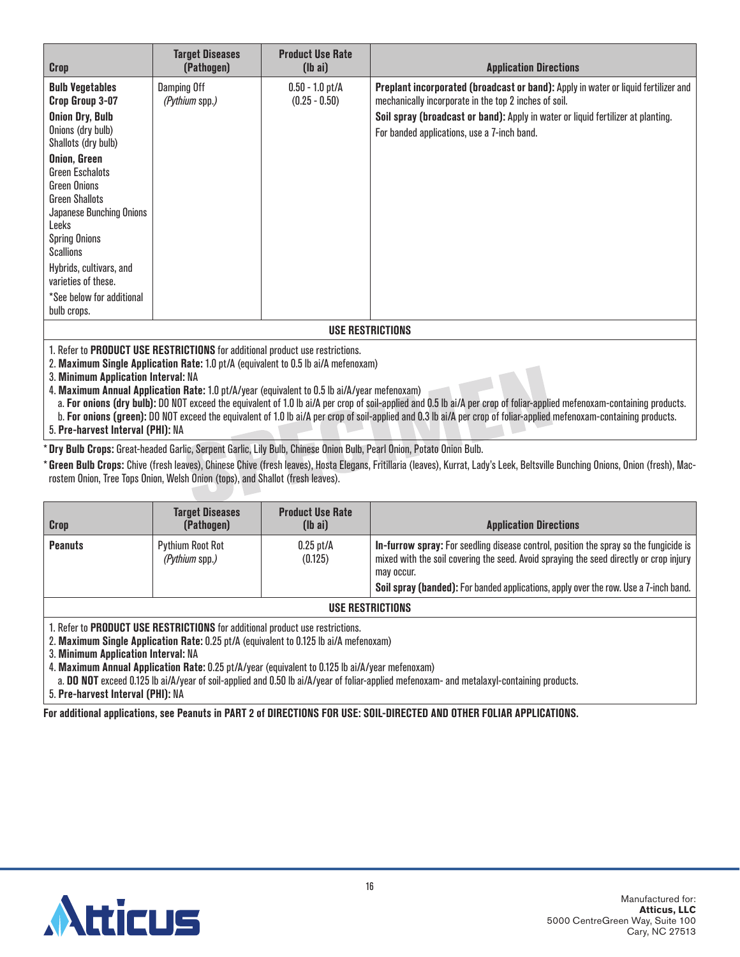| <b>Crop</b>                                                                   | <b>Target Diseases</b><br>(Pathogen) | <b>Product Use Rate</b><br>$(lb\ a\ i)$ | <b>Application Directions</b>                                                                                                                      |  |
|-------------------------------------------------------------------------------|--------------------------------------|-----------------------------------------|----------------------------------------------------------------------------------------------------------------------------------------------------|--|
| <b>Bulb Vegetables</b><br>Crop Group 3-07                                     | Damping Off<br><i>(Pythium spp.)</i> | $0.50 - 1.0$ pt/A<br>$(0.25 - 0.50)$    | <b>Preplant incorporated (broadcast or band):</b> Apply in water or liquid fertilizer and<br>mechanically incorporate in the top 2 inches of soil. |  |
| <b>Onion Dry, Bulb</b>                                                        |                                      |                                         | Soil spray (broadcast or band): Apply in water or liquid fertilizer at planting.                                                                   |  |
| Onions (dry bulb)<br>Shallots (dry bulb)                                      |                                      |                                         | For banded applications, use a 7-inch band.                                                                                                        |  |
| Onion, Green                                                                  |                                      |                                         |                                                                                                                                                    |  |
| <b>Green Eschalots</b><br>Green Onions                                        |                                      |                                         |                                                                                                                                                    |  |
| <b>Green Shallots</b>                                                         |                                      |                                         |                                                                                                                                                    |  |
| Japanese Bunching Onions                                                      |                                      |                                         |                                                                                                                                                    |  |
| Leeks                                                                         |                                      |                                         |                                                                                                                                                    |  |
| <b>Spring Onions</b><br>Scallions                                             |                                      |                                         |                                                                                                                                                    |  |
| Hybrids, cultivars, and                                                       |                                      |                                         |                                                                                                                                                    |  |
| varieties of these.                                                           |                                      |                                         |                                                                                                                                                    |  |
| *See below for additional                                                     |                                      |                                         |                                                                                                                                                    |  |
| bulb crops.                                                                   |                                      |                                         |                                                                                                                                                    |  |
| USE RESTRICTIONS                                                              |                                      |                                         |                                                                                                                                                    |  |
| 1. Refer to PRODUCT USE RESTRICTIONS for additional product use restrictions. |                                      |                                         |                                                                                                                                                    |  |

2. **Maximum Single Application Rate:** 1.0 pt/A (equivalent to 0.5 lb ai/A mefenoxam)

3. **Minimum Application Interval:** NA

4. **Maximum Annual Application Rate:** 1.0 pt/A/year (equivalent to 0.5 lb ai/A/year mefenoxam)

a. **For onions (dry bulb):** DO NOT exceed the equivalent of 1.0 lb ai/A per crop of soil-applied and 0.5 lb ai/A per crop of foliar-applied mefenoxam-containing products.

b. **For onions (green):** DO NOT exceed the equivalent of 1.0 lb ai/A per crop of soil-applied and 0.3 lb ai/A per crop of foliar-applied mefenoxam-containing products.

5. **Pre-harvest Interval (PHI):** NA

\* **Dry Bulb Crops:** Great-headed Garlic, Serpent Garlic, Lily Bulb, Chinese Onion Bulb, Pearl Onion, Potato Onion Bulb.

\* **Green Bulb Crops:** Chive (fresh leaves), Chinese Chive (fresh leaves), Hosta Elegans, Fritillaria (leaves), Kurrat, Lady's Leek, Beltsville Bunching Onions, Onion (fresh), Macrostem Onion, Tree Tops Onion, Welsh Onion (tops), and Shallot (fresh leaves).

| Crop             | Target Diseases<br>(Pathogen)      | <b>Product Use Rate</b><br>$(lb\text{ ai})$ | <b>Application Directions</b>                                                                                                                                                                                                                                                                |
|------------------|------------------------------------|---------------------------------------------|----------------------------------------------------------------------------------------------------------------------------------------------------------------------------------------------------------------------------------------------------------------------------------------------|
| <b>Peanuts</b>   | Pythium Root Rot<br>(Pythium spp.) | $0.25$ pt/A<br>(0.125)                      | <b>In-furrow spray:</b> For seedling disease control, position the spray so the fungicide is<br>mixed with the soil covering the seed. Avoid spraying the seed directly or crop injury<br>may occur.<br>Soil spray (banded): For banded applications, apply over the row. Use a 7-inch band. |
| USE RESTRICTIONS |                                    |                                             |                                                                                                                                                                                                                                                                                              |

1. Refer to **PRODUCT USE RESTRICTIONS** for additional product use restrictions.

2. **Maximum Single Application Rate:** 0.25 pt/A (equivalent to 0.125 lb ai/A mefenoxam)

3. **Minimum Application Interval:** NA

4. **Maximum Annual Application Rate:** 0.25 pt/A/year (equivalent to 0.125 lb ai/A/year mefenoxam)

a. **DO NOT** exceed 0.125 lb ai/A/year of soil-applied and 0.50 lb ai/A/year of foliar-applied mefenoxam- and metalaxyl-containing products.

5. **Pre-harvest Interval (PHI):** NA

**For additional applications, see Peanuts in PART 2 of DIRECTIONS FOR USE: SOIL-DIRECTED AND OTHER FOLIAR APPLICATIONS.**

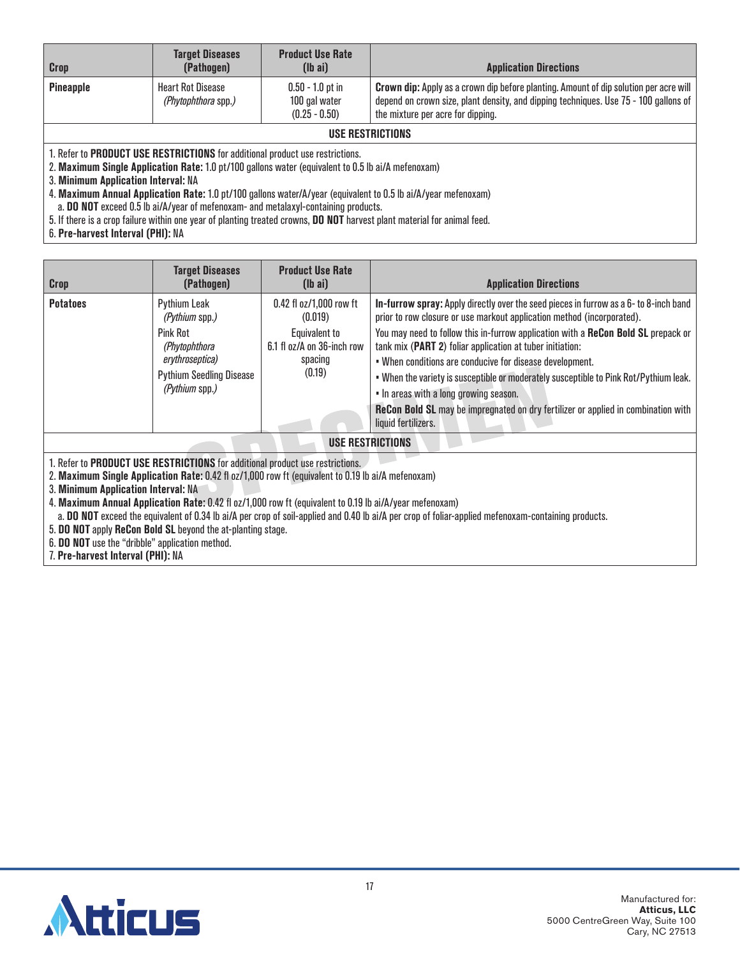| Crop             | <b>Target Diseases</b><br>(Pathogen)            | <b>Product Use Rate</b><br>$(lb\text{ ai})$            | <b>Application Directions</b>                                                                                                                                                                                             |  |
|------------------|-------------------------------------------------|--------------------------------------------------------|---------------------------------------------------------------------------------------------------------------------------------------------------------------------------------------------------------------------------|--|
| <b>Pineapple</b> | <b>Heart Rot Disease</b><br>(Phytophthora spp.) | $0.50 - 1.0$ pt in<br>100 gal water<br>$(0.25 - 0.50)$ | <b>Crown dip:</b> Apply as a crown dip before planting. Amount of dip solution per acre will<br>depend on crown size, plant density, and dipping techniques. Use 75 - 100 gallons of<br>the mixture per acre for dipping. |  |
| USE RESTRICTIONS |                                                 |                                                        |                                                                                                                                                                                                                           |  |

2. **Maximum Single Application Rate:** 1.0 pt/100 gallons water (equivalent to 0.5 lb ai/A mefenoxam)

3. **Minimum Application Interval:** NA

4. **Maximum Annual Application Rate:** 1.0 pt/100 gallons water/A/year (equivalent to 0.5 lb ai/A/year mefenoxam)

a. **DO NOT** exceed 0.5 lb ai/A/year of mefenoxam- and metalaxyl-containing products.

5. If there is a crop failure within one year of planting treated crowns, **DO NOT** harvest plant material for animal feed.

6. **Pre-harvest Interval (PHI):** NA

| <b>Crop</b>             | <b>Target Diseases</b><br>(Pathogen)                                                                                                       | <b>Product Use Rate</b><br>$(lb\text{ ai})$                                                            | <b>Application Directions</b>                                                                                                                                                                                                                                                                                                                                                                                                                                                                                                                                                                                                |  |
|-------------------------|--------------------------------------------------------------------------------------------------------------------------------------------|--------------------------------------------------------------------------------------------------------|------------------------------------------------------------------------------------------------------------------------------------------------------------------------------------------------------------------------------------------------------------------------------------------------------------------------------------------------------------------------------------------------------------------------------------------------------------------------------------------------------------------------------------------------------------------------------------------------------------------------------|--|
| <b>Potatoes</b>         | <b>Pythium Leak</b><br>(Pythium spp.)<br>Pink Rot<br>(Phytophthora<br>erythroseptica)<br><b>Pythium Seedling Disease</b><br>(Pythium spp.) | 0.42 fl oz/1,000 row ft<br>(0.019)<br>Equivalent to<br>6.1 fl oz/A on 36-inch row<br>spacing<br>(0.19) | In-furrow spray: Apply directly over the seed pieces in furrow as a 6- to 8-inch band<br>prior to row closure or use markout application method (incorporated).<br>You may need to follow this in-furrow application with a ReCon Bold SL prepack or<br>tank mix (PART 2) foliar application at tuber initiation:<br>. When conditions are conducive for disease development.<br>. When the variety is susceptible or moderately susceptible to Pink Rot/Pythium leak.<br>. In areas with a long growing season.<br>ReCon Bold SL may be impregnated on dry fertilizer or applied in combination with<br>liquid fertilizers. |  |
| <b>USE RESTRICTIONS</b> |                                                                                                                                            |                                                                                                        |                                                                                                                                                                                                                                                                                                                                                                                                                                                                                                                                                                                                                              |  |

1. Refer to **PRODUCT USE RESTRICTIONS** for additional product use restrictions.

2. **Maximum Single Application Rate:** 0.42 fl oz/1,000 row ft (equivalent to 0.19 lb ai/A mefenoxam)

3. **Minimum Application Interval:** NA

4. **Maximum Annual Application Rate:** 0.42 fl oz/1,000 row ft (equivalent to 0.19 lb ai/A/year mefenoxam)

a. **DO NOT** exceed the equivalent of 0.34 lb ai/A per crop of soil-applied and 0.40 lb ai/A per crop of foliar-applied mefenoxam-containing products.

5. **DO NOT** apply **ReCon Bold SL** beyond the at-planting stage.

6. **DO NOT** use the "dribble" application method.

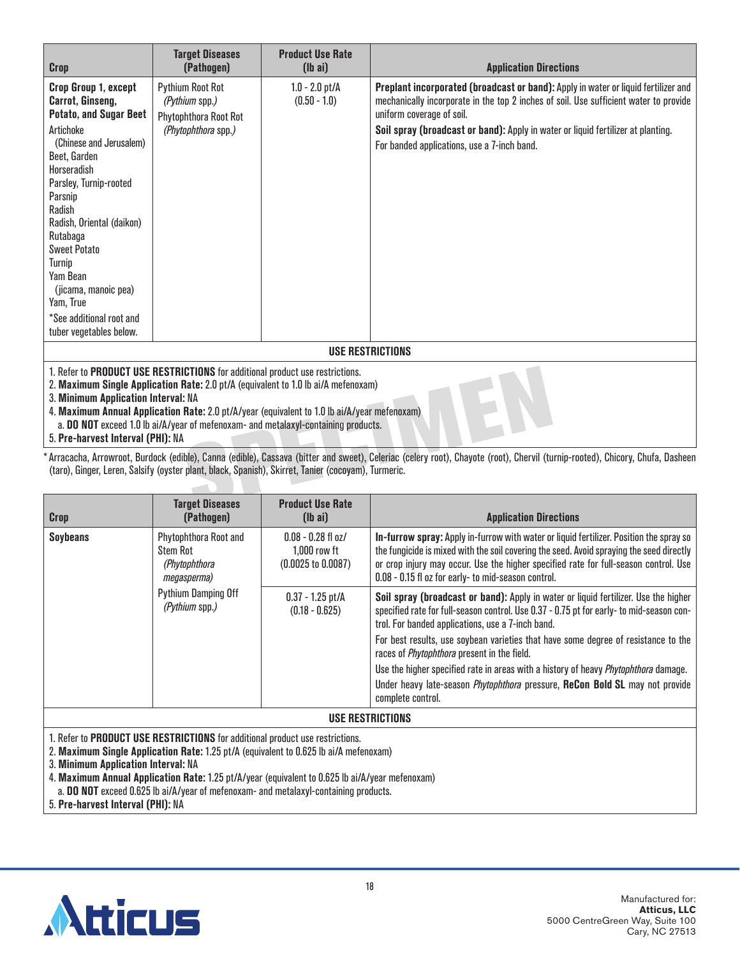| Crop                                                                                                                                                                                                                                                                                                                                                                                                                                  | <b>Target Diseases</b><br>(Pathogen)                                                             | <b>Product Use Rate</b><br>$(lb\text{ ai})$ | <b>Application Directions</b>                                                                                                                                                                                                                                                                                                               |
|---------------------------------------------------------------------------------------------------------------------------------------------------------------------------------------------------------------------------------------------------------------------------------------------------------------------------------------------------------------------------------------------------------------------------------------|--------------------------------------------------------------------------------------------------|---------------------------------------------|---------------------------------------------------------------------------------------------------------------------------------------------------------------------------------------------------------------------------------------------------------------------------------------------------------------------------------------------|
| Crop Group 1, except<br>Carrot, Ginseng,<br><b>Potato, and Sugar Beet</b><br>Artichoke<br>(Chinese and Jerusalem)<br>Beet, Garden<br>Horseradish<br>Parsley, Turnip-rooted<br>Parsnip<br>Radish<br>Radish, Oriental (daikon)<br>Rutabaga<br><b>Sweet Potato</b><br>Turnip<br>Yam Bean<br>(jicama, manoic pea)<br>Yam, True<br>*See additional root and<br>tuber vegetables below.                                                     | <b>Pythium Root Rot</b><br><i>(Pythium spp.)</i><br>Phytophthora Root Rot<br>(Phytophthora spp.) | $1.0 - 2.0$ pt/A<br>$(0.50 - 1.0)$          | Preplant incorporated (broadcast or band): Apply in water or liquid fertilizer and<br>mechanically incorporate in the top 2 inches of soil. Use sufficient water to provide<br>uniform coverage of soil.<br>Soil spray (broadcast or band): Apply in water or liquid fertilizer at planting.<br>For banded applications, use a 7-inch band. |
|                                                                                                                                                                                                                                                                                                                                                                                                                                       |                                                                                                  |                                             | <b>USE RESTRICTIONS</b>                                                                                                                                                                                                                                                                                                                     |
| 1. Refer to PRODUCT USE RESTRICTIONS for additional product use restrictions.<br>2. Maximum Single Application Rate: 2.0 pt/A (equivalent to 1.0 lb ai/A mefenoxam)<br>3. Minimum Application Interval: NA<br>4. Maximum Annual Application Rate: 2.0 pt/A/year (equivalent to 1.0 lb ai/A/year mefenoxam)<br>a. DO NOT exceed 1.0 lb ai/A/year of mefenoxam- and metalaxyl-containing products.<br>5. Pre-harvest Interval (PHI): NA |                                                                                                  |                                             |                                                                                                                                                                                                                                                                                                                                             |

\*Arracacha, Arrowroot, Burdock (edible), Canna (edible), Cassava (bitter and sweet), Celeriac (celery root), Chayote (root), Chervil (turnip-rooted), Chicory, Chufa, Dasheen (taro), Ginger, Leren, Salsify (oyster plant, black, Spanish), Skirret, Tanier (cocoyam), Turmeric.

| <b>Crop</b>      | <b>Target Diseases</b><br>(Pathogen)                                                                              | <b>Product Use Rate</b><br>$(lb\ a\ i)$                                 | <b>Application Directions</b>                                                                                                                                                                                                                                                                                                      |  |
|------------------|-------------------------------------------------------------------------------------------------------------------|-------------------------------------------------------------------------|------------------------------------------------------------------------------------------------------------------------------------------------------------------------------------------------------------------------------------------------------------------------------------------------------------------------------------|--|
| <b>Soybeans</b>  | Phytophthora Root and<br>Stem Rot<br>(Phytophthora<br>megasperma)<br><b>Pythium Damping Off</b><br>(Pythium spp.) | $0.08 - 0.28$ fl oz/<br>$1.000$ row ft<br>$(0.0025 \text{ to } 0.0087)$ | In-furrow spray: Apply in-furrow with water or liquid fertilizer. Position the spray so<br>the fungicide is mixed with the soil covering the seed. Avoid spraying the seed directly<br>or crop injury may occur. Use the higher specified rate for full-season control. Use<br>0.08 - 0.15 fl oz for early- to mid-season control. |  |
|                  |                                                                                                                   | $0.37 - 1.25$ pt/A<br>$(0.18 - 0.625)$                                  | Soil spray (broadcast or band): Apply in water or liquid fertilizer. Use the higher<br>specified rate for full-season control. Use 0.37 - 0.75 pt for early- to mid-season con-<br>trol. For banded applications, use a 7-inch band.                                                                                               |  |
|                  |                                                                                                                   |                                                                         | For best results, use soybean varieties that have some degree of resistance to the<br>races of <i>Phytophthora</i> present in the field.                                                                                                                                                                                           |  |
|                  |                                                                                                                   |                                                                         | Use the higher specified rate in areas with a history of heavy <i>Phytophthora</i> damage.                                                                                                                                                                                                                                         |  |
|                  |                                                                                                                   |                                                                         | Under heavy late-season <i>Phytophthora</i> pressure, ReCon Bold SL may not provide<br>complete control.                                                                                                                                                                                                                           |  |
| USE RESTRICTIONS |                                                                                                                   |                                                                         |                                                                                                                                                                                                                                                                                                                                    |  |

1. Refer to **PRODUCT USE RESTRICTIONS** for additional product use restrictions.

 $\overline{\phantom{a}}$ 

2. **Maximum Single Application Rate:** 1.25 pt/A (equivalent to 0.625 lb ai/A mefenoxam)

3. **Minimum Application Interval:** NA

4. **Maximum Annual Application Rate:** 1.25 pt/A/year (equivalent to 0.625 lb ai/A/year mefenoxam)

a. **DO NOT** exceed 0.625 lb ai/A/year of mefenoxam- and metalaxyl-containing products.

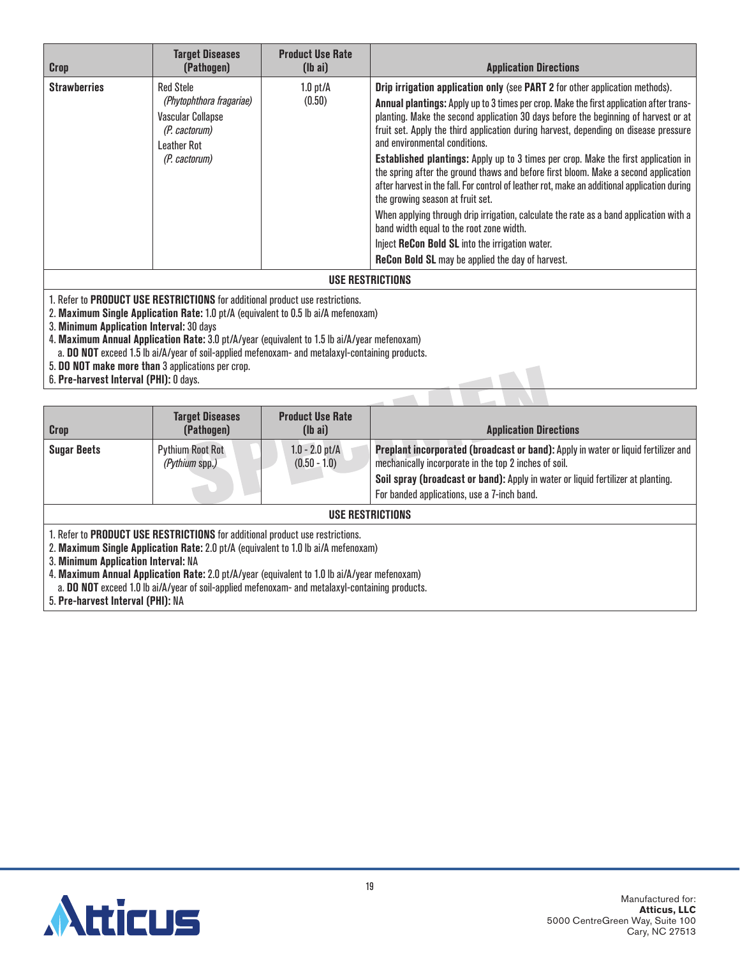| <b>Crop</b>         | <b>Target Diseases</b><br>(Pathogen)                                                                                      | <b>Product Use Rate</b><br>$(lb\ a\ i)$ | <b>Application Directions</b>                                                                                                                                                                                                                                                                                                                                                                                                                                                                                                                                                                                                                                                                                                                                                                                                                                                                                                                                              |
|---------------------|---------------------------------------------------------------------------------------------------------------------------|-----------------------------------------|----------------------------------------------------------------------------------------------------------------------------------------------------------------------------------------------------------------------------------------------------------------------------------------------------------------------------------------------------------------------------------------------------------------------------------------------------------------------------------------------------------------------------------------------------------------------------------------------------------------------------------------------------------------------------------------------------------------------------------------------------------------------------------------------------------------------------------------------------------------------------------------------------------------------------------------------------------------------------|
| <b>Strawberries</b> | <b>Red Stele</b><br>(Phytophthora fragariae)<br><b>Vascular Collapse</b><br>(P. cactorum)<br>Leather Rot<br>(P. cactorum) | $1.0$ pt/ $\AA$<br>(0.50)               | <b>Drip irrigation application only (see PART 2 for other application methods).</b><br>Annual plantings: Apply up to 3 times per crop. Make the first application after trans-<br>planting. Make the second application 30 days before the beginning of harvest or at<br>fruit set. Apply the third application during harvest, depending on disease pressure<br>and environmental conditions.<br><b>Established plantings:</b> Apply up to 3 times per crop. Make the first application in<br>the spring after the ground thaws and before first bloom. Make a second application<br>after harvest in the fall. For control of leather rot, make an additional application during<br>the growing season at fruit set.<br>When applying through drip irrigation, calculate the rate as a band application with a<br>band width equal to the root zone width.<br>Inject ReCon Bold SL into the irrigation water.<br><b>ReCon Bold SL</b> may be applied the day of harvest. |
|                     |                                                                                                                           |                                         | HOE DECTRICTIONS                                                                                                                                                                                                                                                                                                                                                                                                                                                                                                                                                                                                                                                                                                                                                                                                                                                                                                                                                           |

## **USE RESTRICTIONS**

1. Refer to **PRODUCT USE RESTRICTIONS** for additional product use restrictions.

2. **Maximum Single Application Rate:** 1.0 pt/A (equivalent to 0.5 lb ai/A mefenoxam)

3. **Minimum Application Interval:** 30 days

4. **Maximum Annual Application Rate:** 3.0 pt/A/year (equivalent to 1.5 lb ai/A/year mefenoxam) a. **DO NOT** exceed 1.5 lb ai/A/year of soil-applied mefenoxam- and metalaxyl-containing products.

5. **DO NOT make more than** 3 applications per crop.

6. **Pre-harvest Interval (PHI):** 0 days.

| <b>Crop</b>                                                                                                                                                                                                       | <b>Target Diseases</b><br>(Pathogen)                                                                                                                                                                       | <b>Product Use Rate</b><br>$(\mathsf{lb} \; \mathsf{ai})$ | <b>Application Directions</b>                                                                                                               |  |  |
|-------------------------------------------------------------------------------------------------------------------------------------------------------------------------------------------------------------------|------------------------------------------------------------------------------------------------------------------------------------------------------------------------------------------------------------|-----------------------------------------------------------|---------------------------------------------------------------------------------------------------------------------------------------------|--|--|
| <b>Sugar Beets</b>                                                                                                                                                                                                | <b>Pythium Root Rot</b><br>(Pythium spp.)                                                                                                                                                                  | $1.0 - 2.0$ pt/A<br>$(0.50 - 1.0)$                        | Preplant incorporated (broadcast or band): Apply in water or liquid fertilizer and<br>mechanically incorporate in the top 2 inches of soil. |  |  |
|                                                                                                                                                                                                                   |                                                                                                                                                                                                            |                                                           | Soil spray (broadcast or band): Apply in water or liquid fertilizer at planting.                                                            |  |  |
|                                                                                                                                                                                                                   |                                                                                                                                                                                                            |                                                           | For banded applications, use a 7-inch band.                                                                                                 |  |  |
| USE RESTRICTIONS                                                                                                                                                                                                  |                                                                                                                                                                                                            |                                                           |                                                                                                                                             |  |  |
| 1. Refer to <b>PRODUCT USE RESTRICTIONS</b> for additional product use restrictions.<br>2. Maximum Single Application Rate: 2.0 pt/A (equivalent to 1.0 lb ai/A mefenoxam)<br>3. Minimum Application Interval: NA |                                                                                                                                                                                                            |                                                           |                                                                                                                                             |  |  |
|                                                                                                                                                                                                                   | 4. Maximum Annual Application Rate: 2.0 pt/A/year (equivalent to 1.0 lb ai/A/year mefenoxam)<br><b>DO NOT</b> considered to the stability of state and continuous components and considered and considered |                                                           |                                                                                                                                             |  |  |

a. **DO NOT** exceed 1.0 lb ai/A/year of soil-applied mefenoxam- and metalaxyl-containing products.

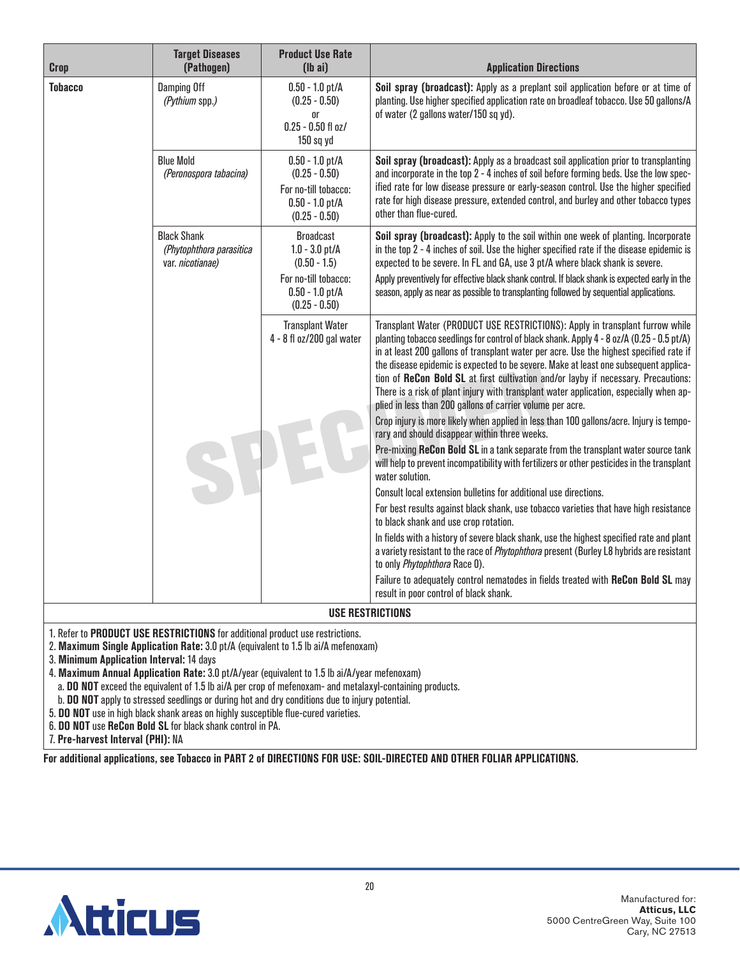| <b>Crop</b>                                                                                                          | <b>Target Diseases</b><br>(Pathogen) | <b>Product Use Rate</b><br>$(lb\text{ ai})$                                                                            | <b>Application Directions</b>                                                                                                                                                                                                                                                                                                                                                                                                                                                                                                                                                                                                                                                                          |
|----------------------------------------------------------------------------------------------------------------------|--------------------------------------|------------------------------------------------------------------------------------------------------------------------|--------------------------------------------------------------------------------------------------------------------------------------------------------------------------------------------------------------------------------------------------------------------------------------------------------------------------------------------------------------------------------------------------------------------------------------------------------------------------------------------------------------------------------------------------------------------------------------------------------------------------------------------------------------------------------------------------------|
| <b>Tobacco</b><br><b>Damping Off</b><br>(Pythium spp.)<br><b>Blue Mold</b><br><b>Black Shank</b><br>var. nicotianae) |                                      | $0.50 - 1.0$ pt/A<br>$(0.25 - 0.50)$<br><b>or</b><br>$0.25 - 0.50$ fl oz/<br>150 sq yd                                 | Soil spray (broadcast): Apply as a preplant soil application before or at time of<br>planting. Use higher specified application rate on broadleaf tobacco. Use 50 gallons/A<br>of water (2 gallons water/150 sq yd).                                                                                                                                                                                                                                                                                                                                                                                                                                                                                   |
|                                                                                                                      | (Peronospora tabacina)               | $0.50 - 1.0$ pt/A<br>$(0.25 - 0.50)$<br>For no-till tobacco:<br>$0.50 - 1.0$ pt/A<br>$(0.25 - 0.50)$                   | Soil spray (broadcast): Apply as a broadcast soil application prior to transplanting<br>and incorporate in the top 2 - 4 inches of soil before forming beds. Use the low spec-<br>ified rate for low disease pressure or early-season control. Use the higher specified<br>rate for high disease pressure, extended control, and burley and other tobacco types<br>other than flue-cured.                                                                                                                                                                                                                                                                                                              |
|                                                                                                                      | (Phytophthora parasitica             | <b>Broadcast</b><br>$1.0 - 3.0$ pt/A<br>$(0.50 - 1.5)$<br>For no-till tobacco:<br>$0.50 - 1.0$ pt/A<br>$(0.25 - 0.50)$ | Soil spray (broadcast): Apply to the soil within one week of planting. Incorporate<br>in the top 2 - 4 inches of soil. Use the higher specified rate if the disease epidemic is<br>expected to be severe. In FL and GA, use 3 pt/A where black shank is severe.<br>Apply preventively for effective black shank control. If black shank is expected early in the<br>season, apply as near as possible to transplanting followed by sequential applications.                                                                                                                                                                                                                                            |
|                                                                                                                      |                                      | <b>Transplant Water</b><br>4 - 8 fl oz/200 gal water                                                                   | Transplant Water (PRODUCT USE RESTRICTIONS): Apply in transplant furrow while<br>planting tobacco seedlings for control of black shank. Apply 4 - 8 oz/A (0.25 - 0.5 pt/A)<br>in at least 200 gallons of transplant water per acre. Use the highest specified rate if<br>the disease epidemic is expected to be severe. Make at least one subsequent applica-<br>tion of ReCon Bold SL at first cultivation and/or layby if necessary. Precautions:<br>There is a risk of plant injury with transplant water application, especially when ap-<br>plied in less than 200 gallons of carrier volume per acre.<br>Crop injury is more likely when applied in less than 100 gallons/acre. Injury is tempo- |
|                                                                                                                      |                                      |                                                                                                                        | rary and should disappear within three weeks.<br>Pre-mixing ReCon Bold SL in a tank separate from the transplant water source tank<br>will help to prevent incompatibility with fertilizers or other pesticides in the transplant<br>water solution.                                                                                                                                                                                                                                                                                                                                                                                                                                                   |
|                                                                                                                      |                                      |                                                                                                                        | Consult local extension bulletins for additional use directions.                                                                                                                                                                                                                                                                                                                                                                                                                                                                                                                                                                                                                                       |
|                                                                                                                      |                                      |                                                                                                                        | For best results against black shank, use tobacco varieties that have high resistance<br>to black shank and use crop rotation.                                                                                                                                                                                                                                                                                                                                                                                                                                                                                                                                                                         |
|                                                                                                                      |                                      |                                                                                                                        | In fields with a history of severe black shank, use the highest specified rate and plant<br>a variety resistant to the race of Phytophthora present (Burley L8 hybrids are resistant<br>to only Phytophthora Race 0).                                                                                                                                                                                                                                                                                                                                                                                                                                                                                  |
|                                                                                                                      |                                      |                                                                                                                        | Failure to adequately control nematodes in fields treated with ReCon Bold SL may<br>result in poor control of black shank.                                                                                                                                                                                                                                                                                                                                                                                                                                                                                                                                                                             |
|                                                                                                                      |                                      |                                                                                                                        | <b>USE RESTRICTIONS</b>                                                                                                                                                                                                                                                                                                                                                                                                                                                                                                                                                                                                                                                                                |

- 1. Refer to **PRODUCT USE RESTRICTIONS** for additional product use restrictions.
- 2. **Maximum Single Application Rate:** 3.0 pt/A (equivalent to 1.5 lb ai/A mefenoxam)
- 3. **Minimum Application Interval:** 14 days
- 4. **Maximum Annual Application Rate:** 3.0 pt/A/year (equivalent to 1.5 lb ai/A/year mefenoxam)
- a. **DO NOT** exceed the equivalent of 1.5 lb ai/A per crop of mefenoxam- and metalaxyl-containing products.
- b. **DO NOT** apply to stressed seedlings or during hot and dry conditions due to injury potential.
- 5. **DO NOT** use in high black shank areas on highly susceptible flue-cured varieties.
- 6. **DO NOT** use **ReCon Bold SL** for black shank control in PA.
- 7. **Pre-harvest Interval (PHI):** NA

**For additional applications, see Tobacco in PART 2 of DIRECTIONS FOR USE: SOIL-DIRECTED AND OTHER FOLIAR APPLICATIONS.**

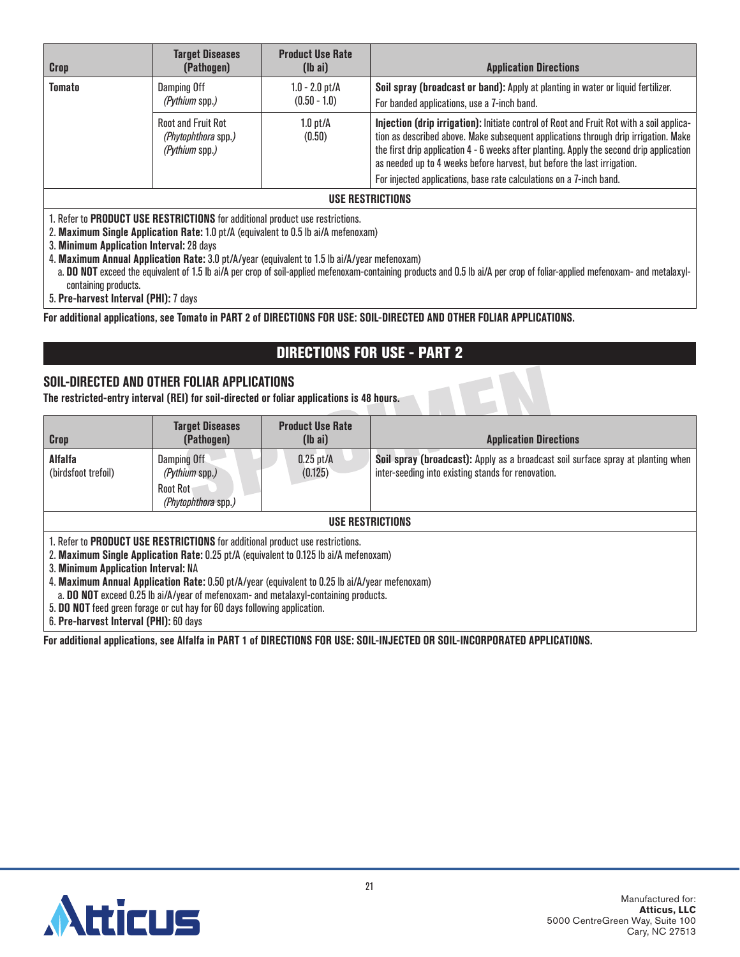| Crop                                                                                    | <b>Target Diseases</b><br>(Pathogen)                                                                                                                                       | <b>Product Use Rate</b><br>$(lb\text{ ai})$                     | <b>Application Directions</b>                                                                                                                                                                                                                                                                                                                          |  |  |
|-----------------------------------------------------------------------------------------|----------------------------------------------------------------------------------------------------------------------------------------------------------------------------|-----------------------------------------------------------------|--------------------------------------------------------------------------------------------------------------------------------------------------------------------------------------------------------------------------------------------------------------------------------------------------------------------------------------------------------|--|--|
| <b>Tomato</b>                                                                           | Damping Off<br>(Pythium spp.)                                                                                                                                              | $1.0 - 2.0$ pt/A<br>$(0.50 - 1.0)$<br>$1.0$ pt/ $\AA$<br>(0.50) | Soil spray (broadcast or band): Apply at planting in water or liquid fertilizer.<br>For banded applications, use a 7-inch band.                                                                                                                                                                                                                        |  |  |
|                                                                                         | <b>Root and Fruit Rot</b><br>(Phytophthora spp.)<br>(Pythium spp.)                                                                                                         |                                                                 | Injection (drip irrigation): Initiate control of Root and Fruit Rot with a soil applica-<br>tion as described above. Make subsequent applications through drip irrigation. Make<br>the first drip application 4 - 6 weeks after planting. Apply the second drip application<br>as needed up to 4 weeks before harvest, but before the last irrigation. |  |  |
| For injected applications, base rate calculations on a 7-inch band.<br>USE RESTRICTIONS |                                                                                                                                                                            |                                                                 |                                                                                                                                                                                                                                                                                                                                                        |  |  |
|                                                                                         | 1. Refer to <b>PRODUCT USE RESTRICTIONS</b> for additional product use restrictions.<br>2. Maximum Single Application Rate: 1.0 pt/A (equivalent to 0.5 lb ai/A mefenoxam) |                                                                 |                                                                                                                                                                                                                                                                                                                                                        |  |  |

3. **Minimum Application Interval:** 28 days

4. **Maximum Annual Application Rate:** 3.0 pt/A/year (equivalent to 1.5 lb ai/A/year mefenoxam)

a. **DO NOT** exceed the equivalent of 1.5 lb ai/A per crop of soil-applied mefenoxam-containing products and 0.5 lb ai/A per crop of foliar-applied mefenoxam- and metalaxylcontaining products.

5. **Pre-harvest Interval (PHI):** 7 days

**For additional applications, see Tomato in PART 2 of DIRECTIONS FOR USE: SOIL-DIRECTED AND OTHER FOLIAR APPLICATIONS.**

## DIRECTIONS FOR USE - PART 2

## **SOIL-DIRECTED AND OTHER FOLIAR APPLICATIONS**

**The restricted-entry interval (REI) for soil-directed or foliar applications is 48 hours.**

| <b>Crop</b>                                                                                                                                                                                                                                                                                                                                                                                                                                                                                | <b>Target Diseases</b><br>(Pathogen)          | <b>Product Use Rate</b><br>$(lb\ a\ i)$ | <b>Application Directions</b>                                                                                                          |  |  |  |
|--------------------------------------------------------------------------------------------------------------------------------------------------------------------------------------------------------------------------------------------------------------------------------------------------------------------------------------------------------------------------------------------------------------------------------------------------------------------------------------------|-----------------------------------------------|-----------------------------------------|----------------------------------------------------------------------------------------------------------------------------------------|--|--|--|
| <b>Alfalfa</b><br>(birdsfoot trefoil)                                                                                                                                                                                                                                                                                                                                                                                                                                                      | Damping Off<br>(Pythium spp.)                 | $0.25$ pt/A<br>(0.125)                  | Soil spray (broadcast): Apply as a broadcast soil surface spray at planting when<br>inter-seeding into existing stands for renovation. |  |  |  |
|                                                                                                                                                                                                                                                                                                                                                                                                                                                                                            | <b>Root Rot</b><br><i>(Phytophthora spp.)</i> |                                         |                                                                                                                                        |  |  |  |
|                                                                                                                                                                                                                                                                                                                                                                                                                                                                                            | USE RESTRICTIONS                              |                                         |                                                                                                                                        |  |  |  |
| 1. Refer to <b>PRODUCT USE RESTRICTIONS</b> for additional product use restrictions.<br>2. Maximum Single Application Rate: 0.25 pt/A (equivalent to 0.125 lb ai/A mefenoxam)<br>3. Minimum Application Interval: NA<br>4. Maximum Annual Application Rate: 0.50 pt/A/year (equivalent to 0.25 lb ai/A/year mefenoxam)<br>a. DO NOT exceed 0.25 lb ai/A/year of mefenoxam- and metalaxyl-containing products.<br>5. DO NOT feed green forage or cut hay for 60 days following application. |                                               |                                         |                                                                                                                                        |  |  |  |

6. **Pre-harvest Interval (PHI):** 60 days

**For additional applications, see Alfalfa in PART 1 of DIRECTIONS FOR USE: SOIL-INJECTED OR SOIL-INCORPORATED APPLICATIONS.**

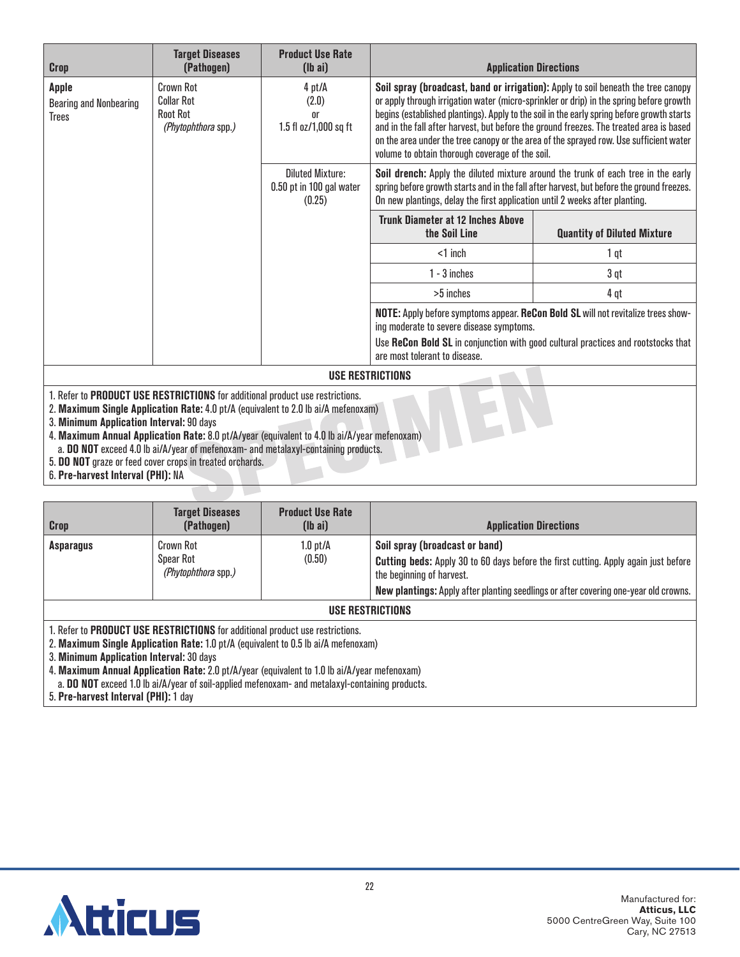| Crop                                                                                                                      | <b>Target Diseases</b><br>(Pathogen)                                                                                                          | <b>Product Use Rate</b><br>$(lb\ a)$                                                                                                                                                                                                                                                                                                                                                                                                                                                                               |                                                                                   | <b>Application Directions</b>                                                                                                                                                  |
|---------------------------------------------------------------------------------------------------------------------------|-----------------------------------------------------------------------------------------------------------------------------------------------|--------------------------------------------------------------------------------------------------------------------------------------------------------------------------------------------------------------------------------------------------------------------------------------------------------------------------------------------------------------------------------------------------------------------------------------------------------------------------------------------------------------------|-----------------------------------------------------------------------------------|--------------------------------------------------------------------------------------------------------------------------------------------------------------------------------|
| <b>Crown Rot</b><br><b>Apple</b><br><b>Collar Rot</b><br><b>Bearing and Nonbearing</b><br><b>Root Rot</b><br><b>Trees</b> | 4 pt/A<br>(2.0)<br>0r<br>1.5 fl oz/1,000 sq ft<br><i>(Phytophthora spp.)</i><br><b>Diluted Mixture:</b><br>0.50 pt in 100 gal water<br>(0.25) | Soil spray (broadcast, band or irrigation): Apply to soil beneath the tree canopy<br>or apply through irrigation water (micro-sprinkler or drip) in the spring before growth<br>begins (established plantings). Apply to the soil in the early spring before growth starts<br>and in the fall after harvest, but before the ground freezes. The treated area is based<br>on the area under the tree canopy or the area of the sprayed row. Use sufficient water<br>volume to obtain thorough coverage of the soil. |                                                                                   |                                                                                                                                                                                |
|                                                                                                                           |                                                                                                                                               |                                                                                                                                                                                                                                                                                                                                                                                                                                                                                                                    | On new plantings, delay the first application until 2 weeks after planting.       | Soil drench: Apply the diluted mixture around the trunk of each tree in the early<br>spring before growth starts and in the fall after harvest, but before the ground freezes. |
|                                                                                                                           |                                                                                                                                               |                                                                                                                                                                                                                                                                                                                                                                                                                                                                                                                    | <b>Trunk Diameter at 12 Inches Above</b><br>the Soil Line                         | <b>Quantity of Diluted Mixture</b>                                                                                                                                             |
|                                                                                                                           |                                                                                                                                               |                                                                                                                                                                                                                                                                                                                                                                                                                                                                                                                    | $<$ 1 inch                                                                        | 1 qt                                                                                                                                                                           |
|                                                                                                                           |                                                                                                                                               |                                                                                                                                                                                                                                                                                                                                                                                                                                                                                                                    | $1 - 3$ inches                                                                    | 3 qt                                                                                                                                                                           |
|                                                                                                                           |                                                                                                                                               |                                                                                                                                                                                                                                                                                                                                                                                                                                                                                                                    | >5 inches                                                                         | 4 qt                                                                                                                                                                           |
|                                                                                                                           |                                                                                                                                               | ing moderate to severe disease symptoms.                                                                                                                                                                                                                                                                                                                                                                                                                                                                           | NOTE: Apply before symptoms appear. ReCon Bold SL will not revitalize trees show- |                                                                                                                                                                                |
|                                                                                                                           |                                                                                                                                               |                                                                                                                                                                                                                                                                                                                                                                                                                                                                                                                    | are most tolerant to disease.                                                     | Use ReCon Bold SL in conjunction with good cultural practices and rootstocks that                                                                                              |
|                                                                                                                           |                                                                                                                                               |                                                                                                                                                                                                                                                                                                                                                                                                                                                                                                                    | USE RESTRICTIONS                                                                  |                                                                                                                                                                                |
|                                                                                                                           | 1. Refer to PRODUCT USE RESTRICTIONS for additional product use restrictions.                                                                 |                                                                                                                                                                                                                                                                                                                                                                                                                                                                                                                    |                                                                                   |                                                                                                                                                                                |

2. **Maximum Single Application Rate:** 4.0 pt/A (equivalent to 2.0 lb ai/A mefenoxam)

3. **Minimum Application Interval:** 90 days

4. **Maximum Annual Application Rate:** 8.0 pt/A/year (equivalent to 4.0 lb ai/A/year mefenoxam)

a. **DO NOT** exceed 4.0 lb ai/A/year of mefenoxam- and metalaxyl-containing products.

5. **DO NOT** graze or feed cover crops in treated orchards.

6. **Pre-harvest Interval (PHI):** NA

| <b>Crop</b>             | <b>Target Diseases</b><br>(Pathogen)          | <b>Product Use Rate</b><br>$(lb\text{ ai})$ | <b>Application Directions</b>                                                                                                                                                                                                                            |  |
|-------------------------|-----------------------------------------------|---------------------------------------------|----------------------------------------------------------------------------------------------------------------------------------------------------------------------------------------------------------------------------------------------------------|--|
| <b>Asparagus</b>        | Crown Rot<br>Spear Rot<br>(Phytophthora spp.) | 1.0 pt/A<br>(0.50)                          | Soil spray (broadcast or band)<br><b>Cutting beds:</b> Apply 30 to 60 days before the first cutting. Apply again just before<br>the beginning of harvest.<br><b>New plantings:</b> Apply after planting seedlings or after covering one-year old crowns. |  |
| <b>USE RESTRICTIONS</b> |                                               |                                             |                                                                                                                                                                                                                                                          |  |

1. Refer to **PRODUCT USE RESTRICTIONS** for additional product use restrictions.

2. **Maximum Single Application Rate:** 1.0 pt/A (equivalent to 0.5 lb ai/A mefenoxam)

3. **Minimum Application Interval:** 30 days

4. **Maximum Annual Application Rate:** 2.0 pt/A/year (equivalent to 1.0 lb ai/A/year mefenoxam)

a. **DO NOT** exceed 1.0 lb ai/A/year of soil-applied mefenoxam- and metalaxyl-containing products.

5. **Pre-harvest Interval (PHI):** 1 day

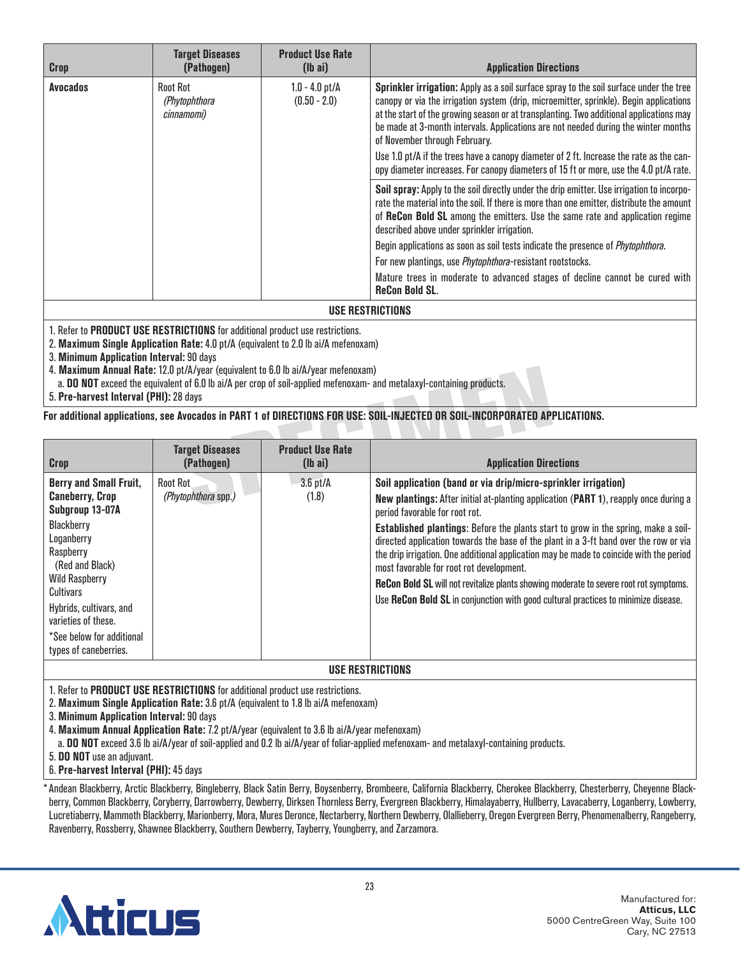| <b>Crop</b>     | <b>Target Diseases</b><br>(Pathogen)    | <b>Product Use Rate</b><br>$(lb\ a\ i)$ | <b>Application Directions</b>                                                                                                                                                                                                                                                                                                                                                                                                                                                                                                                                                                  |
|-----------------|-----------------------------------------|-----------------------------------------|------------------------------------------------------------------------------------------------------------------------------------------------------------------------------------------------------------------------------------------------------------------------------------------------------------------------------------------------------------------------------------------------------------------------------------------------------------------------------------------------------------------------------------------------------------------------------------------------|
| <b>Avocados</b> | Root Rot<br>(Phytophthora<br>cinnamomi) | $1.0 - 4.0$ pt/A<br>$(0.50 - 2.0)$      | Sprinkler irrigation: Apply as a soil surface spray to the soil surface under the tree<br>canopy or via the irrigation system (drip, microemitter, sprinkle). Begin applications<br>at the start of the growing season or at transplanting. Two additional applications may<br>be made at 3-month intervals. Applications are not needed during the winter months<br>of November through February.<br>Use 1.0 pt/A if the trees have a canopy diameter of 2 ft. Increase the rate as the can-<br>opy diameter increases. For canopy diameters of 15 ft or more, use the 4.0 pt/A rate.         |
|                 |                                         |                                         | Soil spray: Apply to the soil directly under the drip emitter. Use irrigation to incorpo-<br>rate the material into the soil. If there is more than one emitter, distribute the amount<br>of ReCon Bold SL among the emitters. Use the same rate and application regime<br>described above under sprinkler irrigation.<br>Begin applications as soon as soil tests indicate the presence of <i>Phytophthora</i> .<br>For new plantings, use <i>Phytophthora-resistant rootstocks</i> .<br>Mature trees in moderate to advanced stages of decline cannot be cured with<br><b>ReCon Bold SL.</b> |

**USE RESTRICTIONS**

1. Refer to **PRODUCT USE RESTRICTIONS** for additional product use restrictions.

2. **Maximum Single Application Rate:** 4.0 pt/A (equivalent to 2.0 lb ai/A mefenoxam)

3. **Minimum Application Interval:** 90 days

4. **Maximum Annual Rate:** 12.0 pt/A/year (equivalent to 6.0 lb ai/A/year mefenoxam)

a. **DO NOT** exceed the equivalent of 6.0 lb ai/A per crop of soil-applied mefenoxam- and metalaxyl-containing products.

5. **Pre-harvest Interval (PHI):** 28 days

**For additional applications, see Avocados in PART 1 of DIRECTIONS FOR USE: SOIL-INJECTED OR SOIL-INCORPORATED APPLICATIONS.**

| <b>Crop</b>                                                                                                                                                                                                                                                                   | <b>Target Diseases</b><br>(Pathogen)   | <b>Product Use Rate</b><br>$(lb\ a\ i)$ | <b>Application Directions</b>                                                                                                                                                                                                                                                                                                                                                                                                                                                                                                                                                                                                                                                                         |  |  |
|-------------------------------------------------------------------------------------------------------------------------------------------------------------------------------------------------------------------------------------------------------------------------------|----------------------------------------|-----------------------------------------|-------------------------------------------------------------------------------------------------------------------------------------------------------------------------------------------------------------------------------------------------------------------------------------------------------------------------------------------------------------------------------------------------------------------------------------------------------------------------------------------------------------------------------------------------------------------------------------------------------------------------------------------------------------------------------------------------------|--|--|
| Berry and Small Fruit,<br><b>Caneberry, Crop</b><br>Subgroup 13-07A<br>Blackberry<br>Loganberry<br>Raspberry<br>(Red and Black)<br><b>Wild Raspberry</b><br>Cultivars<br>Hybrids, cultivars, and<br>varieties of these.<br>*See below for additional<br>types of caneberries. | <b>Root Rot</b><br>(Phytophthora spp.) | $3.6$ pt/ $A$<br>(1.8)                  | Soil application (band or via drip/micro-sprinkler irrigation)<br>New plantings: After initial at-planting application (PART 1), reapply once during a<br>period favorable for root rot.<br><b>Established plantings:</b> Before the plants start to grow in the spring, make a soil-<br>directed application towards the base of the plant in a 3-ft band over the row or via<br>the drip irrigation. One additional application may be made to coincide with the period<br>most favorable for root rot development.<br>ReCon Bold SL will not revitalize plants showing moderate to severe root rot symptoms.<br>Use ReCon Bold SL in conjunction with good cultural practices to minimize disease. |  |  |
|                                                                                                                                                                                                                                                                               | USE RESTRICTIONS                       |                                         |                                                                                                                                                                                                                                                                                                                                                                                                                                                                                                                                                                                                                                                                                                       |  |  |

1. Refer to **PRODUCT USE RESTRICTIONS** for additional product use restrictions.

2. **Maximum Single Application Rate:** 3.6 pt/A (equivalent to 1.8 lb ai/A mefenoxam)

3. **Minimum Application Interval:** 90 days

4. **Maximum Annual Application Rate:** 7.2 pt/A/year (equivalent to 3.6 lb ai/A/year mefenoxam)

a. **DO NOT** exceed 3.6 lb ai/A/year of soil-applied and 0.2 lb ai/A/year of foliar-applied mefenoxam- and metalaxyl-containing products.

5. **DO NOT** use an adjuvant.

6. **Pre-harvest Interval (PHI):** 45 days

\*Andean Blackberry, Arctic Blackberry, Bingleberry, Black Satin Berry, Boysenberry, Brombeere, California Blackberry, Cherokee Blackberry, Chesterberry, Cheyenne Blackberry, Common Blackberry, Coryberry, Darrowberry, Dewberry, Dirksen Thornless Berry, Evergreen Blackberry, Himalayaberry, Hullberry, Lavacaberry, Loganberry, Lowberry, Lucretiaberry, Mammoth Blackberry, Marionberry, Mora, Mures Deronce, Nectarberry, Northern Dewberry, Olallieberry, Oregon Evergreen Berry, Phenomenalberry, Rangeberry, Ravenberry, Rossberry, Shawnee Blackberry, Southern Dewberry, Tayberry, Youngberry, and Zarzamora.

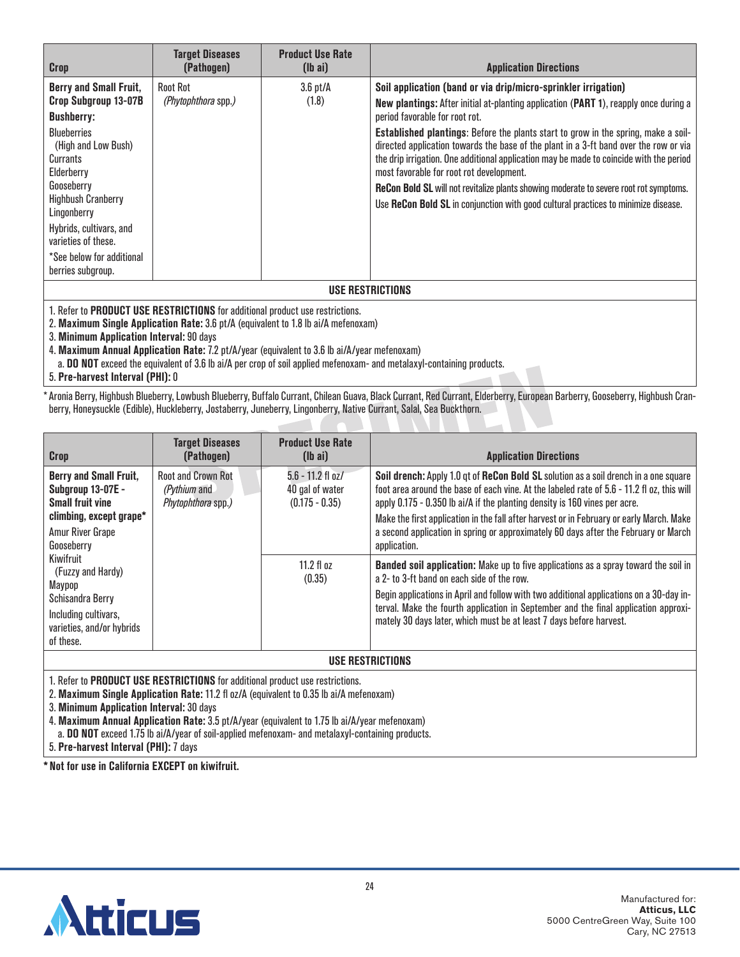| Crop                                                                                                                                                                                                                                                                                                            | <b>Target Diseases</b><br>(Pathogen)   | <b>Product Use Rate</b><br>$(lb\text{ ai})$ | <b>Application Directions</b>                                                                                                                                                                                                                                                                                                                                                                                                                                                                                                                                                                                                                                                                                |  |
|-----------------------------------------------------------------------------------------------------------------------------------------------------------------------------------------------------------------------------------------------------------------------------------------------------------------|----------------------------------------|---------------------------------------------|--------------------------------------------------------------------------------------------------------------------------------------------------------------------------------------------------------------------------------------------------------------------------------------------------------------------------------------------------------------------------------------------------------------------------------------------------------------------------------------------------------------------------------------------------------------------------------------------------------------------------------------------------------------------------------------------------------------|--|
| <b>Berry and Small Fruit,</b><br>Crop Subgroup 13-07B<br><b>Bushberry:</b><br><b>Blueberries</b><br>(High and Low Bush)<br>Currants<br>Elderberry<br>Gooseberry<br><b>Highbush Cranberry</b><br>Lingonberry<br>Hybrids, cultivars, and<br>varieties of these.<br>*See below for additional<br>berries subgroup. | Root Rot<br><i>(Phytophthora spp.)</i> | $3.6$ pt/ $\AA$<br>(1.8)                    | Soil application (band or via drip/micro-sprinkler irrigation)<br>New plantings: After initial at-planting application (PART 1), reapply once during a<br>period favorable for root rot.<br><b>Established plantings:</b> Before the plants start to grow in the spring, make a soil-<br>directed application towards the base of the plant in a 3-ft band over the row or via<br>the drip irrigation. One additional application may be made to coincide with the period<br>most favorable for root rot development.<br><b>ReCon Bold SL</b> will not revitalize plants showing moderate to severe root rot symptoms.<br>Use ReCon Bold SL in conjunction with good cultural practices to minimize disease. |  |
| USE RESTRICTIONS                                                                                                                                                                                                                                                                                                |                                        |                                             |                                                                                                                                                                                                                                                                                                                                                                                                                                                                                                                                                                                                                                                                                                              |  |

2. **Maximum Single Application Rate:** 3.6 pt/A (equivalent to 1.8 lb ai/A mefenoxam)

3. **Minimum Application Interval:** 90 days

4. **Maximum Annual Application Rate:** 7.2 pt/A/year (equivalent to 3.6 lb ai/A/year mefenoxam)

a. **DO NOT** exceed the equivalent of 3.6 lb ai/A per crop of soil applied mefenoxam- and metalaxyl-containing products.

5. **Pre-harvest Interval (PHI):** 0

\*Aronia Berry, Highbush Blueberry, Lowbush Blueberry, Buffalo Currant, Chilean Guava, Black Currant, Red Currant, Elderberry, European Barberry, Gooseberry, Highbush Cranberry, Honeysuckle (Edible), Huckleberry, Jostaberry, Juneberry, Lingonberry, Native Currant, Salal, Sea Buckthorn.

| <b>Crop</b>                                                                                                                                       | <b>Target Diseases</b><br>(Pathogen)                            | <b>Product Use Rate</b><br>$(lb\text{ ai})$                | <b>Application Directions</b>                                                                                                                                                                                                                                                                                                                                                                                                                                       |  |
|---------------------------------------------------------------------------------------------------------------------------------------------------|-----------------------------------------------------------------|------------------------------------------------------------|---------------------------------------------------------------------------------------------------------------------------------------------------------------------------------------------------------------------------------------------------------------------------------------------------------------------------------------------------------------------------------------------------------------------------------------------------------------------|--|
| <b>Berry and Small Fruit,</b><br><b>Subgroup 13-07E -</b><br><b>Small fruit vine</b><br>climbing, except grape*<br>Amur River Grape<br>Gooseberry | <b>Root and Crown Rot</b><br>(Pythium and<br>Phytophthora spp.) | $5.6 - 11.2$ fl oz/<br>40 gal of water<br>$(0.175 - 0.35)$ | Soil drench: Apply 1.0 gt of ReCon Bold SL solution as a soil drench in a one square<br>foot area around the base of each vine. At the labeled rate of 5.6 - 11.2 fl oz, this will<br>apply 0.175 - 0.350 lb ai/A if the planting density is 160 vines per acre.<br>Make the first application in the fall after harvest or in February or early March. Make<br>a second application in spring or approximately 60 days after the February or March<br>application. |  |
| Kiwifruit<br>(Fuzzy and Hardy)<br>Maypop<br>Schisandra Berry<br>Including cultivars,<br>varieties, and/or hybrids<br>of these.                    |                                                                 | 11.2 fl $\alpha$ z<br>(0.35)                               | <b>Banded soil application:</b> Make up to five applications as a spray toward the soil in<br>a 2- to 3-ft hand on each side of the row.<br>Begin applications in April and follow with two additional applications on a 30-day in-<br>terval. Make the fourth application in September and the final application approxi-<br>mately 30 days later, which must be at least 7 days before harvest.                                                                   |  |
| USE RESTRICTIONS                                                                                                                                  |                                                                 |                                                            |                                                                                                                                                                                                                                                                                                                                                                                                                                                                     |  |

1. Refer to **PRODUCT USE RESTRICTIONS** for additional product use restrictions.

2. **Maximum Single Application Rate:** 11.2 fl oz/A (equivalent to 0.35 lb ai/A mefenoxam)

3. **Minimum Application Interval:** 30 days

4. **Maximum Annual Application Rate:** 3.5 pt/A/year (equivalent to 1.75 lb ai/A/year mefenoxam)

a. **DO NOT** exceed 1.75 lb ai/A/year of soil-applied mefenoxam- and metalaxyl-containing products.

5. **Pre-harvest Interval (PHI):** 7 days

**\* Not for use in California EXCEPT on kiwifruit.**

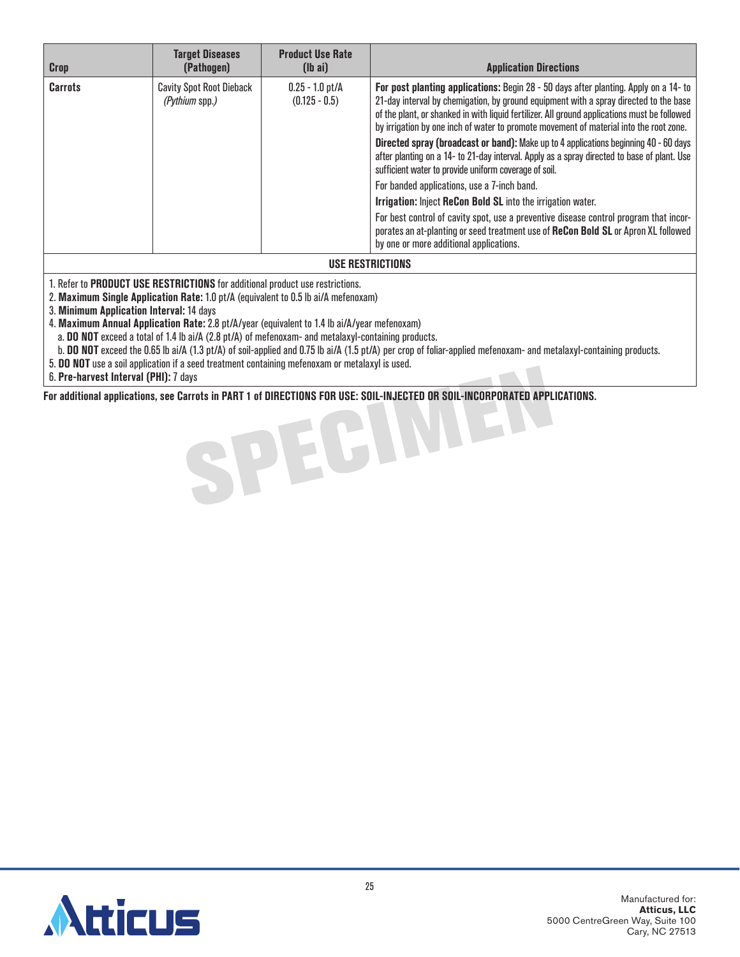| Crop              | <b>Target Diseases</b><br>(Pathogen)              | <b>Product Use Rate</b><br>$(lb\ a\ i)$ | <b>Application Directions</b>                                                                                                                                                                                                                                                                                                                                                                                                                                                                                                                                                                                                                                                                                                                                                                                                                                                                                                                                   |  |
|-------------------|---------------------------------------------------|-----------------------------------------|-----------------------------------------------------------------------------------------------------------------------------------------------------------------------------------------------------------------------------------------------------------------------------------------------------------------------------------------------------------------------------------------------------------------------------------------------------------------------------------------------------------------------------------------------------------------------------------------------------------------------------------------------------------------------------------------------------------------------------------------------------------------------------------------------------------------------------------------------------------------------------------------------------------------------------------------------------------------|--|
| <b>Carrots</b>    | <b>Cavity Spot Root Dieback</b><br>(Pythium spp.) | $0.25 - 1.0$ pt/A<br>$(0.125 - 0.5)$    | For post planting applications: Begin 28 - 50 days after planting. Apply on a 14- to<br>21-day interval by chemigation, by ground equipment with a spray directed to the base<br>of the plant, or shanked in with liquid fertilizer. All ground applications must be followed<br>by irrigation by one inch of water to promote movement of material into the root zone.<br>Directed spray (broadcast or band): Make up to 4 applications beginning 40 - 60 days<br>after planting on a 14- to 21-day interval. Apply as a spray directed to base of plant. Use<br>sufficient water to provide uniform coverage of soil.<br>For banded applications, use a 7-inch band.<br>Irrigation: Inject ReCon Bold SL into the irrigation water.<br>For best control of cavity spot, use a preventive disease control program that incor-<br>porates an at-planting or seed treatment use of ReCon Bold SL or Apron XL followed<br>by one or more additional applications. |  |
| IIAF REATRIATIANA |                                                   |                                         |                                                                                                                                                                                                                                                                                                                                                                                                                                                                                                                                                                                                                                                                                                                                                                                                                                                                                                                                                                 |  |

#### **USE RESTRICTIONS**

1. Refer to **PRODUCT USE RESTRICTIONS** for additional product use restrictions.

2. **Maximum Single Application Rate:** 1.0 pt/A (equivalent to 0.5 lb ai/A mefenoxam)

3. **Minimum Application Interval:** 14 days

4. **Maximum Annual Application Rate:** 2.8 pt/A/year (equivalent to 1.4 lb ai/A/year mefenoxam)

a. **DO NOT** exceed a total of 1.4 lb ai/A (2.8 pt/A) of mefenoxam- and metalaxyl-containing products.

b. **DO NOT** exceed the 0.65 lb ai/A (1.3 pt/A) of soil-applied and 0.75 lb ai/A (1.5 pt/A) per crop of foliar-applied mefenoxam- and metalaxyl-containing products.

5. **DO NOT** use a soil application if a seed treatment containing mefenoxam or metalaxyl is used.

6. **Pre-harvest Interval (PHI):** 7 days

**For additional applications, see Carrots in PART 1 of DIRECTIONS FOR USE: SOIL-INJECTED OR SOIL-INCORPORATED APPLICATIONS.**

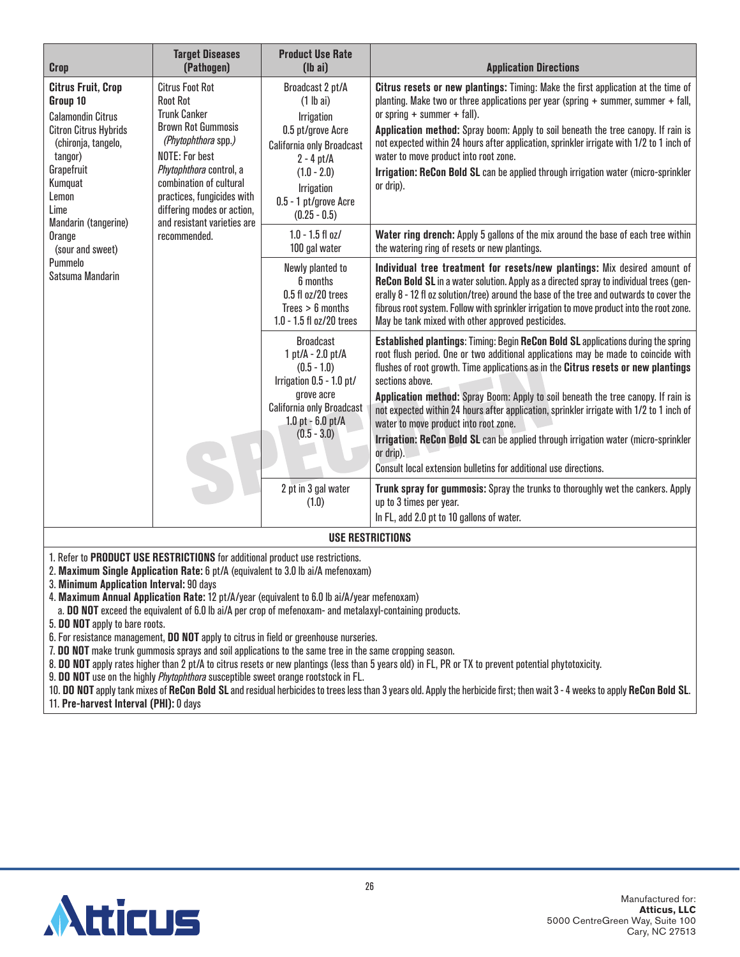| <b>Crop</b>                                                                                                                                                                                                                                                                                                                                                                                                                                      | <b>Target Diseases</b><br>(Pathogen)                                                                                                                                                                           | <b>Product Use Rate</b><br>$(lb\ a)$                                                                                                                                                                                                                                                                                                                                                                                                                                                                                                        | <b>Application Directions</b>                                                                                                                                                                                                                                                                                                                                                                                                                                                                                                                                                                                                                                                            |  |
|--------------------------------------------------------------------------------------------------------------------------------------------------------------------------------------------------------------------------------------------------------------------------------------------------------------------------------------------------------------------------------------------------------------------------------------------------|----------------------------------------------------------------------------------------------------------------------------------------------------------------------------------------------------------------|---------------------------------------------------------------------------------------------------------------------------------------------------------------------------------------------------------------------------------------------------------------------------------------------------------------------------------------------------------------------------------------------------------------------------------------------------------------------------------------------------------------------------------------------|------------------------------------------------------------------------------------------------------------------------------------------------------------------------------------------------------------------------------------------------------------------------------------------------------------------------------------------------------------------------------------------------------------------------------------------------------------------------------------------------------------------------------------------------------------------------------------------------------------------------------------------------------------------------------------------|--|
| <b>Citrus Fruit, Crop</b><br><b>Citrus Foot Rot</b><br>Group 10<br><b>Root Rot</b><br><b>Trunk Canker</b><br><b>Calamondin Citrus</b><br><b>Brown Rot Gummosis</b><br><b>Citron Citrus Hybrids</b><br>(Phytophthora spp.)<br>(chironja, tangelo,<br><b>NOTE: For best</b><br>tangor)<br>Grapefruit<br>Phytophthora control, a<br>combination of cultural<br>Kumquat<br>practices, fungicides with<br>Lemon<br>differing modes or action,<br>Lime | Broadcast 2 pt/A<br>$(1$ lb ai)<br><b>Irrigation</b><br>0.5 pt/grove Acre<br><b>California only Broadcast</b><br>$2 - 4$ pt/A<br>$(1.0 - 2.0)$<br><b>Irrigation</b><br>0.5 - 1 pt/grove Acre<br>$(0.25 - 0.5)$ | Citrus resets or new plantings: Timing: Make the first application at the time of<br>planting. Make two or three applications per year (spring $+$ summer, summer $+$ fall,<br>or spring $+$ summer $+$ fall).<br>Application method: Spray boom: Apply to soil beneath the tree canopy. If rain is<br>not expected within 24 hours after application, sprinkler irrigate with 1/2 to 1 inch of<br>water to move product into root zone.<br>Irrigation: ReCon Bold SL can be applied through irrigation water (micro-sprinkler<br>or drip). |                                                                                                                                                                                                                                                                                                                                                                                                                                                                                                                                                                                                                                                                                          |  |
| Mandarin (tangerine)<br>Orange<br>(sour and sweet)                                                                                                                                                                                                                                                                                                                                                                                               | and resistant varieties are<br>recommended.                                                                                                                                                                    | $1.0 - 1.5$ fl oz/<br>100 gal water                                                                                                                                                                                                                                                                                                                                                                                                                                                                                                         | Water ring drench: Apply 5 gallons of the mix around the base of each tree within<br>the watering ring of resets or new plantings.                                                                                                                                                                                                                                                                                                                                                                                                                                                                                                                                                       |  |
| Pummelo<br>Satsuma Mandarin                                                                                                                                                                                                                                                                                                                                                                                                                      | Newly planted to<br>6 months<br>0.5 fl oz/20 trees<br>Trees > 6 months<br>1.0 - 1.5 fl oz/20 trees                                                                                                             | Individual tree treatment for resets/new plantings: Mix desired amount of<br>ReCon Bold SL in a water solution. Apply as a directed spray to individual trees (gen-<br>erally 8 - 12 fl oz solution/tree) around the base of the tree and outwards to cover the<br>fibrous root system. Follow with sprinkler irrigation to move product into the root zone.<br>May be tank mixed with other approved pesticides.                                                                                                                           |                                                                                                                                                                                                                                                                                                                                                                                                                                                                                                                                                                                                                                                                                          |  |
|                                                                                                                                                                                                                                                                                                                                                                                                                                                  |                                                                                                                                                                                                                | <b>Broadcast</b><br>1 pt/A - 2.0 pt/A<br>$(0.5 - 1.0)$<br>Irrigation 0.5 - 1.0 pt/<br>grove acre<br>California only Broadcast<br>$1.0$ pt - $6.0$ pt/A<br>$(0.5 - 3.0)$                                                                                                                                                                                                                                                                                                                                                                     | <b>Established plantings: Timing: Begin ReCon Bold SL applications during the spring</b><br>root flush period. One or two additional applications may be made to coincide with<br>flushes of root growth. Time applications as in the Citrus resets or new plantings<br>sections above.<br>Application method: Spray Boom: Apply to soil beneath the tree canopy. If rain is<br>not expected within 24 hours after application, sprinkler irrigate with 1/2 to 1 inch of<br>water to move product into root zone.<br>Irrigation: ReCon Bold SL can be applied through irrigation water (micro-sprinkler<br>or drip).<br>Consult local extension bulletins for additional use directions. |  |
|                                                                                                                                                                                                                                                                                                                                                                                                                                                  | 2 pt in 3 gal water<br>(1.0)                                                                                                                                                                                   | Trunk spray for gummosis: Spray the trunks to thoroughly wet the cankers. Apply<br>up to 3 times per year.<br>In FL, add 2.0 pt to 10 gallons of water.                                                                                                                                                                                                                                                                                                                                                                                     |                                                                                                                                                                                                                                                                                                                                                                                                                                                                                                                                                                                                                                                                                          |  |
| <b>USE RESTRICTIONS</b>                                                                                                                                                                                                                                                                                                                                                                                                                          |                                                                                                                                                                                                                |                                                                                                                                                                                                                                                                                                                                                                                                                                                                                                                                             |                                                                                                                                                                                                                                                                                                                                                                                                                                                                                                                                                                                                                                                                                          |  |
| 1. Refer to PRODUCT USE RESTRICTIONS for additional product use restrictions.<br>2. Maximum Single Application Rate: 6 pt/A (equivalent to 3.0 lb ai/A mefenoxam)<br>3. Minimum Application Interval: 90 days<br>4. Maximum Annual Application Rate: 12 pt/A/year (equivalent to 6.0 lb ai/A/year mefenoxam)                                                                                                                                     |                                                                                                                                                                                                                |                                                                                                                                                                                                                                                                                                                                                                                                                                                                                                                                             |                                                                                                                                                                                                                                                                                                                                                                                                                                                                                                                                                                                                                                                                                          |  |

a. **DO NOT** exceed the equivalent of 6.0 lb ai/A per crop of mefenoxam- and metalaxyl-containing products.

5. **DO NOT** apply to bare roots.

6. For resistance management, **DO NOT** apply to citrus in field or greenhouse nurseries.

7. **DO NOT** make trunk gummosis sprays and soil applications to the same tree in the same cropping season.

8. **DO NOT** apply rates higher than 2 pt/A to citrus resets or new plantings (less than 5 years old) in FL, PR or TX to prevent potential phytotoxicity.

9. **DO NOT** use on the highly *Phytophthora* susceptible sweet orange rootstock in FL.

10. **DO NOT** apply tank mixes of **ReCon Bold SL** and residual herbicides to trees less than 3 years old. Apply the herbicide first; then wait 3 - 4 weeks to apply **ReCon Bold SL**.

11. **Pre-harvest Interval (PHI):** 0 days

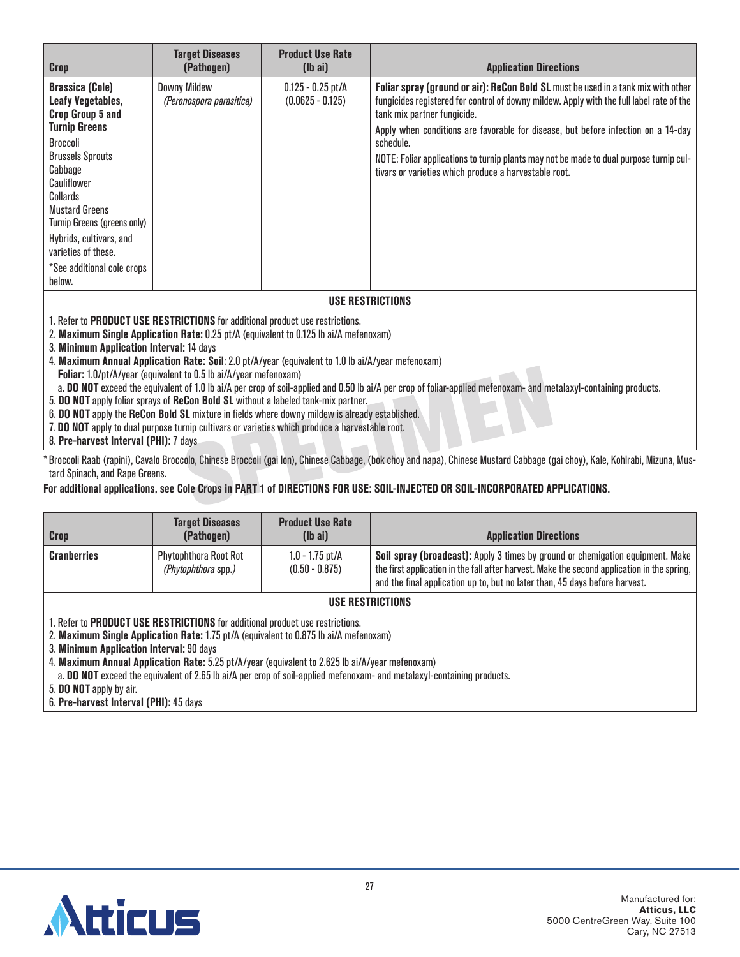| <b>Crop</b>                                                                                                                                                                                                                                                                                                              | <b>Target Diseases</b><br>(Pathogen)            | <b>Product Use Rate</b><br>$(\mathsf{lb} \; \mathsf{ai})$ | <b>Application Directions</b>                                                                                                                                                                                                                                                                                                                                                                                                                                     |  |  |
|--------------------------------------------------------------------------------------------------------------------------------------------------------------------------------------------------------------------------------------------------------------------------------------------------------------------------|-------------------------------------------------|-----------------------------------------------------------|-------------------------------------------------------------------------------------------------------------------------------------------------------------------------------------------------------------------------------------------------------------------------------------------------------------------------------------------------------------------------------------------------------------------------------------------------------------------|--|--|
| <b>Brassica (Cole)</b><br>Leafy Vegetables,<br>Crop Group 5 and<br><b>Turnip Greens</b><br>Broccoli<br><b>Brussels Sprouts</b><br>Cabbage<br>Cauliflower<br>Collards<br><b>Mustard Greens</b><br>Turnip Greens (greens only)<br>Hybrids, cultivars, and<br>varieties of these.<br>*See additional cole crops<br>below.   | <b>Downy Mildew</b><br>(Peronospora parasitica) | $0.125 - 0.25$ pt/A<br>$(0.0625 - 0.125)$                 | Foliar spray (ground or air): ReCon Bold SL must be used in a tank mix with other<br>fungicides registered for control of downy mildew. Apply with the full label rate of the<br>tank mix partner fungicide.<br>Apply when conditions are favorable for disease, but before infection on a 14-day<br>schedule.<br>NOTE: Foliar applications to turnip plants may not be made to dual purpose turnip cul-<br>tivars or varieties which produce a harvestable root. |  |  |
| <b>USE RESTRICTIONS</b>                                                                                                                                                                                                                                                                                                  |                                                 |                                                           |                                                                                                                                                                                                                                                                                                                                                                                                                                                                   |  |  |
| 1. Refer to PRODUCT USE RESTRICTIONS for additional product use restrictions.<br>2. Maximum Single Application Rate: 0.25 pt/A (equivalent to 0.125 lb ai/A mefenoxam)<br>3. Minimum Application Interval: 14 days<br>4. Maximum Annual Application Rate: Soil: 2.0 pt/A/year (equivalent to 1.0 lb ai/A/year mefenoxam) |                                                 |                                                           |                                                                                                                                                                                                                                                                                                                                                                                                                                                                   |  |  |

- **Foliar:** 1.0/pt/A/year (equivalent to 0.5 lb ai/A/year mefenoxam)
- a. **DO NOT** exceed the equivalent of 1.0 lb ai/A per crop of soil-applied and 0.50 lb ai/A per crop of foliar-applied mefenoxam- and metalaxyl-containing products.
- 5. **DO NOT** apply foliar sprays of **ReCon Bold SL** without a labeled tank-mix partner.
- 6. **DO NOT** apply the **ReCon Bold SL** mixture in fields where downy mildew is already established.
- 7. **DO NOT** apply to dual purpose turnip cultivars or varieties which produce a harvestable root.
- 8. **Pre-harvest Interval (PHI):** 7 days

\* Broccoli Raab (rapini), Cavalo Broccolo, Chinese Broccoli (gai lon), Chinese Cabbage, (bok choy and napa), Chinese Mustard Cabbage (gai choy), Kale, Kohlrabi, Mizuna, Mustard Spinach, and Rape Greens.

#### **For additional applications, see Cole Crops in PART 1 of DIRECTIONS FOR USE: SOIL-INJECTED OR SOIL-INCORPORATED APPLICATIONS.**

| <b>Crop</b>        | <b>Target Diseases</b><br>(Pathogen)                | <b>Product Use Rate</b><br>$(\mathsf{I} \mathsf{b} \mathsf{a} \mathsf{i})$ | <b>Application Directions</b>                                                                                                                                                                                                                                |
|--------------------|-----------------------------------------------------|----------------------------------------------------------------------------|--------------------------------------------------------------------------------------------------------------------------------------------------------------------------------------------------------------------------------------------------------------|
| <b>Cranberries</b> | <b>Phytophthora Root Rot</b><br>(Phytophthora spp.) | $1.0 - 1.75$ pt/A<br>$(0.50 - 0.875)$                                      | Soil spray (broadcast): Apply 3 times by ground or chemigation equipment. Make<br>the first application in the fall after harvest. Make the second application in the spring,<br>and the final application up to, but no later than, 45 days before harvest. |
| USE RESTRICTIONS   |                                                     |                                                                            |                                                                                                                                                                                                                                                              |

1. Refer to **PRODUCT USE RESTRICTIONS** for additional product use restrictions.

2. **Maximum Single Application Rate:** 1.75 pt/A (equivalent to 0.875 lb ai/A mefenoxam)

3. **Minimum Application Interval:** 90 days

4. **Maximum Annual Application Rate:** 5.25 pt/A/year (equivalent to 2.625 lb ai/A/year mefenoxam)

a. **DO NOT** exceed the equivalent of 2.65 lb ai/A per crop of soil-applied mefenoxam- and metalaxyl-containing products.

5. **DO NOT** apply by air.

6. **Pre-harvest Interval (PHI):** 45 days

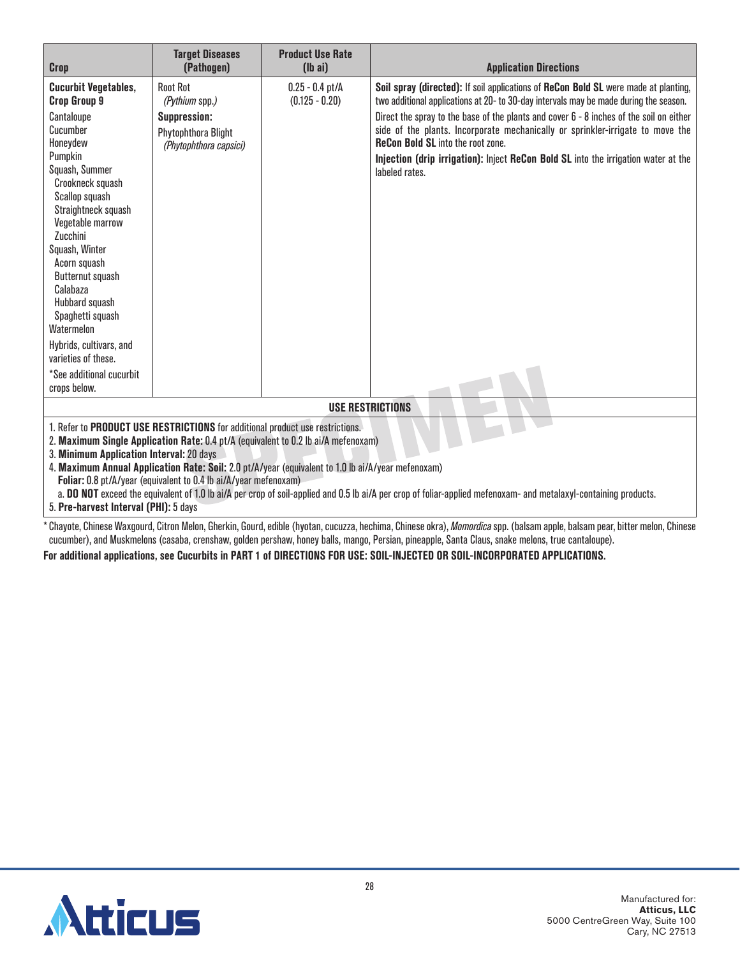| <b>Crop</b>                                                                                                                                                                                                                                                                                                                                                                                                                                                                                                                                                                                                                                                                                                                                                                           | <b>Target Diseases</b><br>(Pathogen)                                                                      | <b>Product Use Rate</b><br>$(lb\ ai)$ | <b>Application Directions</b>                                                                                                                                                                                                                                                                                                                                                                                                                                                                                 |  |
|---------------------------------------------------------------------------------------------------------------------------------------------------------------------------------------------------------------------------------------------------------------------------------------------------------------------------------------------------------------------------------------------------------------------------------------------------------------------------------------------------------------------------------------------------------------------------------------------------------------------------------------------------------------------------------------------------------------------------------------------------------------------------------------|-----------------------------------------------------------------------------------------------------------|---------------------------------------|---------------------------------------------------------------------------------------------------------------------------------------------------------------------------------------------------------------------------------------------------------------------------------------------------------------------------------------------------------------------------------------------------------------------------------------------------------------------------------------------------------------|--|
| <b>Cucurbit Vegetables,</b><br><b>Crop Group 9</b><br>Cantaloupe<br>Cucumber<br>Honeydew<br>Pumpkin<br>Squash, Summer<br>Crookneck squash<br>Scallop squash<br>Straightneck squash<br>Vegetable marrow<br>Zucchini<br>Squash, Winter<br>Acorn squash<br>Butternut squash<br>Calabaza<br>Hubbard squash<br>Spaghetti squash<br>Watermelon<br>Hybrids, cultivars, and<br>varieties of these.<br>*See additional cucurbit<br>crops below.                                                                                                                                                                                                                                                                                                                                                | <b>Root Rot</b><br>(Pythium spp.)<br><b>Suppression:</b><br>Phytophthora Blight<br>(Phytophthora capsici) | $0.25 - 0.4$ pt/A<br>$(0.125 - 0.20)$ | Soil spray (directed): If soil applications of ReCon Bold SL were made at planting,<br>two additional applications at 20- to 30-day intervals may be made during the season.<br>Direct the spray to the base of the plants and cover 6 - 8 inches of the soil on either<br>side of the plants. Incorporate mechanically or sprinkler-irrigate to move the<br><b>ReCon Bold SL</b> into the root zone.<br>Injection (drip irrigation): Inject ReCon Bold SL into the irrigation water at the<br>labeled rates. |  |
| <b>USE RESTRICTIONS</b>                                                                                                                                                                                                                                                                                                                                                                                                                                                                                                                                                                                                                                                                                                                                                               |                                                                                                           |                                       |                                                                                                                                                                                                                                                                                                                                                                                                                                                                                                               |  |
| 1. Refer to PRODUCT USE RESTRICTIONS for additional product use restrictions.<br>2. Maximum Single Application Rate: 0.4 pt/A (equivalent to 0.2 lb ai/A mefenoxam)<br>3. Minimum Application Interval: 20 days<br>4. Maximum Annual Application Rate: Soil: 2.0 pt/A/year (equivalent to 1.0 lb ai/A/year mefenoxam)<br>Foliar: 0.8 pt/A/year (equivalent to 0.4 lb ai/A/year mefenoxam)<br>a. DO NOT exceed the equivalent of 1.0 lb ai/A per crop of soil-applied and 0.5 lb ai/A per crop of foliar-applied mefenoxam- and metalaxyl-containing products.<br>5. Pre-harvest Interval (PHI): 5 days<br>* Chougte, Chinese Wayseurd, Cityen Malan, Choukin, Cound, adible (bugtan, queurre, beghinne Chinese alwa), Mamaydise.com, (beleam annle, beleam neay bittoy malan, Chinese |                                                                                                           |                                       |                                                                                                                                                                                                                                                                                                                                                                                                                                                                                                               |  |

\* Chayote, Chinese Waxgourd, Citron Melon, Gherkin, Gourd, edible (hyotan, cucuzza, hechima, Chinese okra), *Momordica* spp. (balsam apple, balsam pear, bitter melon, Chinese cucumber), and Muskmelons (casaba, crenshaw, golden pershaw, honey balls, mango, Persian, pineapple, Santa Claus, snake melons, true cantaloupe).

**For additional applications, see Cucurbits in PART 1 of DIRECTIONS FOR USE: SOIL-INJECTED OR SOIL-INCORPORATED APPLICATIONS.**

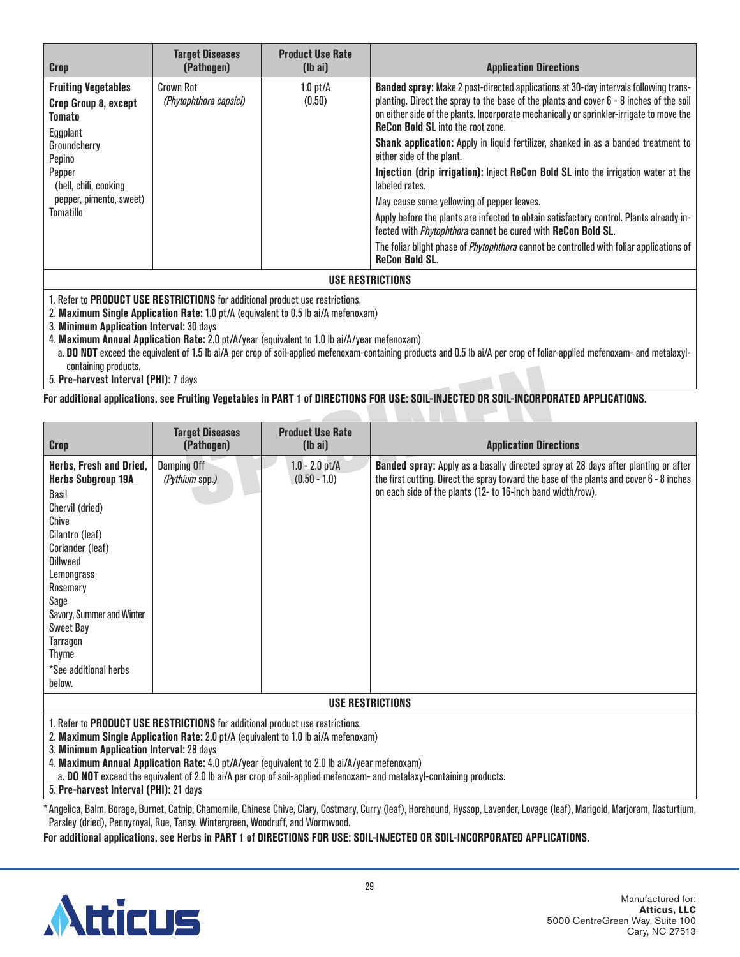| Crop                                                                                                                                                                          | <b>Target Diseases</b><br>(Pathogen) | <b>Product Use Rate</b><br>$(lb\text{ ai})$ | <b>Application Directions</b>                                                                                                                                                                                                                                                                                                                                                                                                                                                                                                                                                                                                                                                                                                                                                                                                                                                                  |  |
|-------------------------------------------------------------------------------------------------------------------------------------------------------------------------------|--------------------------------------|---------------------------------------------|------------------------------------------------------------------------------------------------------------------------------------------------------------------------------------------------------------------------------------------------------------------------------------------------------------------------------------------------------------------------------------------------------------------------------------------------------------------------------------------------------------------------------------------------------------------------------------------------------------------------------------------------------------------------------------------------------------------------------------------------------------------------------------------------------------------------------------------------------------------------------------------------|--|
| <b>Fruiting Vegetables</b><br>Crop Group 8, except<br>Tomato<br>Eggplant<br>Groundcherry<br>Pepino<br>Pepper<br>(bell, chili, cooking<br>pepper, pimento, sweet)<br>Tomatillo | Crown Rot<br>(Phytophthora capsici)  | $1.0$ pt/ $\AA$<br>(0.50)                   | Banded spray: Make 2 post-directed applications at 30-day intervals following trans-<br>planting. Direct the spray to the base of the plants and cover 6 - 8 inches of the soil<br>on either side of the plants. Incorporate mechanically or sprinkler-irrigate to move the<br><b>ReCon Bold SL</b> into the root zone.<br>Shank application: Apply in liquid fertilizer, shanked in as a banded treatment to<br>either side of the plant.<br>Injection (drip irrigation): Inject ReCon Bold SL into the irrigation water at the<br>labeled rates.<br>May cause some yellowing of pepper leaves.<br>Apply before the plants are infected to obtain satisfactory control. Plants already in-<br>fected with <i>Phytophthora</i> cannot be cured with ReCon Bold SL.<br>The foliar blight phase of <i>Phytophthora</i> cannot be controlled with foliar applications of<br><b>ReCon Bold SL.</b> |  |
| USE RESTRICTIONS                                                                                                                                                              |                                      |                                             |                                                                                                                                                                                                                                                                                                                                                                                                                                                                                                                                                                                                                                                                                                                                                                                                                                                                                                |  |

2. **Maximum Single Application Rate:** 1.0 pt/A (equivalent to 0.5 lb ai/A mefenoxam)

3. **Minimum Application Interval:** 30 days

4. **Maximum Annual Application Rate:** 2.0 pt/A/year (equivalent to 1.0 lb ai/A/year mefenoxam)

a. **DO NOT** exceed the equivalent of 1.5 lb ai/A per crop of soil-applied mefenoxam-containing products and 0.5 lb ai/A per crop of foliar-applied mefenoxam- and metalaxylcontaining products.

5. **Pre-harvest Interval (PHI):** 7 days

#### **For additional applications, see Fruiting Vegetables in PART 1 of DIRECTIONS FOR USE: SOIL-INJECTED OR SOIL-INCORPORATED APPLICATIONS.**

| <b>Crop</b>                                                                                                                                                                                                                                                                                                         | <b>Target Diseases</b><br>(Pathogen) | <b>Product Use Rate</b><br>$(lb\ a\ i)$ | <b>Application Directions</b>                                                                                                                                                                                                                        |
|---------------------------------------------------------------------------------------------------------------------------------------------------------------------------------------------------------------------------------------------------------------------------------------------------------------------|--------------------------------------|-----------------------------------------|------------------------------------------------------------------------------------------------------------------------------------------------------------------------------------------------------------------------------------------------------|
| Herbs, Fresh and Dried,<br><b>Herbs Subgroup 19A</b><br><b>Basil</b><br>Chervil (dried)<br>Chive<br>Cilantro (leaf)<br>Coriander (leaf)<br><b>Dillweed</b><br>Lemongrass<br>Rosemary<br>Sage<br>Savory, Summer and Winter<br><b>Sweet Bay</b><br><b>Tarragon</b><br><b>Thyme</b><br>*See additional herbs<br>below. | Damping Off<br>(Pythium spp.)        | $1.0 - 2.0$ pt/A<br>$(0.50 - 1.0)$      | <b>Banded spray:</b> Apply as a basally directed spray at 28 days after planting or after<br>the first cutting. Direct the spray toward the base of the plants and cover 6 - 8 inches<br>on each side of the plants (12- to 16-inch band width/row). |
| <b>USE RESTRICTIONS</b>                                                                                                                                                                                                                                                                                             |                                      |                                         |                                                                                                                                                                                                                                                      |

1. Refer to **PRODUCT USE RESTRICTIONS** for additional product use restrictions.

2. **Maximum Single Application Rate:** 2.0 pt/A (equivalent to 1.0 lb ai/A mefenoxam)

3. **Minimum Application Interval:** 28 days

4. **Maximum Annual Application Rate:** 4.0 pt/A/year (equivalent to 2.0 lb ai/A/year mefenoxam)

a. **DO NOT** exceed the equivalent of 2.0 lb ai/A per crop of soil-applied mefenoxam- and metalaxyl-containing products.

5. **Pre-harvest Interval (PHI):** 21 days

\*Angelica, Balm, Borage, Burnet, Catnip, Chamomile, Chinese Chive, Clary, Costmary, Curry (leaf), Horehound, Hyssop, Lavender, Lovage (leaf), Marigold, Marjoram, Nasturtium, Parsley (dried), Pennyroyal, Rue, Tansy, Wintergreen, Woodruff, and Wormwood.

**For additional applications, see Herbs in PART 1 of DIRECTIONS FOR USE: SOIL-INJECTED OR SOIL-INCORPORATED APPLICATIONS.**

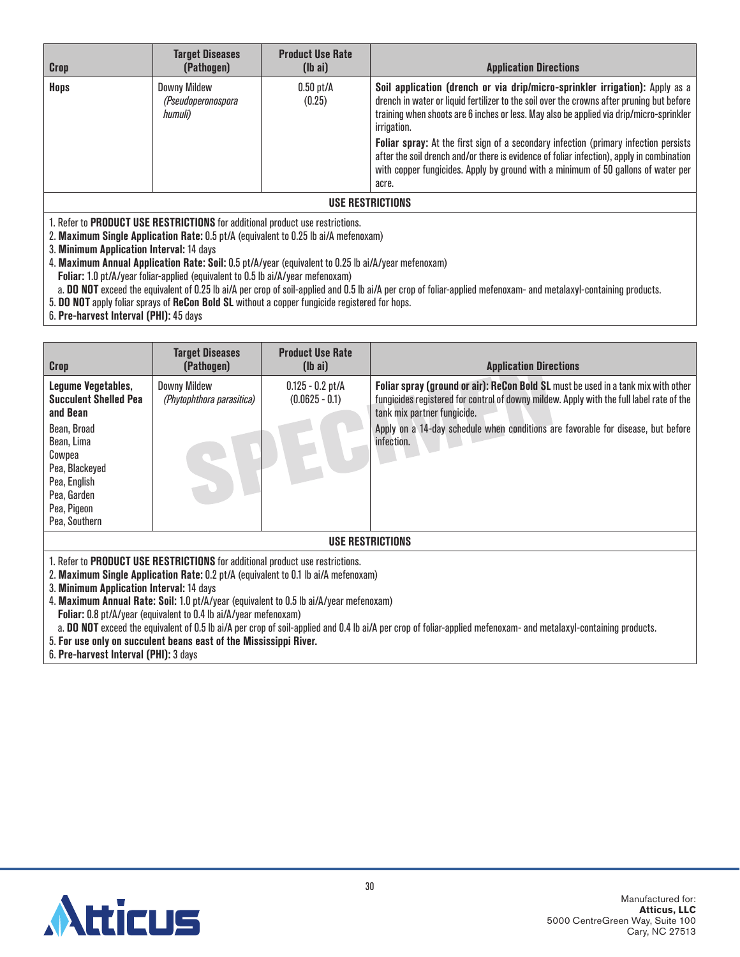| <b>Crop</b>      | <b>Target Diseases</b><br>(Pathogen)                 | <b>Product Use Rate</b><br>$(lb\ a\ i)$ | <b>Application Directions</b>                                                                                                                                                                                                                                                                                                                                                                                                                                                                                                                                          |  |
|------------------|------------------------------------------------------|-----------------------------------------|------------------------------------------------------------------------------------------------------------------------------------------------------------------------------------------------------------------------------------------------------------------------------------------------------------------------------------------------------------------------------------------------------------------------------------------------------------------------------------------------------------------------------------------------------------------------|--|
| <b>Hops</b>      | <b>Downy Mildew</b><br>(Pseudoperonospora<br>humuli) | $0.50$ pt/A<br>(0.25)                   | Soil application (drench or via drip/micro-sprinkler irrigation): Apply as a<br>drench in water or liquid fertilizer to the soil over the crowns after pruning but before<br>training when shoots are 6 inches or less. May also be applied via drip/micro-sprinkler<br>irrigation.<br>Foliar spray: At the first sign of a secondary infection (primary infection persists<br>after the soil drench and/or there is evidence of foliar infection), apply in combination<br>with copper fungicides. Apply by ground with a minimum of 50 gallons of water per<br>acre. |  |
| USE RESTRICTIONS |                                                      |                                         |                                                                                                                                                                                                                                                                                                                                                                                                                                                                                                                                                                        |  |

2. **Maximum Single Application Rate:** 0.5 pt/A (equivalent to 0.25 lb ai/A mefenoxam)

3. **Minimum Application Interval:** 14 days

4. **Maximum Annual Application Rate: Soil:** 0.5 pt/A/year (equivalent to 0.25 lb ai/A/year mefenoxam)

**Foliar:** 1.0 pt/A/year foliar-applied (equivalent to 0.5 lb ai/A/year mefenoxam)

a. **DO NOT** exceed the equivalent of 0.25 lb ai/A per crop of soil-applied and 0.5 lb ai/A per crop of foliar-applied mefenoxam- and metalaxyl-containing products.

5. **DO NOT** apply foliar sprays of **ReCon Bold SL** without a copper fungicide registered for hops.

6. **Pre-harvest Interval (PHI):** 45 days

| Crop                                                                                                                                                                                                                                                                                                      | <b>Target Diseases</b><br>(Pathogen)             | <b>Product Use Rate</b><br>$(lb\ a)$   | <b>Application Directions</b>                                                                                                                                                                                                                                                                                  |  |
|-----------------------------------------------------------------------------------------------------------------------------------------------------------------------------------------------------------------------------------------------------------------------------------------------------------|--------------------------------------------------|----------------------------------------|----------------------------------------------------------------------------------------------------------------------------------------------------------------------------------------------------------------------------------------------------------------------------------------------------------------|--|
| Legume Vegetables,<br><b>Succulent Shelled Pea</b><br>and Bean<br>Bean, Broad<br>Bean, Lima<br>Cowpea<br>Pea, Blackeyed<br>Pea, English<br>Pea, Garden<br>Pea, Pigeon<br>Pea, Southern                                                                                                                    | <b>Downy Mildew</b><br>(Phytophthora parasitica) | $0.125 - 0.2$ pt/A<br>$(0.0625 - 0.1)$ | Foliar spray (ground or air): ReCon Bold SL must be used in a tank mix with other<br>fungicides registered for control of downy mildew. Apply with the full label rate of the<br>tank mix partner fungicide.<br>Apply on a 14-day schedule when conditions are favorable for disease, but before<br>infection. |  |
| USE RESTRICTIONS                                                                                                                                                                                                                                                                                          |                                                  |                                        |                                                                                                                                                                                                                                                                                                                |  |
| 1. Refer to PRODUCT USE RESTRICTIONS for additional product use restrictions.<br>2. Maximum Single Application Rate: 0.2 pt/A (equivalent to 0.1 lb ai/A mefenoxam)<br>3. Minimum Application Interval: 14 days<br>1. Maximum Annual Data: Cail: 1.0 nt/A wear (equivalent to 0.5 lb oil) wear metapoxem) |                                                  |                                        |                                                                                                                                                                                                                                                                                                                |  |

4. **Maximum Annual Rate: Soil:** 1.0 pt/A/year (equivalent to 0.5 lb ai/A/year mefenoxam)

**Foliar:** 0.8 pt/A/year (equivalent to 0.4 lb ai/A/year mefenoxam)

a. **DO NOT** exceed the equivalent of 0.5 lb ai/A per crop of soil-applied and 0.4 lb ai/A per crop of foliar-applied mefenoxam- and metalaxyl-containing products.

5. **For use only on succulent beans east of the Mississippi River.**

6. **Pre-harvest Interval (PHI):** 3 days

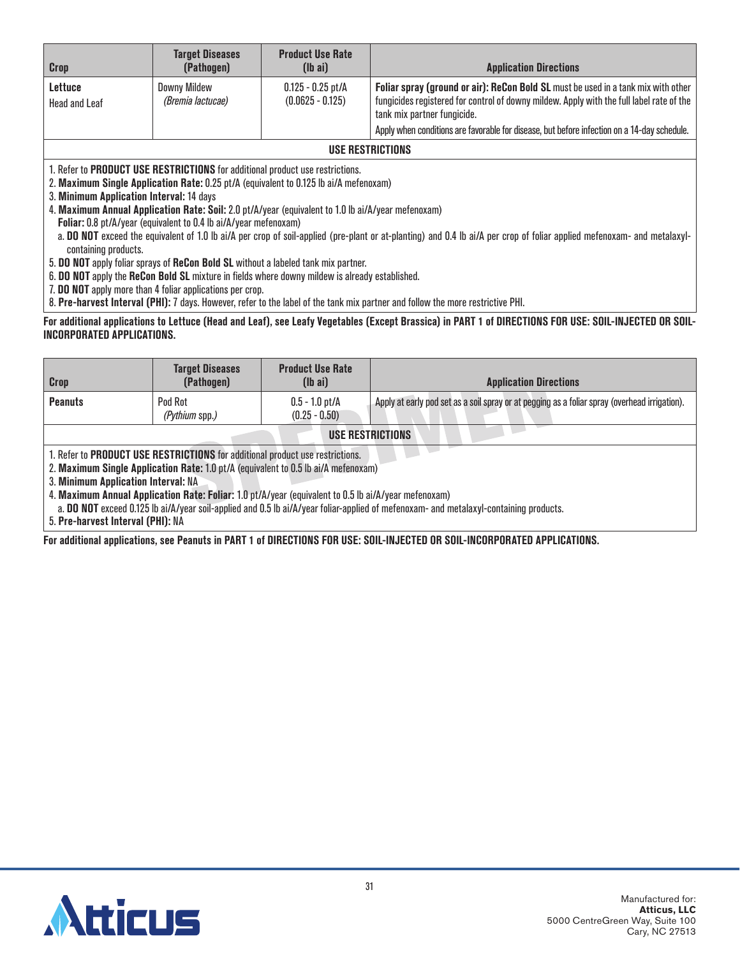| <b>Crop</b>                                                                                                                                                                                                                                                                                                                     | <b>Target Diseases</b><br>(Pathogen)                             | <b>Product Use Rate</b><br>$(lb\text{ ai})$ | <b>Application Directions</b>                                                                                           |  |
|---------------------------------------------------------------------------------------------------------------------------------------------------------------------------------------------------------------------------------------------------------------------------------------------------------------------------------|------------------------------------------------------------------|---------------------------------------------|-------------------------------------------------------------------------------------------------------------------------|--|
| <b>Lettuce</b>                                                                                                                                                                                                                                                                                                                  | <b>Downy Mildew</b>                                              | $0.125 - 0.25$ pt/A                         | Foliar spray (ground or air): ReCon Bold SL must be used in a tank mix with other                                       |  |
| Head and Leaf                                                                                                                                                                                                                                                                                                                   | (Bremia lactucae)                                                | $(0.0625 - 0.125)$                          | fungicides registered for control of downy mildew. Apply with the full label rate of the<br>tank mix partner fungicide. |  |
|                                                                                                                                                                                                                                                                                                                                 |                                                                  |                                             | Apply when conditions are favorable for disease, but before infection on a 14-day schedule.                             |  |
| <b>USE RESTRICTIONS</b>                                                                                                                                                                                                                                                                                                         |                                                                  |                                             |                                                                                                                         |  |
| 1. Refer to <b>PRODUCT USE RESTRICTIONS</b> for additional product use restrictions.<br>2. Maximum Single Application Rate: 0.25 pt/A (equivalent to 0.125 lb ai/A mefenoxam)<br>3. Minimum Application Interval: 14 days<br>4. Maximum Annual Application Rate: Soil: 2.0 pt/A/year (equivalent to 1.0 lb ai/A/year mefenoxam) |                                                                  |                                             |                                                                                                                         |  |
|                                                                                                                                                                                                                                                                                                                                 | Foliar: 0.8 pt/A/year (equivalent to 0.4 lb ai/A/year mefenoxam) |                                             |                                                                                                                         |  |
| a. DO NOT exceed the equivalent of 1.0 lb ai/A per crop of soil-applied (pre-plant or at-planting) and 0.4 lb ai/A per crop of foliar applied mefenoxam- and metalaxyl-<br>containing products.                                                                                                                                 |                                                                  |                                             |                                                                                                                         |  |
| 5. DO NOT apply foliar sprays of ReCon Bold SL without a labeled tank mix partner.                                                                                                                                                                                                                                              |                                                                  |                                             |                                                                                                                         |  |
| 6. DO NOT apply the ReCon Bold SL mixture in fields where downy mildew is already established.                                                                                                                                                                                                                                  |                                                                  |                                             |                                                                                                                         |  |
| 7. DO NOT apply more than 4 foliar applications per crop.<br>0. Maar kannaal halamad <b>(MII): 7</b> deeg Herrero oofsus skarbbal afska sadamkoonaan ood fallem skamen oo astastee MIII                                                                                                                                         |                                                                  |                                             |                                                                                                                         |  |

8. **Pre-harvest Interval (PHI):** 7 days. However, refer to the label of the tank mix partner and follow the more restrictive PHI.

### **For additional applications to Lettuce (Head and Leaf), see Leafy Vegetables (Except Brassica) in PART 1 of DIRECTIONS FOR USE: SOIL-INJECTED OR SOIL-INCORPORATED APPLICATIONS.**

| <b>Crop</b>                                                                                                                                                                                                                                                                                                                                                                                                                                                 | <b>Target Diseases</b><br>(Pathogen) | <b>Product Use Rate</b><br>$(lb\text{ ai})$ | <b>Application Directions</b>                                                                 |  |
|-------------------------------------------------------------------------------------------------------------------------------------------------------------------------------------------------------------------------------------------------------------------------------------------------------------------------------------------------------------------------------------------------------------------------------------------------------------|--------------------------------------|---------------------------------------------|-----------------------------------------------------------------------------------------------|--|
| <b>Peanuts</b>                                                                                                                                                                                                                                                                                                                                                                                                                                              | Pod Rot<br>(Pythium spp.)            | $0.5 - 1.0$ pt/A<br>$(0.25 - 0.50)$         | Apply at early pod set as a soil spray or at pegging as a foliar spray (overhead irrigation). |  |
| USE RESTRICTIONS                                                                                                                                                                                                                                                                                                                                                                                                                                            |                                      |                                             |                                                                                               |  |
| 1. Refer to PRODUCT USE RESTRICTIONS for additional product use restrictions.<br>2. Maximum Single Application Rate: 1.0 pt/A (equivalent to 0.5 lb ai/A mefenoxam)<br>3. Minimum Application Interval: NA<br>4. Maximum Annual Application Rate: Foliar: 1.0 pt/A/year (equivalent to 0.5 lb ai/A/year mefenoxam)<br>a. DO NOT exceed 0.125 lb ai/A/year soil-applied and 0.5 lb ai/A/year foliar-applied of mefenoxam- and metalaxyl-containing products. |                                      |                                             |                                                                                               |  |

5. **Pre-harvest Interval (PHI):** NA

**For additional applications, see Peanuts in PART 1 of DIRECTIONS FOR USE: SOIL-INJECTED OR SOIL-INCORPORATED APPLICATIONS.**

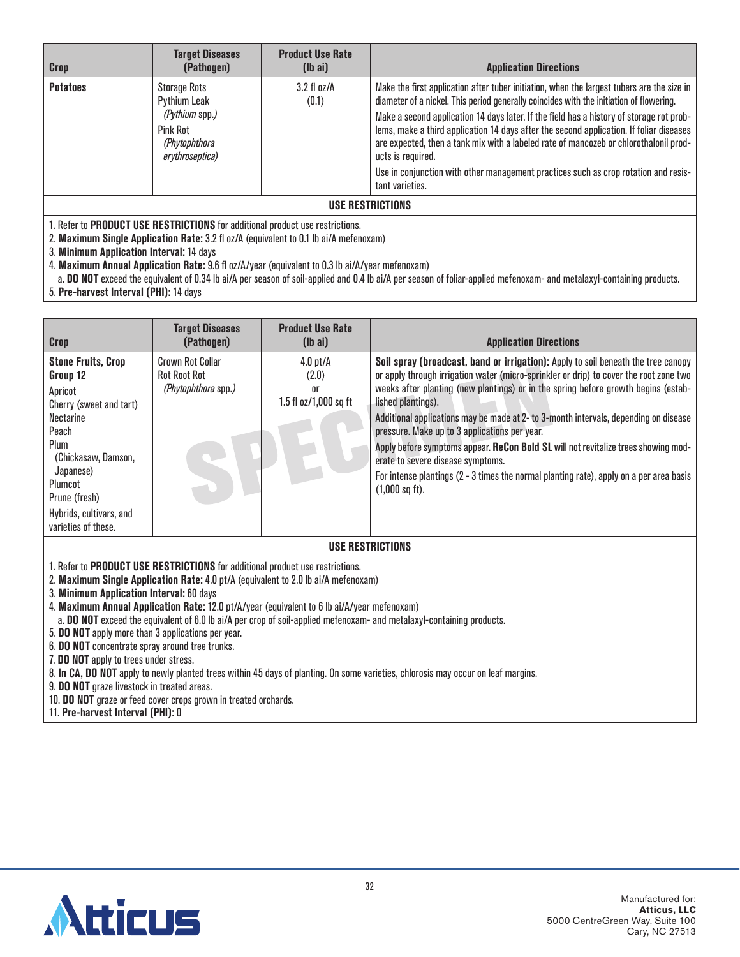| <b>Crop</b>      | <b>Target Diseases</b><br>(Pathogen)                                                                         | <b>Product Use Rate</b><br>$(lb\ a)$ | <b>Application Directions</b>                                                                                                                                                                                                                                                                                                                                                                                                                                                                                                                                                                        |  |
|------------------|--------------------------------------------------------------------------------------------------------------|--------------------------------------|------------------------------------------------------------------------------------------------------------------------------------------------------------------------------------------------------------------------------------------------------------------------------------------------------------------------------------------------------------------------------------------------------------------------------------------------------------------------------------------------------------------------------------------------------------------------------------------------------|--|
| <b>Potatoes</b>  | <b>Storage Rots</b><br>Pythium Leak<br>(Pythium spp.)<br><b>Pink Rot</b><br>(Phytophthora<br>erythroseptica) | $3.2 \text{ fl oz/A}$<br>(0.1)       | Make the first application after tuber initiation, when the largest tubers are the size in<br>diameter of a nickel. This period generally coincides with the initiation of flowering.<br>Make a second application 14 days later. If the field has a history of storage rot prob-<br>lems, make a third application 14 days after the second application. If foliar diseases<br>are expected, then a tank mix with a labeled rate of mancozeb or chlorothalonil prod-<br>ucts is required.<br>Use in conjunction with other management practices such as crop rotation and resis-<br>tant varieties. |  |
| USE RESTRICTIONS |                                                                                                              |                                      |                                                                                                                                                                                                                                                                                                                                                                                                                                                                                                                                                                                                      |  |

2. **Maximum Single Application Rate:** 3.2 fl oz/A (equivalent to 0.1 lb ai/A mefenoxam)

3. **Minimum Application Interval:** 14 days

4. **Maximum Annual Application Rate:** 9.6 fl oz/A/year (equivalent to 0.3 lb ai/A/year mefenoxam)

a. **DO NOT** exceed the equivalent of 0.34 lb ai/A per season of soil-applied and 0.4 lb ai/A per season of foliar-applied mefenoxam- and metalaxyl-containing products. 5. **Pre-harvest Interval (PHI):** 14 days

| <b>Crop</b>                                                                                                                                                                                                                 | <b>Target Diseases</b><br>(Pathogen)                                  | <b>Product Use Rate</b><br>$(lb\ a\ i)$            | <b>Application Directions</b>                                                                                                                                                                                                                                                                                                                                                                                                                                                                                                                                                                                                                                              |  |
|-----------------------------------------------------------------------------------------------------------------------------------------------------------------------------------------------------------------------------|-----------------------------------------------------------------------|----------------------------------------------------|----------------------------------------------------------------------------------------------------------------------------------------------------------------------------------------------------------------------------------------------------------------------------------------------------------------------------------------------------------------------------------------------------------------------------------------------------------------------------------------------------------------------------------------------------------------------------------------------------------------------------------------------------------------------------|--|
| <b>Stone Fruits, Crop</b><br>Group 12<br>Apricot<br>Cherry (sweet and tart)<br>Nectarine<br>Peach<br>Plum<br>(Chickasaw, Damson,<br>Japanese)<br>Plumcot<br>Prune (fresh)<br>Hybrids, cultivars, and<br>varieties of these. | <b>Crown Rot Collar</b><br><b>Rot Root Rot</b><br>(Phytophthora spp.) | $4.0$ pt/A<br>(2.0)<br>0r<br>1.5 fl oz/1,000 sq ft | Soil spray (broadcast, band or irrigation): Apply to soil beneath the tree canopy<br>or apply through irrigation water (micro-sprinkler or drip) to cover the root zone two<br>weeks after planting (new plantings) or in the spring before growth begins (estab-<br>lished plantings).<br>Additional applications may be made at 2- to 3-month intervals, depending on disease<br>pressure. Make up to 3 applications per year.<br>Apply before symptoms appear. ReCon Bold SL will not revitalize trees showing mod-<br>erate to severe disease symptoms.<br>For intense plantings (2 - 3 times the normal planting rate), apply on a per area basis<br>$(1,000$ sq ft). |  |
| USE RESTRICTIONS                                                                                                                                                                                                            |                                                                       |                                                    |                                                                                                                                                                                                                                                                                                                                                                                                                                                                                                                                                                                                                                                                            |  |

1. Refer to **PRODUCT USE RESTRICTIONS** for additional product use restrictions.

2. **Maximum Single Application Rate:** 4.0 pt/A (equivalent to 2.0 lb ai/A mefenoxam)

3. **Minimum Application Interval:** 60 days

4. **Maximum Annual Application Rate:** 12.0 pt/A/year (equivalent to 6 lb ai/A/year mefenoxam)

a. **DO NOT** exceed the equivalent of 6.0 lb ai/A per crop of soil-applied mefenoxam- and metalaxyl-containing products.

5. **DO NOT** apply more than 3 applications per year.

6. **DO NOT** concentrate spray around tree trunks.

7. **DO NOT** apply to trees under stress.

8. **In CA, DO NOT** apply to newly planted trees within 45 days of planting. On some varieties, chlorosis may occur on leaf margins.

9. **DO NOT** graze livestock in treated areas.

10. **DO NOT** graze or feed cover crops grown in treated orchards.

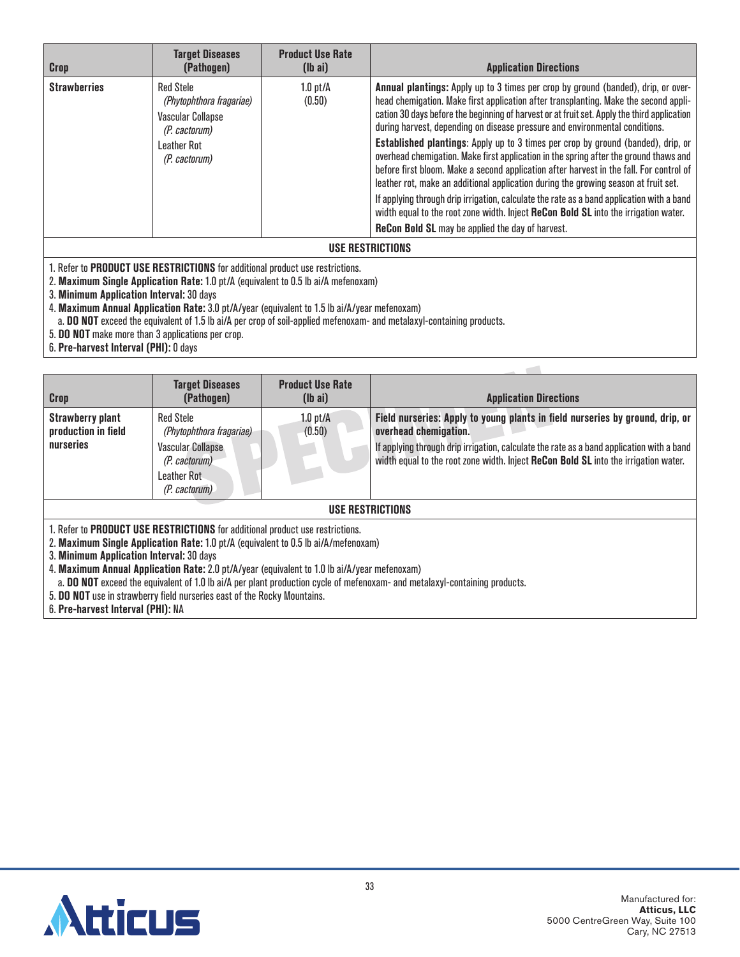| <b>Crop</b>         | <b>Target Diseases</b><br>(Pathogen)                                                                                             | <b>Product Use Rate</b><br>$(lb\ a\ i)$ | <b>Application Directions</b>                                                                                                                                                                                                                                                                                                                                                                                                                                                                                                                                                                                                                                                                                                                                                                                                                                                                                                                                         |  |
|---------------------|----------------------------------------------------------------------------------------------------------------------------------|-----------------------------------------|-----------------------------------------------------------------------------------------------------------------------------------------------------------------------------------------------------------------------------------------------------------------------------------------------------------------------------------------------------------------------------------------------------------------------------------------------------------------------------------------------------------------------------------------------------------------------------------------------------------------------------------------------------------------------------------------------------------------------------------------------------------------------------------------------------------------------------------------------------------------------------------------------------------------------------------------------------------------------|--|
| <b>Strawberries</b> | <b>Red Stele</b><br>(Phytophthora fragariae)<br><b>Vascular Collapse</b><br>(P. cactorum)<br><b>Leather Rot</b><br>(P. cactorum) | $1.0$ pt/ $\AA$<br>(0.50)               | Annual plantings: Apply up to 3 times per crop by ground (banded), drip, or over-<br>head chemigation. Make first application after transplanting. Make the second appli-<br>cation 30 days before the beginning of harvest or at fruit set. Apply the third application<br>during harvest, depending on disease pressure and environmental conditions.<br>Established plantings: Apply up to 3 times per crop by ground (banded), drip, or<br>overhead chemigation. Make first application in the spring after the ground thaws and<br>before first bloom. Make a second application after harvest in the fall. For control of<br>leather rot, make an additional application during the growing season at fruit set.<br>If applying through drip irrigation, calculate the rate as a band application with a band<br>width equal to the root zone width. Inject ReCon Bold SL into the irrigation water.<br><b>ReCon Bold SL</b> may be applied the day of harvest. |  |
| IIAF REATRIATIANA   |                                                                                                                                  |                                         |                                                                                                                                                                                                                                                                                                                                                                                                                                                                                                                                                                                                                                                                                                                                                                                                                                                                                                                                                                       |  |

**USE RESTRICTIONS**

1. Refer to **PRODUCT USE RESTRICTIONS** for additional product use restrictions.

2. **Maximum Single Application Rate:** 1.0 pt/A (equivalent to 0.5 lb ai/A mefenoxam)

3. **Minimum Application Interval:** 30 days

4. **Maximum Annual Application Rate:** 3.0 pt/A/year (equivalent to 1.5 lb ai/A/year mefenoxam)

a. **DO NOT** exceed the equivalent of 1.5 lb ai/A per crop of soil-applied mefenoxam- and metalaxyl-containing products.

5. **DO NOT** make more than 3 applications per crop.

6. **Pre-harvest Interval (PHI):** 0 days

| Crop                                                                                                                       | <b>Target Diseases</b><br>(Pathogen)                                          | <b>Product Use Rate</b><br>$(lb\ a\ i)$ | <b>Application Directions</b>                                                                                                                                                    |  |  |
|----------------------------------------------------------------------------------------------------------------------------|-------------------------------------------------------------------------------|-----------------------------------------|----------------------------------------------------------------------------------------------------------------------------------------------------------------------------------|--|--|
| <b>Strawberry plant</b><br>production in field                                                                             | <b>Red Stele</b><br>(Phytophthora fragariae)                                  | $1.0$ pt/A<br>(0.50)                    | Field nurseries: Apply to young plants in field nurseries by ground, drip, or<br>overhead chemigation.                                                                           |  |  |
| <b>nurseries</b>                                                                                                           | <b>Vascular Collapse</b><br>(P. cactorum)                                     |                                         | If applying through drip irrigation, calculate the rate as a band application with a band<br>width equal to the root zone width. Inject ReCon Bold SL into the irrigation water. |  |  |
|                                                                                                                            | Leather Rot<br>(P. cactorum)                                                  |                                         |                                                                                                                                                                                  |  |  |
| USE RESTRICTIONS                                                                                                           |                                                                               |                                         |                                                                                                                                                                                  |  |  |
|                                                                                                                            | 1. Refer to PRODUCT USE RESTRICTIONS for additional product use restrictions. |                                         |                                                                                                                                                                                  |  |  |
| 2. Maximum Single Application Rate: 1.0 pt/A (equivalent to 0.5 lb ai/A/mefenoxam)                                         |                                                                               |                                         |                                                                                                                                                                                  |  |  |
| 3. Minimum Application Interval: 30 days                                                                                   |                                                                               |                                         |                                                                                                                                                                                  |  |  |
| 4. Maximum Annual Application Rate: 2.0 pt/A/year (equivalent to 1.0 lb ai/A/year mefenoxam)                               |                                                                               |                                         |                                                                                                                                                                                  |  |  |
| a. DO NOT exceed the equivalent of 1.0 lb ai/A per plant production cycle of mefenoxam- and metalaxyl-containing products. |                                                                               |                                         |                                                                                                                                                                                  |  |  |
| 5. DO NOT use in strawberry field nurseries east of the Rocky Mountains.                                                   |                                                                               |                                         |                                                                                                                                                                                  |  |  |

 $\sim$ 

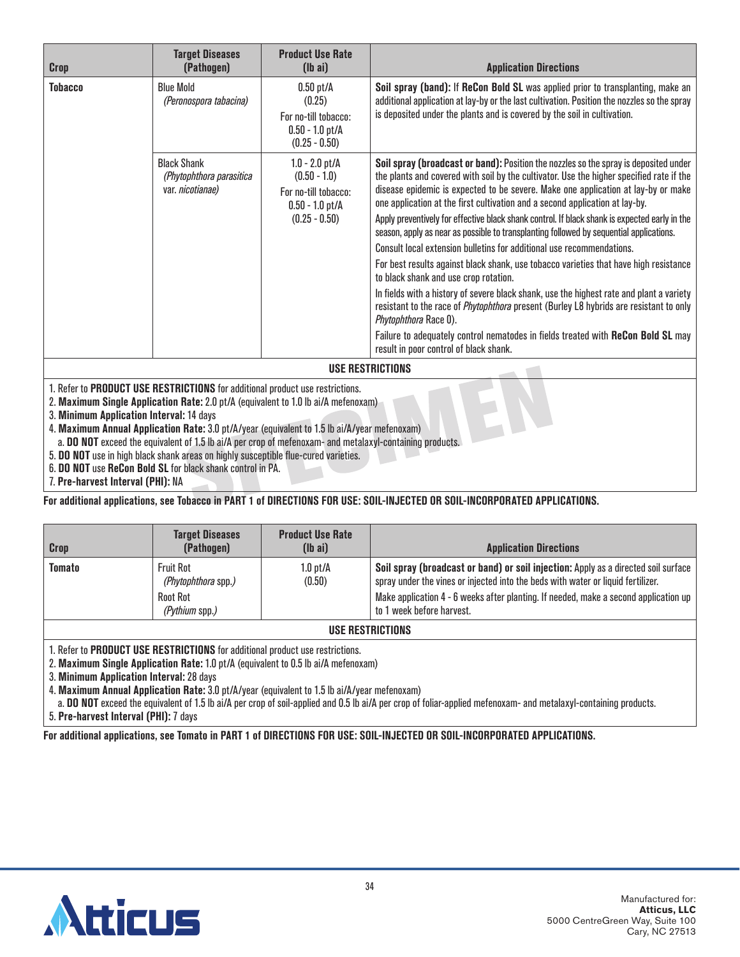| <b>Crop</b>    | <b>Target Diseases</b><br>(Pathogen)                               | <b>Product Use Rate</b><br>$(lb\ a)$                                                               | <b>Application Directions</b>                                                                                                                                                                                                                                                                                                                                                                                                                                                                                                                                                                                                                                                                                                                                                                                                                                                                                                                                                                                                                                                                                    |  |
|----------------|--------------------------------------------------------------------|----------------------------------------------------------------------------------------------------|------------------------------------------------------------------------------------------------------------------------------------------------------------------------------------------------------------------------------------------------------------------------------------------------------------------------------------------------------------------------------------------------------------------------------------------------------------------------------------------------------------------------------------------------------------------------------------------------------------------------------------------------------------------------------------------------------------------------------------------------------------------------------------------------------------------------------------------------------------------------------------------------------------------------------------------------------------------------------------------------------------------------------------------------------------------------------------------------------------------|--|
| <b>Tobacco</b> | <b>Blue Mold</b><br>(Peronospora tabacina)                         | $0.50$ pt/A<br>(0.25)<br>For no-till tobacco:<br>$0.50 - 1.0$ pt/A<br>$(0.25 - 0.50)$              | Soil spray (band): If ReCon Bold SL was applied prior to transplanting, make an<br>additional application at lay-by or the last cultivation. Position the nozzles so the spray<br>is deposited under the plants and is covered by the soil in cultivation.                                                                                                                                                                                                                                                                                                                                                                                                                                                                                                                                                                                                                                                                                                                                                                                                                                                       |  |
|                | <b>Black Shank</b><br>(Phytophthora parasitica<br>var. nicotianae) | $1.0 - 2.0$ pt/A<br>$(0.50 - 1.0)$<br>For no-till tobacco:<br>$0.50 - 1.0$ pt/A<br>$(0.25 - 0.50)$ | Soil spray (broadcast or band): Position the nozzles so the spray is deposited under<br>the plants and covered with soil by the cultivator. Use the higher specified rate if the<br>disease epidemic is expected to be severe. Make one application at lay-by or make<br>one application at the first cultivation and a second application at lay-by.<br>Apply preventively for effective black shank control. If black shank is expected early in the<br>season, apply as near as possible to transplanting followed by sequential applications.<br>Consult local extension bulletins for additional use recommendations.<br>For best results against black shank, use tobacco varieties that have high resistance<br>to black shank and use crop rotation.<br>In fields with a history of severe black shank, use the highest rate and plant a variety<br>resistant to the race of <i>Phytophthora</i> present (Burley L8 hybrids are resistant to only<br>Phytophthora Race 0).<br>Failure to adequately control nematodes in fields treated with ReCon Bold SL may<br>result in poor control of black shank. |  |
|                |                                                                    |                                                                                                    | USE RESTRICTIONS                                                                                                                                                                                                                                                                                                                                                                                                                                                                                                                                                                                                                                                                                                                                                                                                                                                                                                                                                                                                                                                                                                 |  |
|                |                                                                    |                                                                                                    |                                                                                                                                                                                                                                                                                                                                                                                                                                                                                                                                                                                                                                                                                                                                                                                                                                                                                                                                                                                                                                                                                                                  |  |

2. **Maximum Single Application Rate:** 2.0 pt/A (equivalent to 1.0 lb ai/A mefenoxam)

3. **Minimum Application Interval:** 14 days

4. **Maximum Annual Application Rate:** 3.0 pt/A/year (equivalent to 1.5 lb ai/A/year mefenoxam)

a. **DO NOT** exceed the equivalent of 1.5 lb ai/A per crop of mefenoxam- and metalaxyl-containing products.

5. **DO NOT** use in high black shank areas on highly susceptible flue-cured varieties.

6. **DO NOT** use **ReCon Bold SL** for black shank control in PA.

7. **Pre-harvest Interval (PHI):** NA

**For additional applications, see Tobacco in PART 1 of DIRECTIONS FOR USE: SOIL-INJECTED OR SOIL-INCORPORATED APPLICATIONS.**

| Crop             | <b>Target Diseases</b><br>(Pathogen)                                         | <b>Product Use Rate</b><br>$(lb\ a\ i)$ | <b>Application Directions</b>                                                                                                                                                                                                                                                               |
|------------------|------------------------------------------------------------------------------|-----------------------------------------|---------------------------------------------------------------------------------------------------------------------------------------------------------------------------------------------------------------------------------------------------------------------------------------------|
| Tomato           | <b>Fruit Rot</b><br>(Phytophthora spp.)<br><b>Root Rot</b><br>(Pythium spp.) | $1.0$ pt/ $\AA$<br>(0.50)               | Soil spray (broadcast or band) or soil injection: Apply as a directed soil surface<br>spray under the vines or injected into the beds with water or liquid fertilizer.<br>Make application 4 - 6 weeks after planting. If needed, make a second application up<br>to 1 week before harvest. |
| USE RESTRICTIONS |                                                                              |                                         |                                                                                                                                                                                                                                                                                             |

1. Refer to **PRODUCT USE RESTRICTIONS** for additional product use restrictions.

2. **Maximum Single Application Rate:** 1.0 pt/A (equivalent to 0.5 lb ai/A mefenoxam)

3. **Minimum Application Interval:** 28 days

4. **Maximum Annual Application Rate:** 3.0 pt/A/year (equivalent to 1.5 lb ai/A/year mefenoxam)

a. **DO NOT** exceed the equivalent of 1.5 lb ai/A per crop of soil-applied and 0.5 lb ai/A per crop of foliar-applied mefenoxam- and metalaxyl-containing products. 5. **Pre-harvest Interval (PHI):** 7 days

**For additional applications, see Tomato in PART 1 of DIRECTIONS FOR USE: SOIL-INJECTED OR SOIL-INCORPORATED APPLICATIONS.**

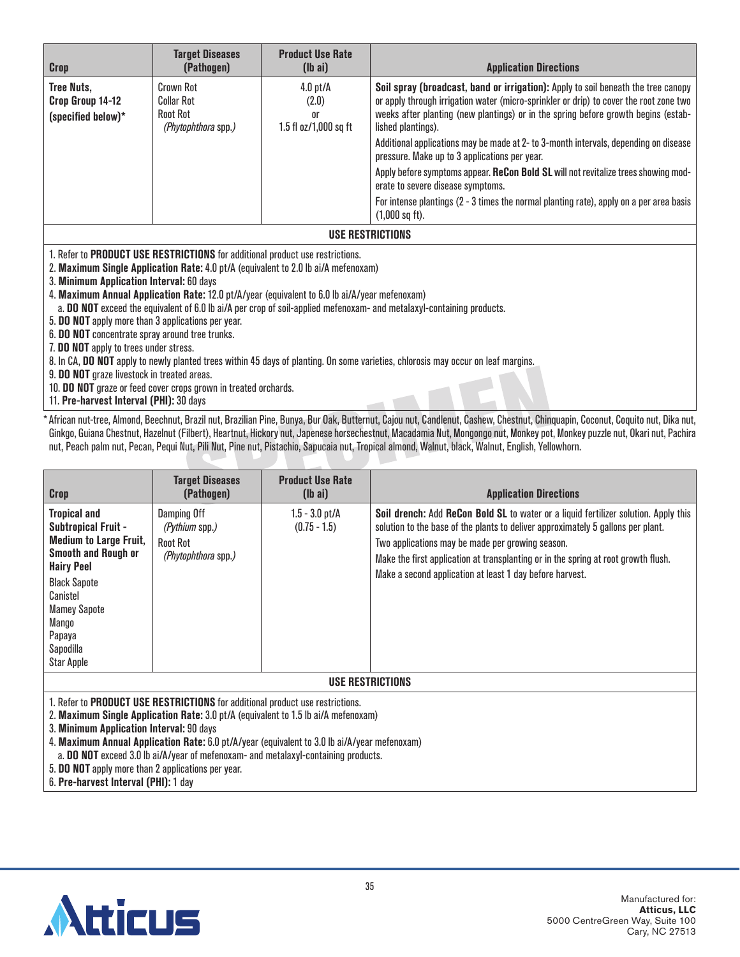| <b>Crop</b>                                                                                                                                                                                                                                                                                                                                                                                                                                                                                                                                                                                                                                                                                                                                                                                                                                                                                    | <b>Target Diseases</b><br>(Pathogen)                                            | <b>Product Use Rate</b><br>$(lb\ a\ i)$                        | <b>Application Directions</b>                                                                                                                                                                                                                                                           |
|------------------------------------------------------------------------------------------------------------------------------------------------------------------------------------------------------------------------------------------------------------------------------------------------------------------------------------------------------------------------------------------------------------------------------------------------------------------------------------------------------------------------------------------------------------------------------------------------------------------------------------------------------------------------------------------------------------------------------------------------------------------------------------------------------------------------------------------------------------------------------------------------|---------------------------------------------------------------------------------|----------------------------------------------------------------|-----------------------------------------------------------------------------------------------------------------------------------------------------------------------------------------------------------------------------------------------------------------------------------------|
| Tree Nuts,<br>Crop Group 14-12<br>(specified below)*                                                                                                                                                                                                                                                                                                                                                                                                                                                                                                                                                                                                                                                                                                                                                                                                                                           | <b>Crown Rot</b><br><b>Collar Rot</b><br><b>Root Rot</b><br>(Phytophthora spp.) | $4.0$ pt/A<br>(2.0)<br>0 <sup>r</sup><br>1.5 fl oz/1,000 sq ft | Soil spray (broadcast, band or irrigation): Apply to soil beneath the tree canopy<br>or apply through irrigation water (micro-sprinkler or drip) to cover the root zone two<br>weeks after planting (new plantings) or in the spring before growth begins (estab-<br>lished plantings). |
|                                                                                                                                                                                                                                                                                                                                                                                                                                                                                                                                                                                                                                                                                                                                                                                                                                                                                                |                                                                                 |                                                                | Additional applications may be made at 2- to 3-month intervals, depending on disease<br>pressure. Make up to 3 applications per year.                                                                                                                                                   |
|                                                                                                                                                                                                                                                                                                                                                                                                                                                                                                                                                                                                                                                                                                                                                                                                                                                                                                |                                                                                 |                                                                | Apply before symptoms appear. ReCon Bold SL will not revitalize trees showing mod-<br>erate to severe disease symptoms.                                                                                                                                                                 |
|                                                                                                                                                                                                                                                                                                                                                                                                                                                                                                                                                                                                                                                                                                                                                                                                                                                                                                |                                                                                 |                                                                | For intense plantings (2 - 3 times the normal planting rate), apply on a per area basis<br>$(1,000$ sq ft).                                                                                                                                                                             |
|                                                                                                                                                                                                                                                                                                                                                                                                                                                                                                                                                                                                                                                                                                                                                                                                                                                                                                |                                                                                 |                                                                | <b>USE RESTRICTIONS</b>                                                                                                                                                                                                                                                                 |
| 1. Refer to PRODUCT USE RESTRICTIONS for additional product use restrictions.<br>2. Maximum Single Application Rate: 4.0 pt/A (equivalent to 2.0 lb ai/A mefenoxam)<br>3. Minimum Application Interval: 60 days<br>4. Maximum Annual Application Rate: 12.0 pt/A/year (equivalent to 6.0 lb ai/A/year mefenoxam)<br>a. DO NOT exceed the equivalent of 6.0 lb ai/A per crop of soil-applied mefenoxam- and metalaxyl-containing products.<br>5. DO NOT apply more than 3 applications per year.<br>6. DO NOT concentrate spray around tree trunks.<br>7. DO NOT apply to trees under stress.<br>8. In CA, DO NOT apply to newly planted trees within 45 days of planting. On some varieties, chlorosis may occur on leaf margins.<br>9. DO NOT graze livestock in treated areas.<br>10. DO NOT graze or feed cover crops grown in treated orchards.<br>11. Pre-harvest Interval (PHI): 30 days |                                                                                 |                                                                |                                                                                                                                                                                                                                                                                         |

\*African nut-tree, Almond, Beechnut, Brazil nut, Brazilian Pine, Bunya, Bur Oak, Butternut, Cajou nut, Candlenut, Cashew, Chestnut, Chinquapin, Coconut, Coquito nut, Dika nut, Ginkgo, Guiana Chestnut, Hazelnut (Filbert), Heartnut, Hickory nut, Japenese horsechestnut, Macadamia Nut, Mongongo nut, Monkey pot, Monkey puzzle nut, Okari nut, Pachira nut, Peach palm nut, Pecan, Pequi Nut, Pili Nut, Pine nut, Pistachio, Sapucaia nut, Tropical almond, Walnut, black, Walnut, English, Yellowhorn.

| Crop                                                                                                                                                                                                                                                 | <b>Target Diseases</b><br>(Pathogen)                                    | <b>Product Use Rate</b><br>$(lb\text{ ai})$ | <b>Application Directions</b>                                                                                                                                                                                                                                                                                                                                                 |  |  |
|------------------------------------------------------------------------------------------------------------------------------------------------------------------------------------------------------------------------------------------------------|-------------------------------------------------------------------------|---------------------------------------------|-------------------------------------------------------------------------------------------------------------------------------------------------------------------------------------------------------------------------------------------------------------------------------------------------------------------------------------------------------------------------------|--|--|
| <b>Tropical and</b><br><b>Subtropical Fruit -</b><br><b>Medium to Large Fruit,</b><br><b>Smooth and Rough or</b><br><b>Hairy Peel</b><br><b>Black Sapote</b><br>Canistel<br><b>Mamey Sapote</b><br>Mango<br>Papaya<br>Sapodilla<br><b>Star Apple</b> | Damping Off<br>(Pythium spp.)<br><b>Root Rot</b><br>(Phytophthora spp.) | $1.5 - 3.0$ pt/A<br>$(0.75 - 1.5)$          | Soil drench: Add ReCon Bold SL to water or a liquid fertilizer solution. Apply this<br>solution to the base of the plants to deliver approximately 5 gallons per plant.<br>Two applications may be made per growing season.<br>Make the first application at transplanting or in the spring at root growth flush.<br>Make a second application at least 1 day before harvest. |  |  |
| <b>USE RESTRICTIONS</b>                                                                                                                                                                                                                              |                                                                         |                                             |                                                                                                                                                                                                                                                                                                                                                                               |  |  |
| 1. Refer to PRODUCT USE RESTRICTIONS for additional product use restrictions.<br>2. Maximum Single Application Rate: 3.0 pt/A (equivalent to 1.5 lb ai/A mefenoxam)<br>3. Minimum Application Interval: 90 days                                      |                                                                         |                                             |                                                                                                                                                                                                                                                                                                                                                                               |  |  |

4. **Maximum Annual Application Rate:** 6.0 pt/A/year (equivalent to 3.0 lb ai/A/year mefenoxam)

a. **DO NOT** exceed 3.0 lb ai/A/year of mefenoxam- and metalaxyl-containing products.

5. **DO NOT** apply more than 2 applications per year.

6. **Pre-harvest Interval (PHI):** 1 day

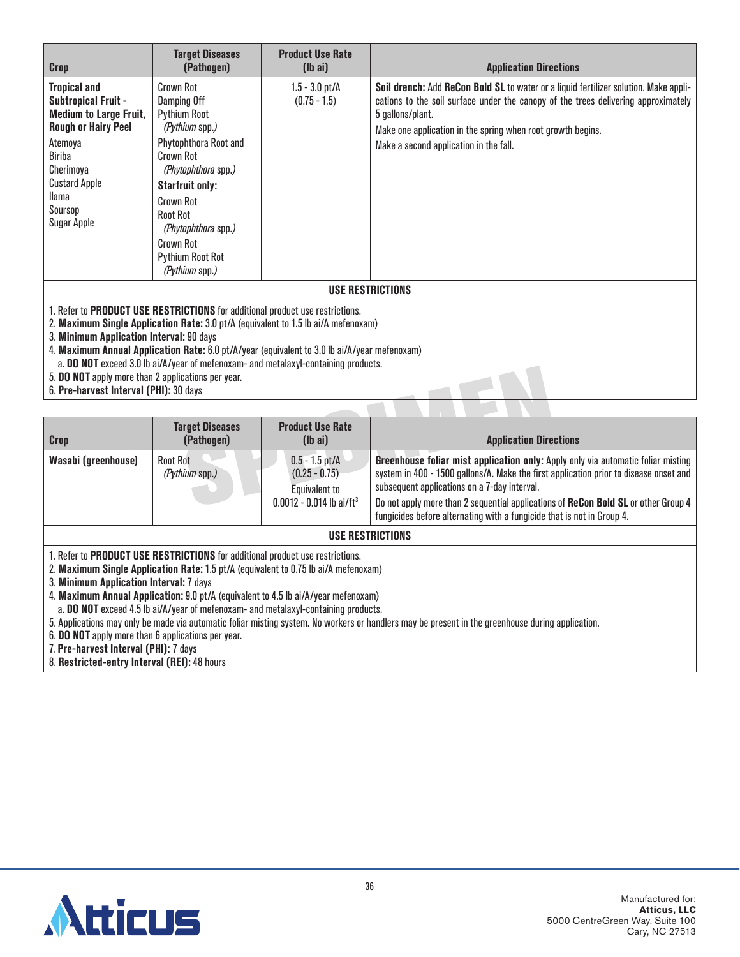| Crop                                                                                                                                                                                                                                                                                                                                                                                                                                                                                                  | <b>Target Diseases</b><br>(Pathogen)                                                                                                                                                                                                                                                    | <b>Product Use Rate</b><br>$(lb\ a\ i)$ | <b>Application Directions</b>                                                                                                                                                                                                                                                                           |  |
|-------------------------------------------------------------------------------------------------------------------------------------------------------------------------------------------------------------------------------------------------------------------------------------------------------------------------------------------------------------------------------------------------------------------------------------------------------------------------------------------------------|-----------------------------------------------------------------------------------------------------------------------------------------------------------------------------------------------------------------------------------------------------------------------------------------|-----------------------------------------|---------------------------------------------------------------------------------------------------------------------------------------------------------------------------------------------------------------------------------------------------------------------------------------------------------|--|
| <b>Tropical and</b><br><b>Subtropical Fruit -</b><br><b>Medium to Large Fruit,</b><br><b>Rough or Hairy Peel</b><br>Atemoya<br><b>Biriba</b><br>Cherimoya<br><b>Custard Apple</b><br>llama<br>Soursop<br><b>Sugar Apple</b>                                                                                                                                                                                                                                                                           | Crown Rot<br>Damping Off<br><b>Pythium Root</b><br>(Pythium spp.)<br>Phytophthora Root and<br><b>Crown Rot</b><br>(Phytophthora spp.)<br><b>Starfruit only:</b><br><b>Crown Rot</b><br><b>Root Rot</b><br>(Phytophthora spp.)<br><b>Crown Rot</b><br>Pythium Root Rot<br>(Pythium spp.) | $1.5 - 3.0$ pt/A<br>$(0.75 - 1.5)$      | Soil drench: Add ReCon Bold SL to water or a liquid fertilizer solution. Make appli-<br>cations to the soil surface under the canopy of the trees delivering approximately<br>5 gallons/plant.<br>Make one application in the spring when root growth begins.<br>Make a second application in the fall. |  |
|                                                                                                                                                                                                                                                                                                                                                                                                                                                                                                       |                                                                                                                                                                                                                                                                                         |                                         | <b>USE RESTRICTIONS</b>                                                                                                                                                                                                                                                                                 |  |
| 1. Refer to PRODUCT USE RESTRICTIONS for additional product use restrictions.<br>2. Maximum Single Application Rate: 3.0 pt/A (equivalent to 1.5 lb ai/A mefenoxam)<br>3. Minimum Application Interval: 90 days<br>4. Maximum Annual Application Rate: 6.0 pt/A/year (equivalent to 3.0 lb ai/A/year mefenoxam)<br>a. DO NOT exceed 3.0 lb ai/A/year of mefenoxam- and metalaxyl-containing products.<br>5. DO NOT apply more than 2 applications per year.<br>6. Pre-harvest Interval (PHI): 30 days |                                                                                                                                                                                                                                                                                         |                                         |                                                                                                                                                                                                                                                                                                         |  |

| <b>Crop</b>                                                                                                                                                                                                                                                                                                                                                                                                                                                                                                                                                                                                                                                                                     | <b>Target Diseases</b><br>(Pathogen) | <b>Product Use Rate</b><br>$(lb\ a\ i)$                                                        | <b>Application Directions</b>                                                                                                                                                                                                                                                                                                                                                             |  |  |
|-------------------------------------------------------------------------------------------------------------------------------------------------------------------------------------------------------------------------------------------------------------------------------------------------------------------------------------------------------------------------------------------------------------------------------------------------------------------------------------------------------------------------------------------------------------------------------------------------------------------------------------------------------------------------------------------------|--------------------------------------|------------------------------------------------------------------------------------------------|-------------------------------------------------------------------------------------------------------------------------------------------------------------------------------------------------------------------------------------------------------------------------------------------------------------------------------------------------------------------------------------------|--|--|
| Wasabi (greenhouse)                                                                                                                                                                                                                                                                                                                                                                                                                                                                                                                                                                                                                                                                             | <b>Root Rot</b><br>(Pythium spp.)    | $0.5 - 1.5$ pt/A<br>$(0.25 - 0.75)$<br>Equivalent to<br>$0.0012 - 0.014$ lb ai/ft <sup>3</sup> | Greenhouse foliar mist application only: Apply only via automatic foliar misting<br>system in 400 - 1500 gallons/A. Make the first application prior to disease onset and<br>subsequent applications on a 7-day interval.<br>Do not apply more than 2 sequential applications of ReCon Bold SL or other Group 4<br>fungicides before alternating with a fungicide that is not in Group 4. |  |  |
|                                                                                                                                                                                                                                                                                                                                                                                                                                                                                                                                                                                                                                                                                                 | <b>USE RESTRICTIONS</b>              |                                                                                                |                                                                                                                                                                                                                                                                                                                                                                                           |  |  |
| 1. Refer to PRODUCT USE RESTRICTIONS for additional product use restrictions.<br>2. Maximum Single Application Rate: 1.5 pt/A (equivalent to 0.75 lb ai/A mefenoxam)<br>3. Minimum Application Interval: 7 days<br>4. Maximum Annual Application: 9.0 pt/A (equivalent to 4.5 lb ai/A/year mefenoxam)<br>a. DO NOT exceed 4.5 lb ai/A/year of mefenoxam- and metalaxyl-containing products.<br>5. Applications may only be made via automatic foliar misting system. No workers or handlers may be present in the greenhouse during application.<br>6. DO NOT apply more than 6 applications per year.<br>7. Pre-harvest Interval (PHI): 7 days<br>8. Restricted-entry Interval (REI): 48 hours |                                      |                                                                                                |                                                                                                                                                                                                                                                                                                                                                                                           |  |  |

 $\overline{\phantom{a}}$